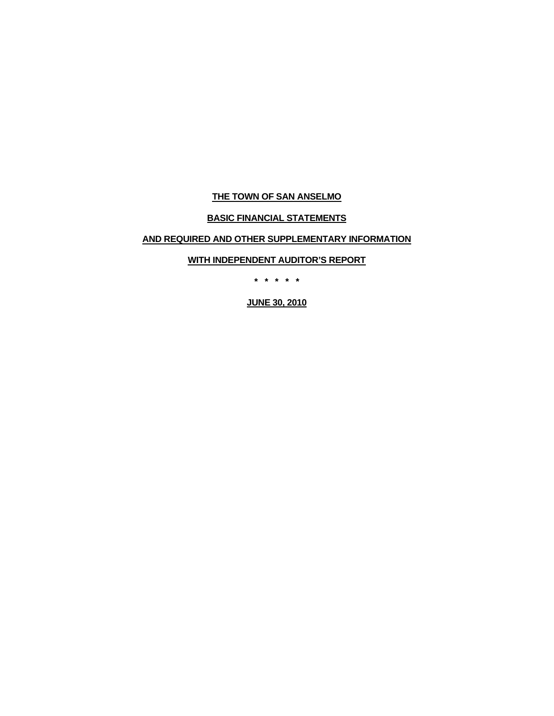## **BASIC FINANCIAL STATEMENTS**

# **AND REQUIRED AND OTHER SUPPLEMENTARY INFORMATION**

**WITH INDEPENDENT AUDITOR'S REPORT**

**\* \* \* \* \***

**JUNE 30, 2010**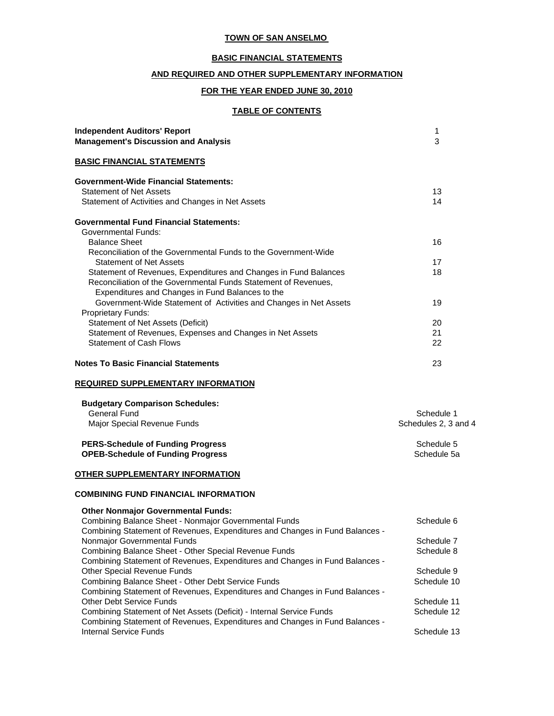## **BASIC FINANCIAL STATEMENTS**

## **AND REQUIRED AND OTHER SUPPLEMENTARY INFORMATION**

# **FOR THE YEAR ENDED JUNE 30, 2010**

## **TABLE OF CONTENTS**

| <b>Independent Auditors' Report</b><br><b>Management's Discussion and Analysis</b>                                                                                                      | 1<br>3               |
|-----------------------------------------------------------------------------------------------------------------------------------------------------------------------------------------|----------------------|
| <u>BASIC FINANCIAL STATEMENTS</u>                                                                                                                                                       |                      |
| <b>Government-Wide Financial Statements:</b>                                                                                                                                            |                      |
| <b>Statement of Net Assets</b><br>Statement of Activities and Changes in Net Assets                                                                                                     | 13<br>14             |
| <b>Governmental Fund Financial Statements:</b><br><b>Governmental Funds:</b>                                                                                                            |                      |
| <b>Balance Sheet</b>                                                                                                                                                                    | 16                   |
| Reconciliation of the Governmental Funds to the Government-Wide                                                                                                                         |                      |
| <b>Statement of Net Assets</b>                                                                                                                                                          | 17                   |
| Statement of Revenues, Expenditures and Changes in Fund Balances<br>Reconciliation of the Governmental Funds Statement of Revenues,<br>Expenditures and Changes in Fund Balances to the | 18                   |
| Government-Wide Statement of Activities and Changes in Net Assets                                                                                                                       | 19                   |
| <b>Proprietary Funds:</b>                                                                                                                                                               |                      |
| Statement of Net Assets (Deficit)                                                                                                                                                       | 20                   |
| Statement of Revenues, Expenses and Changes in Net Assets<br><b>Statement of Cash Flows</b>                                                                                             | 21                   |
|                                                                                                                                                                                         | 22                   |
| <b>Notes To Basic Financial Statements</b>                                                                                                                                              | 23                   |
| REQUIRED SUPPLEMENTARY INFORMATION                                                                                                                                                      |                      |
| <b>Budgetary Comparison Schedules:</b>                                                                                                                                                  |                      |
| General Fund                                                                                                                                                                            | Schedule 1           |
| Major Special Revenue Funds                                                                                                                                                             | Schedules 2, 3 and 4 |
| <b>PERS-Schedule of Funding Progress</b>                                                                                                                                                | Schedule 5           |
| <b>OPEB-Schedule of Funding Progress</b>                                                                                                                                                | Schedule 5a          |
| <b>OTHER SUPPLEMENTARY INFORMATION</b>                                                                                                                                                  |                      |
| <b>COMBINING FUND FINANCIAL INFORMATION</b>                                                                                                                                             |                      |
|                                                                                                                                                                                         |                      |
| <b>Other Nonmajor Governmental Funds:</b><br>Combining Balance Sheet - Nonmajor Governmental Funds<br>Combining Statement of Revenues, Expenditures and Changes in Fund Balances -      | Schedule 6           |
| Nonmajor Governmental Funds                                                                                                                                                             | Schedule 7           |
| Combining Balance Sheet - Other Special Revenue Funds                                                                                                                                   | Schedule 8           |
| Combining Statement of Revenues, Expenditures and Changes in Fund Balances -                                                                                                            |                      |
| Other Special Revenue Funds                                                                                                                                                             | Schedule 9           |
| Combining Balance Sheet - Other Debt Service Funds                                                                                                                                      | Schedule 10          |
| Combining Statement of Revenues, Expenditures and Changes in Fund Balances -<br>Other Debt Service Funds                                                                                | Schedule 11          |
| Combining Statement of Net Assets (Deficit) - Internal Service Funds                                                                                                                    | Schedule 12          |
| Combining Statement of Revenues, Expenditures and Changes in Fund Balances -                                                                                                            |                      |
| <b>Internal Service Funds</b>                                                                                                                                                           | Schedule 13          |
|                                                                                                                                                                                         |                      |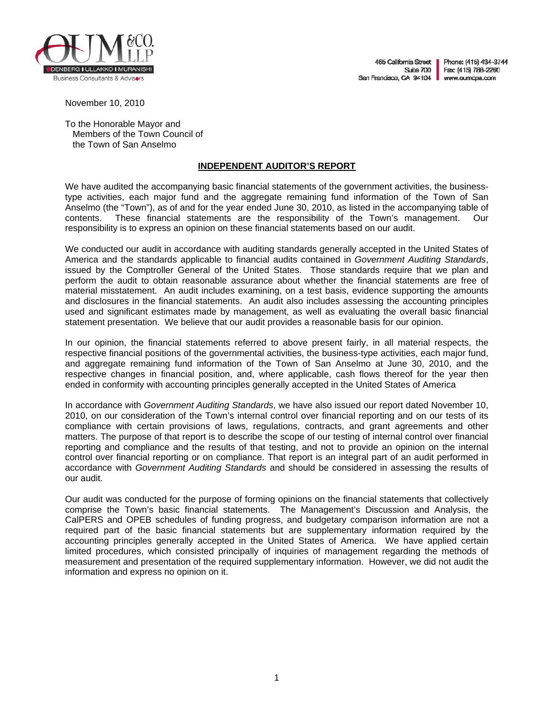

November 10, 2010

To the Honorable Mayor and Members of the Town Council of the Town of San Anselmo

### **INDEPENDENT AUDITOR'S REPORT**

We have audited the accompanying basic financial statements of the government activities, the businesstype activities, each major fund and the aggregate remaining fund information of the Town of San Anselmo (the "Town"), as of and for the year ended June 30, 2010, as listed in the accompanying table of contents. These financial statements are the responsibility of the Town's management. Our responsibility is to express an opinion on these financial statements based on our audit.

We conducted our audit in accordance with auditing standards generally accepted in the United States of America and the standards applicable to financial audits contained in *Government Auditing Standards*, issued by the Comptroller General of the United States. Those standards require that we plan and perform the audit to obtain reasonable assurance about whether the financial statements are free of material misstatement. An audit includes examining, on a test basis, evidence supporting the amounts and disclosures in the financial statements. An audit also includes assessing the accounting principles used and significant estimates made by management, as well as evaluating the overall basic financial statement presentation. We believe that our audit provides a reasonable basis for our opinion.

In our opinion, the financial statements referred to above present fairly, in all material respects, the respective financial positions of the governmental activities, the business-type activities, each major fund, and aggregate remaining fund information of the Town of San Anselmo at June 30, 2010, and the respective changes in financial position, and, where applicable, cash flows thereof for the year then ended in conformity with accounting principles generally accepted in the United States of America

In accordance with *Government Auditing Standards*, we have also issued our report dated November 10, 2010, on our consideration of the Town's internal control over financial reporting and on our tests of its compliance with certain provisions of laws, regulations, contracts, and grant agreements and other matters. The purpose of that report is to describe the scope of our testing of internal control over financial reporting and compliance and the results of that testing, and not to provide an opinion on the internal control over financial reporting or on compliance. That report is an integral part of an audit performed in accordance with *Government Auditing Standards* and should be considered in assessing the results of our audit.

Our audit was conducted for the purpose of forming opinions on the financial statements that collectively comprise the Town's basic financial statements. The Management's Discussion and Analysis, the CalPERS and OPEB schedules of funding progress, and budgetary comparison information are not a required part of the basic financial statements but are supplementary information required by the accounting principles generally accepted in the United States of America. We have applied certain limited procedures, which consisted principally of inquiries of management regarding the methods of measurement and presentation of the required supplementary information. However, we did not audit the information and express no opinion on it.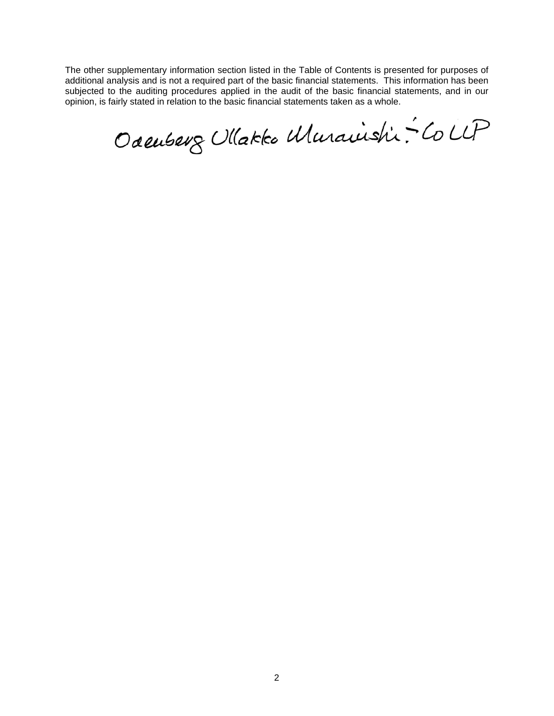The other supplementary information section listed in the Table of Contents is presented for purposes of additional analysis and is not a required part of the basic financial statements. This information has been subjected to the auditing procedures applied in the audit of the basic financial statements, and in our opinion, is fairly stated in relation to the basic financial statements taken as a whole.

Odenberg Ullakko Muravishi - Co LLP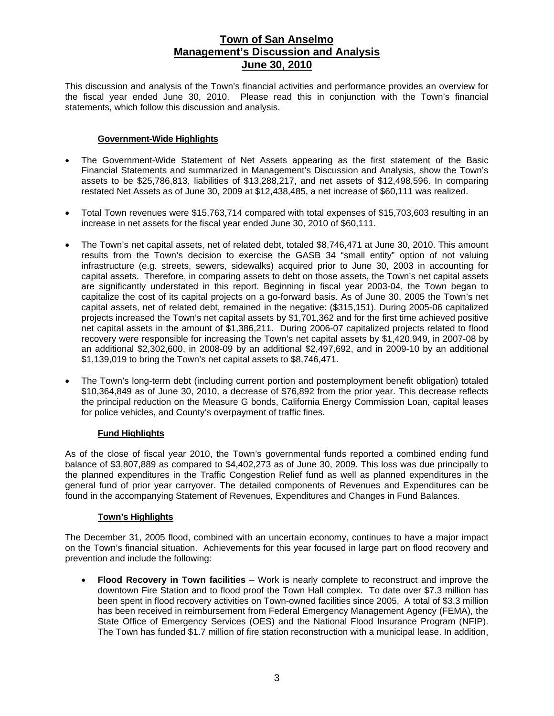This discussion and analysis of the Town's financial activities and performance provides an overview for the fiscal year ended June 30, 2010. Please read this in conjunction with the Town's financial statements, which follow this discussion and analysis.

## **Government-Wide Highlights**

- The Government-Wide Statement of Net Assets appearing as the first statement of the Basic Financial Statements and summarized in Management's Discussion and Analysis, show the Town's assets to be \$25,786,813, liabilities of \$13,288,217, and net assets of \$12,498,596. In comparing restated Net Assets as of June 30, 2009 at \$12,438,485, a net increase of \$60,111 was realized.
- Total Town revenues were \$15,763,714 compared with total expenses of \$15,703,603 resulting in an increase in net assets for the fiscal year ended June 30, 2010 of \$60,111.
- The Town's net capital assets, net of related debt, totaled \$8,746,471 at June 30, 2010. This amount results from the Town's decision to exercise the GASB 34 "small entity" option of not valuing infrastructure (e.g. streets, sewers, sidewalks) acquired prior to June 30, 2003 in accounting for capital assets. Therefore, in comparing assets to debt on those assets, the Town's net capital assets are significantly understated in this report. Beginning in fiscal year 2003-04, the Town began to capitalize the cost of its capital projects on a go-forward basis. As of June 30, 2005 the Town's net capital assets, net of related debt, remained in the negative: (\$315,151). During 2005-06 capitalized projects increased the Town's net capital assets by \$1,701,362 and for the first time achieved positive net capital assets in the amount of \$1,386,211. During 2006-07 capitalized projects related to flood recovery were responsible for increasing the Town's net capital assets by \$1,420,949, in 2007-08 by an additional \$2,302,600, in 2008-09 by an additional \$2,497,692, and in 2009-10 by an additional \$1,139,019 to bring the Town's net capital assets to \$8,746,471.
- The Town's long-term debt (including current portion and postemployment benefit obligation) totaled \$10,364,849 as of June 30, 2010, a decrease of \$76,892 from the prior year. This decrease reflects the principal reduction on the Measure G bonds, California Energy Commission Loan, capital leases for police vehicles, and County's overpayment of traffic fines.

## **Fund Highlights**

As of the close of fiscal year 2010, the Town's governmental funds reported a combined ending fund balance of \$3,807,889 as compared to \$4,402,273 as of June 30, 2009. This loss was due principally to the planned expenditures in the Traffic Congestion Relief fund as well as planned expenditures in the general fund of prior year carryover. The detailed components of Revenues and Expenditures can be found in the accompanying Statement of Revenues, Expenditures and Changes in Fund Balances.

## **Town's Highlights**

The December 31, 2005 flood, combined with an uncertain economy, continues to have a major impact on the Town's financial situation. Achievements for this year focused in large part on flood recovery and prevention and include the following:

• **Flood Recovery in Town facilities** – Work is nearly complete to reconstruct and improve the downtown Fire Station and to flood proof the Town Hall complex. To date over \$7.3 million has been spent in flood recovery activities on Town-owned facilities since 2005. A total of \$3.3 million has been received in reimbursement from Federal Emergency Management Agency (FEMA), the State Office of Emergency Services (OES) and the National Flood Insurance Program (NFIP). The Town has funded \$1.7 million of fire station reconstruction with a municipal lease. In addition,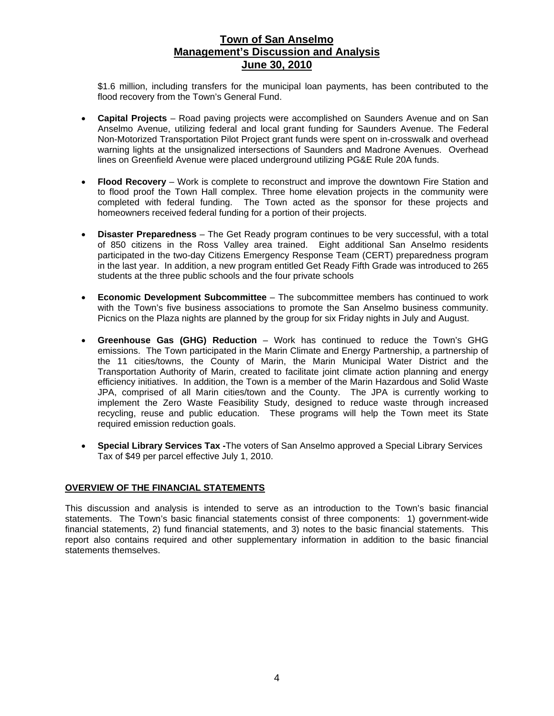\$1.6 million, including transfers for the municipal loan payments, has been contributed to the flood recovery from the Town's General Fund.

- **Capital Projects** Road paving projects were accomplished on Saunders Avenue and on San Anselmo Avenue, utilizing federal and local grant funding for Saunders Avenue. The Federal Non-Motorized Transportation Pilot Project grant funds were spent on in-crosswalk and overhead warning lights at the unsignalized intersections of Saunders and Madrone Avenues. Overhead lines on Greenfield Avenue were placed underground utilizing PG&E Rule 20A funds.
- **Flood Recovery** Work is complete to reconstruct and improve the downtown Fire Station and to flood proof the Town Hall complex. Three home elevation projects in the community were completed with federal funding. The Town acted as the sponsor for these projects and homeowners received federal funding for a portion of their projects.
- **Disaster Preparedness** The Get Ready program continues to be very successful, with a total of 850 citizens in the Ross Valley area trained. Eight additional San Anselmo residents participated in the two-day Citizens Emergency Response Team (CERT) preparedness program in the last year. In addition, a new program entitled Get Ready Fifth Grade was introduced to 265 students at the three public schools and the four private schools
- **Economic Development Subcommittee** The subcommittee members has continued to work with the Town's five business associations to promote the San Anselmo business community. Picnics on the Plaza nights are planned by the group for six Friday nights in July and August.
- **Greenhouse Gas (GHG) Reduction** Work has continued to reduce the Town's GHG emissions. The Town participated in the Marin Climate and Energy Partnership, a partnership of the 11 cities/towns, the County of Marin, the Marin Municipal Water District and the Transportation Authority of Marin, created to facilitate joint climate action planning and energy efficiency initiatives. In addition, the Town is a member of the Marin Hazardous and Solid Waste JPA, comprised of all Marin cities/town and the County. The JPA is currently working to implement the Zero Waste Feasibility Study, designed to reduce waste through increased recycling, reuse and public education. These programs will help the Town meet its State required emission reduction goals.
- **Special Library Services Tax -**The voters of San Anselmo approved a Special Library Services Tax of \$49 per parcel effective July 1, 2010.

## **OVERVIEW OF THE FINANCIAL STATEMENTS**

This discussion and analysis is intended to serve as an introduction to the Town's basic financial statements. The Town's basic financial statements consist of three components: 1) government-wide financial statements, 2) fund financial statements, and 3) notes to the basic financial statements. This report also contains required and other supplementary information in addition to the basic financial statements themselves.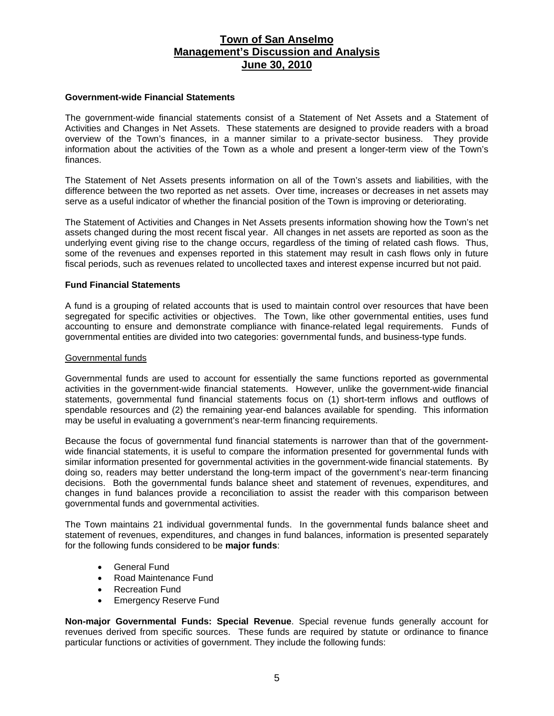### **Government-wide Financial Statements**

The government-wide financial statements consist of a Statement of Net Assets and a Statement of Activities and Changes in Net Assets. These statements are designed to provide readers with a broad overview of the Town's finances, in a manner similar to a private-sector business. They provide information about the activities of the Town as a whole and present a longer-term view of the Town's finances.

The Statement of Net Assets presents information on all of the Town's assets and liabilities, with the difference between the two reported as net assets. Over time, increases or decreases in net assets may serve as a useful indicator of whether the financial position of the Town is improving or deteriorating.

The Statement of Activities and Changes in Net Assets presents information showing how the Town's net assets changed during the most recent fiscal year. All changes in net assets are reported as soon as the underlying event giving rise to the change occurs, regardless of the timing of related cash flows. Thus, some of the revenues and expenses reported in this statement may result in cash flows only in future fiscal periods, such as revenues related to uncollected taxes and interest expense incurred but not paid.

#### **Fund Financial Statements**

A fund is a grouping of related accounts that is used to maintain control over resources that have been segregated for specific activities or objectives. The Town, like other governmental entities, uses fund accounting to ensure and demonstrate compliance with finance-related legal requirements. Funds of governmental entities are divided into two categories: governmental funds, and business-type funds.

#### Governmental funds

Governmental funds are used to account for essentially the same functions reported as governmental activities in the government-wide financial statements. However, unlike the government-wide financial statements, governmental fund financial statements focus on (1) short-term inflows and outflows of spendable resources and (2) the remaining year-end balances available for spending. This information may be useful in evaluating a government's near-term financing requirements.

Because the focus of governmental fund financial statements is narrower than that of the governmentwide financial statements, it is useful to compare the information presented for governmental funds with similar information presented for governmental activities in the government-wide financial statements. By doing so, readers may better understand the long-term impact of the government's near-term financing decisions. Both the governmental funds balance sheet and statement of revenues, expenditures, and changes in fund balances provide a reconciliation to assist the reader with this comparison between governmental funds and governmental activities.

The Town maintains 21 individual governmental funds. In the governmental funds balance sheet and statement of revenues, expenditures, and changes in fund balances, information is presented separately for the following funds considered to be **major funds**:

- General Fund
- Road Maintenance Fund
- Recreation Fund
- Emergency Reserve Fund

**Non-major Governmental Funds: Special Revenue**. Special revenue funds generally account for revenues derived from specific sources. These funds are required by statute or ordinance to finance particular functions or activities of government. They include the following funds: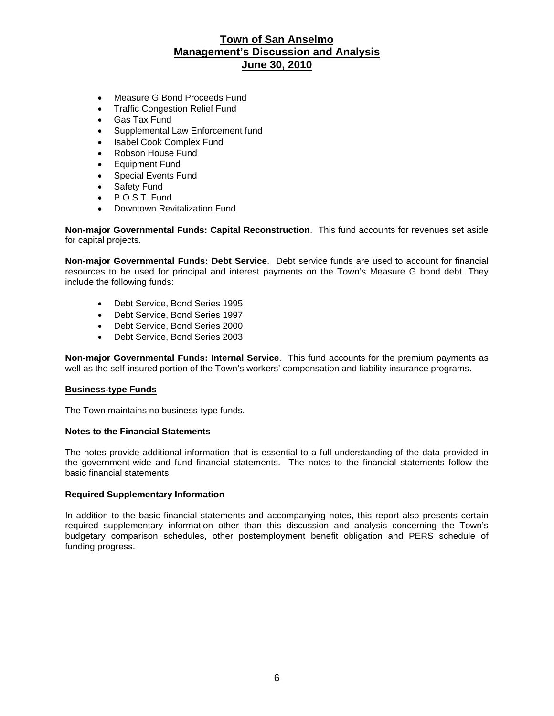- Measure G Bond Proceeds Fund
- Traffic Congestion Relief Fund
- Gas Tax Fund
- Supplemental Law Enforcement fund
- Isabel Cook Complex Fund
- Robson House Fund
- Equipment Fund
- Special Events Fund
- Safety Fund
- P.O.S.T. Fund
- Downtown Revitalization Fund

**Non-major Governmental Funds: Capital Reconstruction**. This fund accounts for revenues set aside for capital projects.

**Non-major Governmental Funds: Debt Service**. Debt service funds are used to account for financial resources to be used for principal and interest payments on the Town's Measure G bond debt. They include the following funds:

- Debt Service, Bond Series 1995
- Debt Service, Bond Series 1997
- Debt Service, Bond Series 2000
- Debt Service, Bond Series 2003

**Non-major Governmental Funds: Internal Service**. This fund accounts for the premium payments as well as the self-insured portion of the Town's workers' compensation and liability insurance programs.

### **Business-type Funds**

The Town maintains no business-type funds.

### **Notes to the Financial Statements**

The notes provide additional information that is essential to a full understanding of the data provided in the government-wide and fund financial statements. The notes to the financial statements follow the basic financial statements.

### **Required Supplementary Information**

In addition to the basic financial statements and accompanying notes, this report also presents certain required supplementary information other than this discussion and analysis concerning the Town's budgetary comparison schedules, other postemployment benefit obligation and PERS schedule of funding progress.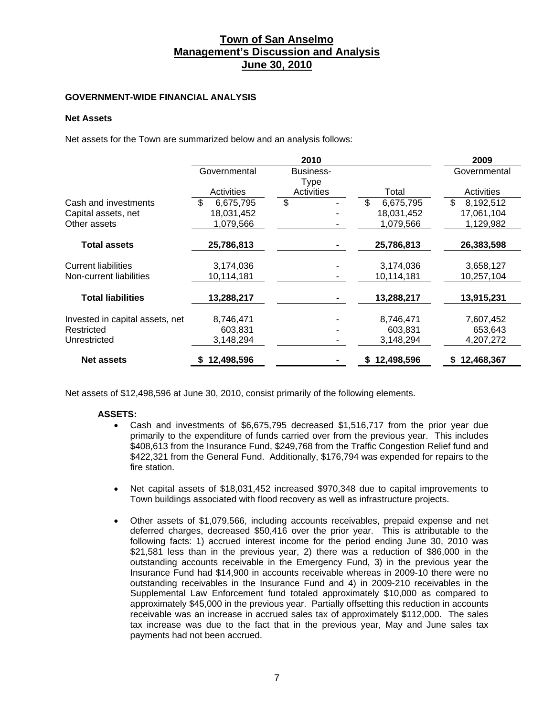## **GOVERNMENT-WIDE FINANCIAL ANALYSIS**

### **Net Assets**

Net assets for the Town are summarized below and an analysis follows:

|                                 |                  | 2010             |                 | 2009            |
|---------------------------------|------------------|------------------|-----------------|-----------------|
|                                 | Governmental     | <b>Business-</b> |                 | Governmental    |
|                                 |                  | <b>Type</b>      |                 |                 |
|                                 | Activities       | Activities       | Total           | Activities      |
| Cash and investments            | \$.<br>6,675,795 | \$               | \$<br>6,675,795 | \$<br>8,192,512 |
| Capital assets, net             | 18,031,452       |                  | 18,031,452      | 17,061,104      |
| Other assets                    | 1,079,566        |                  | 1,079,566       | 1,129,982       |
| <b>Total assets</b>             | 25,786,813       |                  | 25,786,813      | 26,383,598      |
| <b>Current liabilities</b>      | 3,174,036        |                  | 3,174,036       | 3,658,127       |
| Non-current liabilities         | 10,114,181       |                  | 10,114,181      | 10,257,104      |
| <b>Total liabilities</b>        | 13,288,217       |                  | 13,288,217      | 13,915,231      |
| Invested in capital assets, net | 8,746,471        |                  | 8,746,471       | 7,607,452       |
| Restricted                      | 603,831          |                  | 603,831         | 653,643         |
| Unrestricted                    | 3,148,294        |                  | 3,148,294       | 4,207,272       |
| <b>Net assets</b>               | 12,498,596       |                  | 12,498,596<br>S | 12,468,367      |

Net assets of \$12,498,596 at June 30, 2010, consist primarily of the following elements.

### **ASSETS:**

- Cash and investments of \$6,675,795 decreased \$1,516,717 from the prior year due primarily to the expenditure of funds carried over from the previous year. This includes \$408,613 from the Insurance Fund, \$249,768 from the Traffic Congestion Relief fund and \$422,321 from the General Fund. Additionally, \$176,794 was expended for repairs to the fire station.
- Net capital assets of \$18,031,452 increased \$970,348 due to capital improvements to Town buildings associated with flood recovery as well as infrastructure projects.
- Other assets of \$1,079,566, including accounts receivables, prepaid expense and net deferred charges, decreased \$50,416 over the prior year. This is attributable to the following facts: 1) accrued interest income for the period ending June 30, 2010 was \$21,581 less than in the previous year, 2) there was a reduction of \$86,000 in the outstanding accounts receivable in the Emergency Fund, 3) in the previous year the Insurance Fund had \$14,900 in accounts receivable whereas in 2009-10 there were no outstanding receivables in the Insurance Fund and 4) in 2009-210 receivables in the Supplemental Law Enforcement fund totaled approximately \$10,000 as compared to approximately \$45,000 in the previous year. Partially offsetting this reduction in accounts receivable was an increase in accrued sales tax of approximately \$112,000. The sales tax increase was due to the fact that in the previous year, May and June sales tax payments had not been accrued.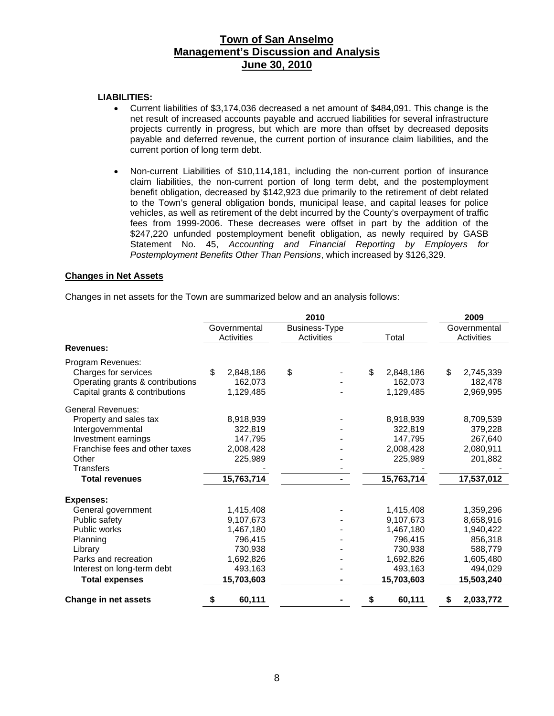## **LIABILITIES:**

- Current liabilities of \$3,174,036 decreased a net amount of \$484,091. This change is the net result of increased accounts payable and accrued liabilities for several infrastructure projects currently in progress, but which are more than offset by decreased deposits payable and deferred revenue, the current portion of insurance claim liabilities, and the current portion of long term debt.
- Non-current Liabilities of \$10,114,181, including the non-current portion of insurance claim liabilities, the non-current portion of long term debt, and the postemployment benefit obligation, decreased by \$142,923 due primarily to the retirement of debt related to the Town's general obligation bonds, municipal lease, and capital leases for police vehicles, as well as retirement of the debt incurred by the County's overpayment of traffic fees from 1999-2006. These decreases were offset in part by the addition of the \$247,220 unfunded postemployment benefit obligation, as newly required by GASB Statement No. 45, *Accounting and Financial Reporting by Employers for Postemployment Benefits Other Than Pensions*, which increased by \$126,329.

### **Changes in Net Assets**

Changes in net assets for the Town are summarized below and an analysis follows:

|                                  |                 | 2009                 |                 |                 |  |
|----------------------------------|-----------------|----------------------|-----------------|-----------------|--|
|                                  | Governmental    | <b>Business-Type</b> |                 | Governmental    |  |
|                                  | Activities      | Activities           | Total           | Activities      |  |
| <b>Revenues:</b>                 |                 |                      |                 |                 |  |
| Program Revenues:                |                 |                      |                 |                 |  |
| Charges for services             | \$<br>2,848,186 | \$                   | \$<br>2,848,186 | \$<br>2,745,339 |  |
| Operating grants & contributions | 162,073         |                      | 162,073         | 182,478         |  |
| Capital grants & contributions   | 1,129,485       |                      | 1,129,485       | 2,969,995       |  |
| <b>General Revenues:</b>         |                 |                      |                 |                 |  |
| Property and sales tax           | 8,918,939       |                      | 8,918,939       | 8,709,539       |  |
| Intergovernmental                | 322.819         |                      | 322.819         | 379,228         |  |
| Investment earnings              | 147.795         |                      | 147,795         | 267,640         |  |
| Franchise fees and other taxes   | 2,008,428       |                      | 2,008,428       | 2,080,911       |  |
| Other                            | 225,989         |                      | 225,989         | 201,882         |  |
| <b>Transfers</b>                 |                 |                      |                 |                 |  |
| <b>Total revenues</b>            | 15,763,714      |                      | 15,763,714      | 17,537,012      |  |
| <b>Expenses:</b>                 |                 |                      |                 |                 |  |
| General government               | 1,415,408       |                      | 1,415,408       | 1,359,296       |  |
| Public safety                    | 9,107,673       |                      | 9,107,673       | 8,658,916       |  |
| Public works                     | 1,467,180       |                      | 1,467,180       | 1,940,422       |  |
| Planning                         | 796,415         |                      | 796,415         | 856,318         |  |
| Library                          | 730,938         |                      | 730,938         | 588,779         |  |
| Parks and recreation             | 1,692,826       |                      | 1,692,826       | 1,605,480       |  |
| Interest on long-term debt       | 493,163         |                      | 493,163         | 494,029         |  |
| <b>Total expenses</b>            | 15,703,603      |                      | 15,703,603      | 15,503,240      |  |
| <b>Change in net assets</b>      | 60,111          |                      | 60,111          | 2,033,772<br>\$ |  |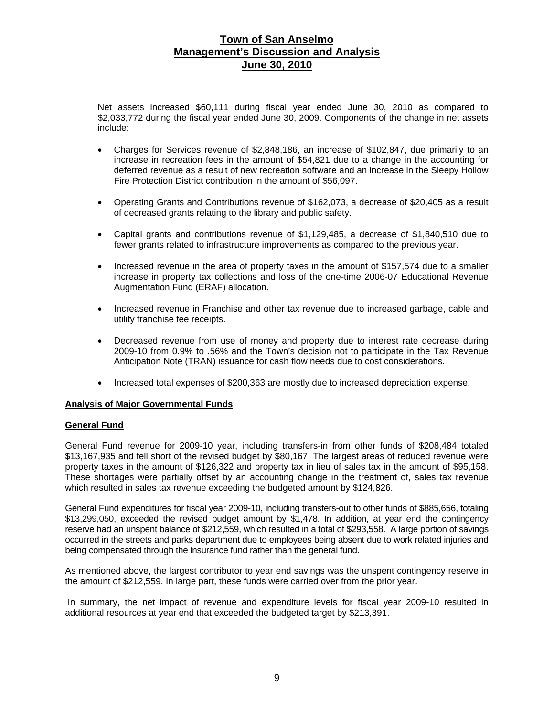Net assets increased \$60,111 during fiscal year ended June 30, 2010 as compared to \$2,033,772 during the fiscal year ended June 30, 2009. Components of the change in net assets include:

- Charges for Services revenue of \$2,848,186, an increase of \$102,847, due primarily to an increase in recreation fees in the amount of \$54,821 due to a change in the accounting for deferred revenue as a result of new recreation software and an increase in the Sleepy Hollow Fire Protection District contribution in the amount of \$56,097.
- Operating Grants and Contributions revenue of \$162,073, a decrease of \$20,405 as a result of decreased grants relating to the library and public safety.
- Capital grants and contributions revenue of \$1,129,485, a decrease of \$1,840,510 due to fewer grants related to infrastructure improvements as compared to the previous year.
- Increased revenue in the area of property taxes in the amount of \$157,574 due to a smaller increase in property tax collections and loss of the one-time 2006-07 Educational Revenue Augmentation Fund (ERAF) allocation.
- Increased revenue in Franchise and other tax revenue due to increased garbage, cable and utility franchise fee receipts.
- Decreased revenue from use of money and property due to interest rate decrease during 2009-10 from 0.9% to .56% and the Town's decision not to participate in the Tax Revenue Anticipation Note (TRAN) issuance for cash flow needs due to cost considerations.
- Increased total expenses of \$200,363 are mostly due to increased depreciation expense.

### **Analysis of Major Governmental Funds**

### **General Fund**

General Fund revenue for 2009-10 year, including transfers-in from other funds of \$208,484 totaled \$13,167,935 and fell short of the revised budget by \$80,167. The largest areas of reduced revenue were property taxes in the amount of \$126,322 and property tax in lieu of sales tax in the amount of \$95,158. These shortages were partially offset by an accounting change in the treatment of, sales tax revenue which resulted in sales tax revenue exceeding the budgeted amount by \$124,826.

General Fund expenditures for fiscal year 2009-10, including transfers-out to other funds of \$885,656, totaling \$13,299,050, exceeded the revised budget amount by \$1,478. In addition, at year end the contingency reserve had an unspent balance of \$212,559, which resulted in a total of \$293,558. A large portion of savings occurred in the streets and parks department due to employees being absent due to work related injuries and being compensated through the insurance fund rather than the general fund.

As mentioned above, the largest contributor to year end savings was the unspent contingency reserve in the amount of \$212,559. In large part, these funds were carried over from the prior year.

 In summary, the net impact of revenue and expenditure levels for fiscal year 2009-10 resulted in additional resources at year end that exceeded the budgeted target by \$213,391.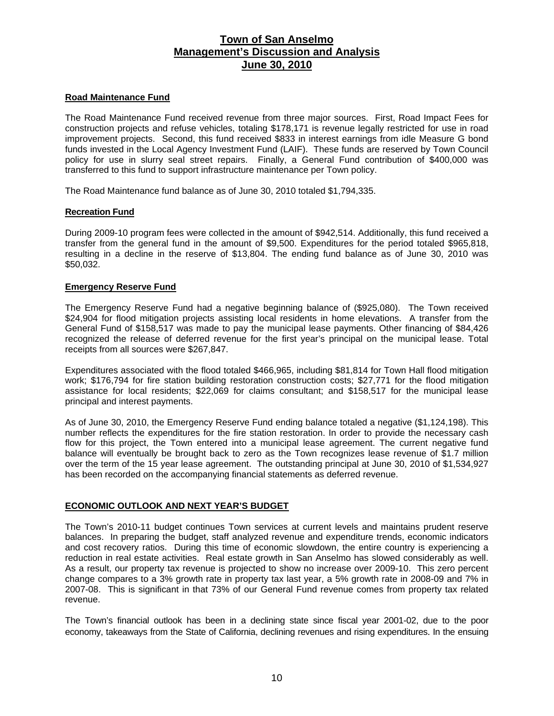## **Road Maintenance Fund**

The Road Maintenance Fund received revenue from three major sources. First, Road Impact Fees for construction projects and refuse vehicles, totaling \$178,171 is revenue legally restricted for use in road improvement projects. Second, this fund received \$833 in interest earnings from idle Measure G bond funds invested in the Local Agency Investment Fund (LAIF). These funds are reserved by Town Council policy for use in slurry seal street repairs. Finally, a General Fund contribution of \$400,000 was transferred to this fund to support infrastructure maintenance per Town policy.

The Road Maintenance fund balance as of June 30, 2010 totaled \$1,794,335.

### **Recreation Fund**

During 2009-10 program fees were collected in the amount of \$942,514. Additionally, this fund received a transfer from the general fund in the amount of \$9,500. Expenditures for the period totaled \$965,818, resulting in a decline in the reserve of \$13,804. The ending fund balance as of June 30, 2010 was \$50,032.

### **Emergency Reserve Fund**

The Emergency Reserve Fund had a negative beginning balance of (\$925,080). The Town received \$24,904 for flood mitigation projects assisting local residents in home elevations. A transfer from the General Fund of \$158,517 was made to pay the municipal lease payments. Other financing of \$84,426 recognized the release of deferred revenue for the first year's principal on the municipal lease. Total receipts from all sources were \$267,847.

Expenditures associated with the flood totaled \$466,965, including \$81,814 for Town Hall flood mitigation work; \$176,794 for fire station building restoration construction costs; \$27,771 for the flood mitigation assistance for local residents; \$22,069 for claims consultant; and \$158,517 for the municipal lease principal and interest payments.

As of June 30, 2010, the Emergency Reserve Fund ending balance totaled a negative (\$1,124,198). This number reflects the expenditures for the fire station restoration. In order to provide the necessary cash flow for this project, the Town entered into a municipal lease agreement. The current negative fund balance will eventually be brought back to zero as the Town recognizes lease revenue of \$1.7 million over the term of the 15 year lease agreement. The outstanding principal at June 30, 2010 of \$1,534,927 has been recorded on the accompanying financial statements as deferred revenue.

### **ECONOMIC OUTLOOK AND NEXT YEAR'S BUDGET**

The Town's 2010-11 budget continues Town services at current levels and maintains prudent reserve balances. In preparing the budget, staff analyzed revenue and expenditure trends, economic indicators and cost recovery ratios. During this time of economic slowdown, the entire country is experiencing a reduction in real estate activities. Real estate growth in San Anselmo has slowed considerably as well. As a result, our property tax revenue is projected to show no increase over 2009-10. This zero percent change compares to a 3% growth rate in property tax last year, a 5% growth rate in 2008-09 and 7% in 2007-08. This is significant in that 73% of our General Fund revenue comes from property tax related revenue.

The Town's financial outlook has been in a declining state since fiscal year 2001-02, due to the poor economy, takeaways from the State of California, declining revenues and rising expenditures. In the ensuing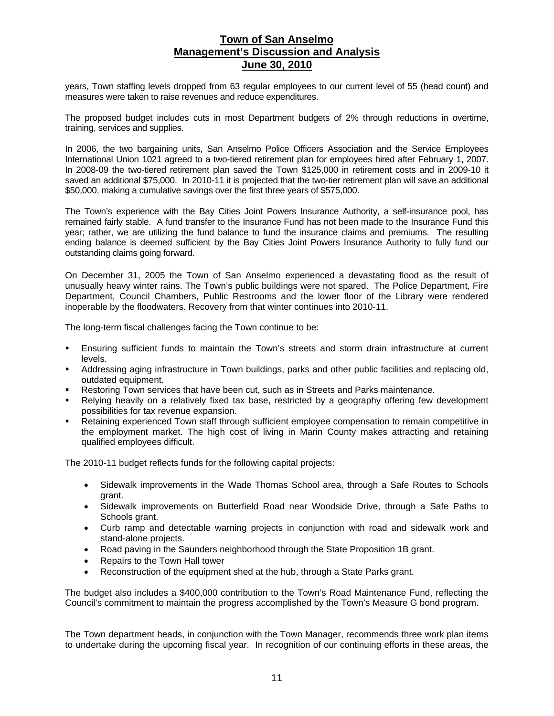years, Town staffing levels dropped from 63 regular employees to our current level of 55 (head count) and measures were taken to raise revenues and reduce expenditures.

The proposed budget includes cuts in most Department budgets of 2% through reductions in overtime, training, services and supplies.

In 2006, the two bargaining units, San Anselmo Police Officers Association and the Service Employees International Union 1021 agreed to a two-tiered retirement plan for employees hired after February 1, 2007. In 2008-09 the two-tiered retirement plan saved the Town \$125,000 in retirement costs and in 2009-10 it saved an additional \$75,000. In 2010-11 it is projected that the two-tier retirement plan will save an additional \$50,000, making a cumulative savings over the first three years of \$575,000.

The Town's experience with the Bay Cities Joint Powers Insurance Authority, a self-insurance pool, has remained fairly stable. A fund transfer to the Insurance Fund has not been made to the Insurance Fund this year; rather, we are utilizing the fund balance to fund the insurance claims and premiums. The resulting ending balance is deemed sufficient by the Bay Cities Joint Powers Insurance Authority to fully fund our outstanding claims going forward.

On December 31, 2005 the Town of San Anselmo experienced a devastating flood as the result of unusually heavy winter rains. The Town's public buildings were not spared. The Police Department, Fire Department, Council Chambers, Public Restrooms and the lower floor of the Library were rendered inoperable by the floodwaters. Recovery from that winter continues into 2010-11.

The long-term fiscal challenges facing the Town continue to be:

- Ensuring sufficient funds to maintain the Town's streets and storm drain infrastructure at current levels.
- Addressing aging infrastructure in Town buildings, parks and other public facilities and replacing old, outdated equipment.
- Restoring Town services that have been cut, such as in Streets and Parks maintenance.
- Relying heavily on a relatively fixed tax base, restricted by a geography offering few development possibilities for tax revenue expansion.
- Retaining experienced Town staff through sufficient employee compensation to remain competitive in the employment market. The high cost of living in Marin County makes attracting and retaining qualified employees difficult.

The 2010-11 budget reflects funds for the following capital projects:

- Sidewalk improvements in the Wade Thomas School area, through a Safe Routes to Schools grant.
- Sidewalk improvements on Butterfield Road near Woodside Drive, through a Safe Paths to Schools grant.
- Curb ramp and detectable warning projects in conjunction with road and sidewalk work and stand-alone projects.
- Road paving in the Saunders neighborhood through the State Proposition 1B grant.
- Repairs to the Town Hall tower
- Reconstruction of the equipment shed at the hub, through a State Parks grant.

The budget also includes a \$400,000 contribution to the Town's Road Maintenance Fund, reflecting the Council's commitment to maintain the progress accomplished by the Town's Measure G bond program.

The Town department heads, in conjunction with the Town Manager, recommends three work plan items to undertake during the upcoming fiscal year. In recognition of our continuing efforts in these areas, the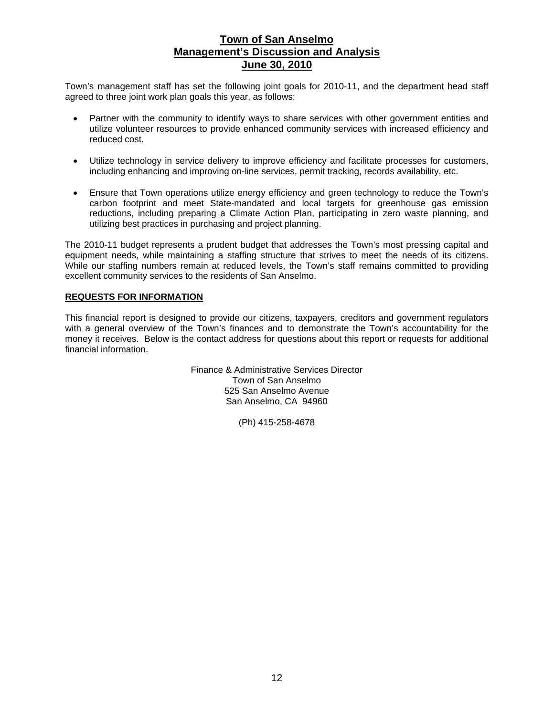Town's management staff has set the following joint goals for 2010-11, and the department head staff agreed to three joint work plan goals this year, as follows:

- Partner with the community to identify ways to share services with other government entities and utilize volunteer resources to provide enhanced community services with increased efficiency and reduced cost.
- Utilize technology in service delivery to improve efficiency and facilitate processes for customers, including enhancing and improving on-line services, permit tracking, records availability, etc.
- Ensure that Town operations utilize energy efficiency and green technology to reduce the Town's carbon footprint and meet State-mandated and local targets for greenhouse gas emission reductions, including preparing a Climate Action Plan, participating in zero waste planning, and utilizing best practices in purchasing and project planning.

The 2010-11 budget represents a prudent budget that addresses the Town's most pressing capital and equipment needs, while maintaining a staffing structure that strives to meet the needs of its citizens. While our staffing numbers remain at reduced levels, the Town's staff remains committed to providing excellent community services to the residents of San Anselmo.

## **REQUESTS FOR INFORMATION**

This financial report is designed to provide our citizens, taxpayers, creditors and government regulators with a general overview of the Town's finances and to demonstrate the Town's accountability for the money it receives. Below is the contact address for questions about this report or requests for additional financial information.

> Finance & Administrative Services Director Town of San Anselmo 525 San Anselmo Avenue San Anselmo, CA 94960

> > (Ph) 415-258-4678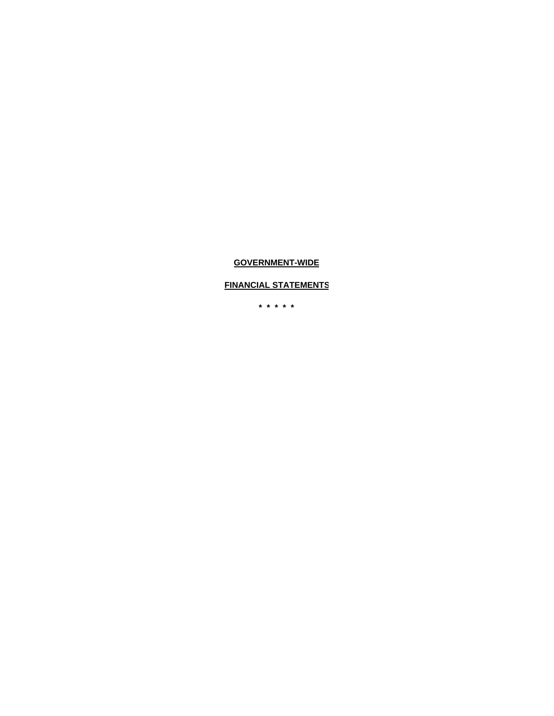## **GOVERNMENT-WIDE**

## **FINANCIAL STATEMENTS**

**\* \* \* \* \***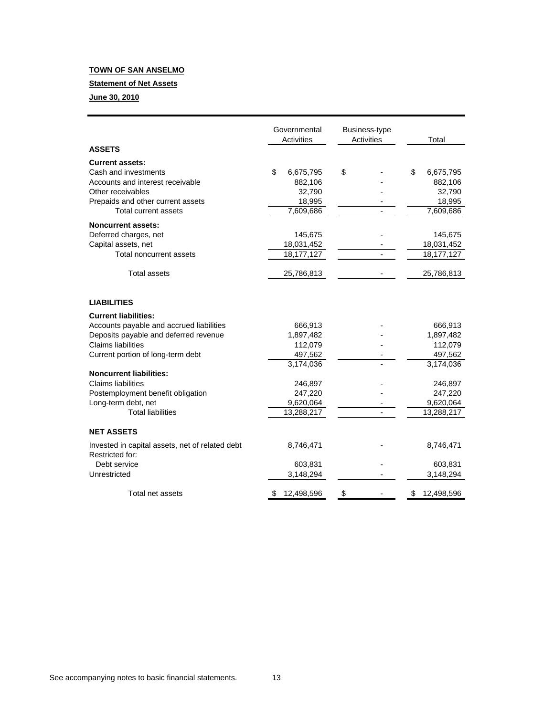# **Statement of Net Assets**

**June 30, 2010**

|                                                                    | Governmental<br><b>Activities</b> |    | Business-type<br>Activities |    | Total      |
|--------------------------------------------------------------------|-----------------------------------|----|-----------------------------|----|------------|
| <b>ASSETS</b>                                                      |                                   |    |                             |    |            |
| <b>Current assets:</b>                                             |                                   |    |                             |    |            |
| Cash and investments                                               | \$<br>6,675,795                   | \$ |                             | \$ | 6,675,795  |
| Accounts and interest receivable                                   | 882,106                           |    |                             |    | 882,106    |
| Other receivables                                                  | 32,790                            |    |                             |    | 32,790     |
| Prepaids and other current assets                                  | 18,995                            |    |                             |    | 18,995     |
| Total current assets                                               | 7,609,686                         |    |                             |    | 7,609,686  |
| <b>Noncurrent assets:</b>                                          |                                   |    |                             |    |            |
| Deferred charges, net                                              | 145,675                           |    |                             |    | 145,675    |
| Capital assets, net                                                | 18,031,452                        |    |                             |    | 18,031,452 |
| Total noncurrent assets                                            | 18,177,127                        |    | $\overline{\phantom{a}}$    |    | 18,177,127 |
| <b>Total assets</b>                                                | 25,786,813                        |    |                             |    | 25,786,813 |
|                                                                    |                                   |    |                             |    |            |
| <b>LIABILITIES</b>                                                 |                                   |    |                             |    |            |
| <b>Current liabilities:</b>                                        |                                   |    |                             |    |            |
| Accounts payable and accrued liabilities                           | 666,913                           |    |                             |    | 666,913    |
| Deposits payable and deferred revenue                              | 1,897,482                         |    |                             |    | 1,897,482  |
| <b>Claims liabilities</b>                                          | 112,079                           |    |                             |    | 112,079    |
| Current portion of long-term debt                                  | 497,562                           |    |                             |    | 497,562    |
|                                                                    | 3,174,036                         |    |                             |    | 3,174,036  |
| <b>Noncurrent liabilities:</b>                                     |                                   |    |                             |    |            |
| <b>Claims liabilities</b>                                          | 246,897                           |    |                             |    | 246,897    |
| Postemployment benefit obligation                                  | 247,220                           |    |                             |    | 247,220    |
| Long-term debt, net                                                | 9,620,064                         |    |                             |    | 9,620,064  |
| <b>Total liabilities</b>                                           | 13,288,217                        |    |                             |    | 13,288,217 |
| <b>NET ASSETS</b>                                                  |                                   |    |                             |    |            |
| Invested in capital assets, net of related debt<br>Restricted for: | 8,746,471                         |    |                             |    | 8,746,471  |
| Debt service                                                       | 603,831                           |    |                             |    | 603,831    |
| Unrestricted                                                       | 3,148,294                         |    |                             |    | 3,148,294  |
| Total net assets                                                   | \$<br>12,498,596                  | S  |                             | S  | 12,498,596 |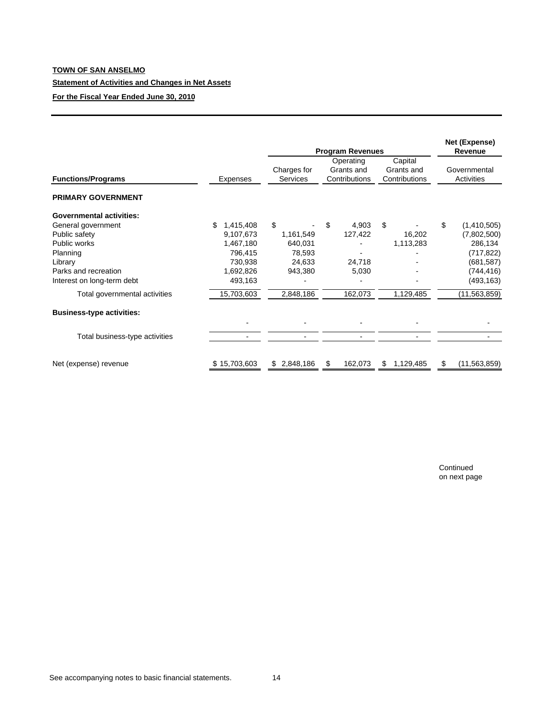## **Statement of Activities and Changes in Net Assets**

**For the Fiscal Year Ended June 30, 2010**

|                                  |                  |                                | <b>Program Revenues</b>                  |                | Net (Expense)<br>Revenue               |  |                            |  |
|----------------------------------|------------------|--------------------------------|------------------------------------------|----------------|----------------------------------------|--|----------------------------|--|
| <b>Functions/Programs</b>        | Expenses         | Charges for<br><b>Services</b> | Operating<br>Grants and<br>Contributions |                | Capital<br>Grants and<br>Contributions |  | Governmental<br>Activities |  |
| <b>PRIMARY GOVERNMENT</b>        |                  |                                |                                          |                |                                        |  |                            |  |
| <b>Governmental activities:</b>  |                  |                                |                                          |                |                                        |  |                            |  |
| General government               | 1,415,408<br>\$. | \$                             | \$<br>4,903                              | \$             | \$<br>(1,410,505)                      |  |                            |  |
| Public safety                    | 9,107,673        | 1,161,549                      | 127,422                                  | 16,202         | (7,802,500)                            |  |                            |  |
| Public works                     | 1,467,180        | 640,031                        |                                          | 1,113,283      | 286,134                                |  |                            |  |
| Planning                         | 796,415          | 78,593                         |                                          |                | (717, 822)                             |  |                            |  |
| Library                          | 730,938          | 24,633                         | 24,718                                   |                | (681, 587)                             |  |                            |  |
| Parks and recreation             | 1,692,826        | 943,380                        | 5,030                                    |                | (744, 416)                             |  |                            |  |
| Interest on long-term debt       | 493,163          |                                |                                          |                | (493, 163)                             |  |                            |  |
| Total governmental activities    | 15,703,603       | 2,848,186                      | 162,073                                  | 1,129,485      | (11, 563, 859)                         |  |                            |  |
| <b>Business-type activities:</b> |                  |                                |                                          |                |                                        |  |                            |  |
|                                  |                  |                                |                                          |                |                                        |  |                            |  |
| Total business-type activities   |                  |                                |                                          |                |                                        |  |                            |  |
| Net (expense) revenue            | 15,703,603       | 2,848,186<br>\$.               | 162,073                                  | 1,129,485<br>S | (11, 563, 859)                         |  |                            |  |

Continued on next page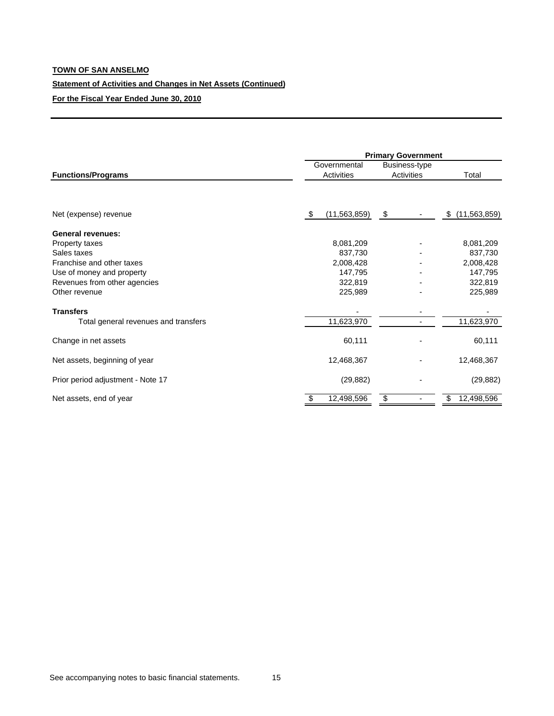## **Statement of Activities and Changes in Net Assets (Continued)**

**For the Fiscal Year Ended June 30, 2010**

| <b>Functions/Programs</b><br>Net (expense) revenue<br>- \$ | Governmental<br>Activities<br>(11, 563, 859) | Business-type<br>Activities<br>\$ | Total                |
|------------------------------------------------------------|----------------------------------------------|-----------------------------------|----------------------|
|                                                            |                                              |                                   |                      |
|                                                            |                                              |                                   |                      |
|                                                            |                                              |                                   |                      |
|                                                            |                                              |                                   | (11, 563, 859)<br>\$ |
| <b>General revenues:</b>                                   |                                              |                                   |                      |
| Property taxes                                             | 8,081,209                                    |                                   | 8,081,209            |
| Sales taxes                                                | 837,730                                      |                                   | 837,730              |
| Franchise and other taxes                                  | 2,008,428                                    |                                   | 2,008,428            |
| Use of money and property                                  | 147,795                                      |                                   | 147,795              |
| Revenues from other agencies                               | 322,819                                      |                                   | 322,819              |
| Other revenue                                              | 225,989                                      |                                   | 225,989              |
| <b>Transfers</b>                                           |                                              |                                   |                      |
| Total general revenues and transfers                       | 11,623,970                                   |                                   | 11,623,970           |
| Change in net assets                                       | 60,111                                       |                                   | 60,111               |
| Net assets, beginning of year                              | 12,468,367                                   |                                   | 12,468,367           |
| Prior period adjustment - Note 17                          | (29, 882)                                    |                                   | (29, 882)            |
| Net assets, end of year                                    | 12,498,596                                   | \$                                | 12,498,596<br>S      |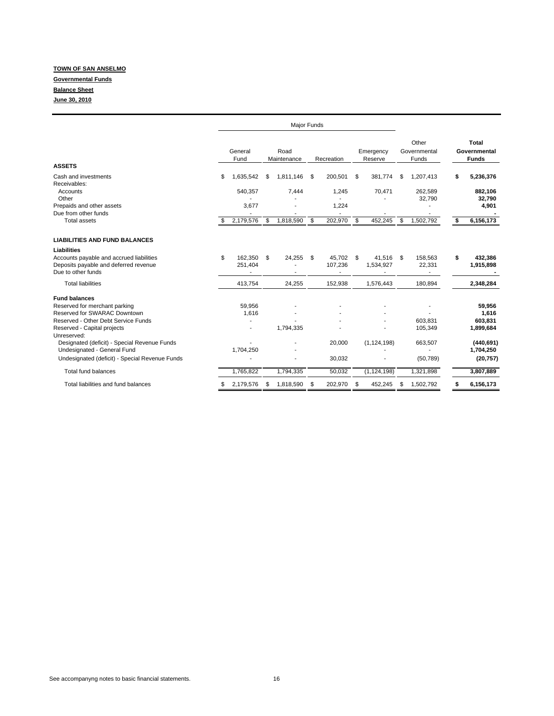**Governmental Funds**

#### **Balance Sheet**

**June 30, 2010**

|                                                | Major Funds |                 |    |                     |    |            |      |                      |                                |                                       |
|------------------------------------------------|-------------|-----------------|----|---------------------|----|------------|------|----------------------|--------------------------------|---------------------------------------|
| <b>ASSETS</b>                                  |             | General<br>Fund |    | Road<br>Maintenance |    | Recreation |      | Emergency<br>Reserve | Other<br>Governmental<br>Funds | Total<br>Governmental<br><b>Funds</b> |
| Cash and investments                           | \$          | 1,635,542       | \$ | 1,811,146           | \$ | 200,501    | \$   | 381,774              | \$<br>1,207,413                | \$<br>5,236,376                       |
| Receivables:                                   |             |                 |    |                     |    |            |      |                      |                                |                                       |
| Accounts                                       |             | 540,357         |    | 7,444               |    | 1,245      |      | 70,471               | 262,589                        | 882,106                               |
| Other                                          |             |                 |    |                     |    |            |      |                      | 32,790                         | 32,790                                |
| Prepaids and other assets                      |             | 3,677           |    |                     |    | 1,224      |      |                      |                                | 4,901                                 |
| Due from other funds<br><b>Total assets</b>    |             |                 |    |                     |    |            |      | 452,245              | 1,502,792                      |                                       |
|                                                | \$          | 2,179,576       | \$ | 1,818,590           | \$ | 202,970    | \$   |                      | \$                             | \$<br>6,156,173                       |
| <b>LIABILITIES AND FUND BALANCES</b>           |             |                 |    |                     |    |            |      |                      |                                |                                       |
| Liabilities                                    |             |                 |    |                     |    |            |      |                      |                                |                                       |
| Accounts payable and accrued liabilities       | \$          | 162.350         | \$ | 24,255              | \$ | 45,702     | - \$ | 41,516               | \$<br>158,563                  | \$<br>432,386                         |
| Deposits payable and deferred revenue          |             | 251,404         |    |                     |    | 107,236    |      | 1,534,927            | 22,331                         | 1,915,898                             |
| Due to other funds                             |             |                 |    |                     |    |            |      |                      | ٠                              |                                       |
| <b>Total liabilities</b>                       |             | 413,754         |    | 24,255              |    | 152,938    |      | 1,576,443            | 180,894                        | 2,348,284                             |
| <b>Fund balances</b>                           |             |                 |    |                     |    |            |      |                      |                                |                                       |
| Reserved for merchant parking                  |             | 59,956          |    |                     |    |            |      |                      |                                | 59,956                                |
| Reserved for SWARAC Downtown                   |             | 1,616           |    |                     |    |            |      |                      |                                | 1,616                                 |
| Reserved - Other Debt Service Funds            |             |                 |    |                     |    |            |      |                      | 603.831                        | 603,831                               |
| Reserved - Capital projects<br>Unreserved:     |             | $\overline{a}$  |    | 1,794,335           |    |            |      |                      | 105.349                        | 1,899,684                             |
| Designated (deficit) - Special Revenue Funds   |             |                 |    |                     |    | 20,000     |      | (1, 124, 198)        | 663,507                        | (440, 691)                            |
| Undesignated - General Fund                    |             | 1,704,250       |    |                     |    |            |      |                      |                                | 1,704,250                             |
| Undesignated (deficit) - Special Revenue Funds |             |                 |    |                     |    | 30,032     |      |                      | (50, 789)                      | (20, 757)                             |
| <b>Total fund balances</b>                     |             | 1,765,822       |    | 1,794,335           |    | 50.032     |      | (1, 124, 198)        | 1,321,898                      | 3,807,889                             |
| Total liabilities and fund balances            | \$          | 2,179,576       | \$ | 1,818,590           | \$ | 202,970    | \$   | 452,245              | \$<br>1,502,792                | \$<br>6,156,173                       |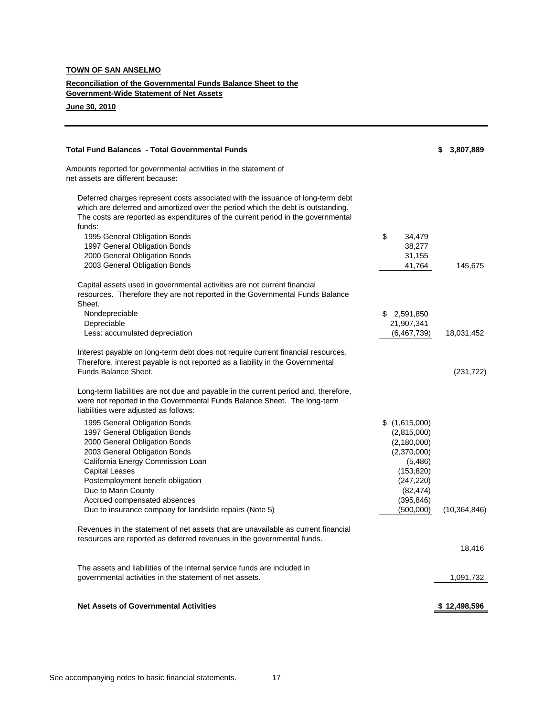## **TOWN OF SAN ANSELMO Reconciliation of the Governmental Funds Balance Sheet to the Government-Wide Statement of Net Assets**

**June 30, 2010**

| <b>Total Fund Balances - Total Governmental Funds</b>                                                                                                                                                                                                                                                                                                                                                         |               | 3,807,889<br>\$ |
|---------------------------------------------------------------------------------------------------------------------------------------------------------------------------------------------------------------------------------------------------------------------------------------------------------------------------------------------------------------------------------------------------------------|---------------|-----------------|
| Amounts reported for governmental activities in the statement of<br>net assets are different because:                                                                                                                                                                                                                                                                                                         |               |                 |
| Deferred charges represent costs associated with the issuance of long-term debt<br>which are deferred and amortized over the period which the debt is outstanding.<br>The costs are reported as expenditures of the current period in the governmental<br>funds:                                                                                                                                              |               |                 |
| 1995 General Obligation Bonds                                                                                                                                                                                                                                                                                                                                                                                 | \$<br>34,479  |                 |
| 1997 General Obligation Bonds                                                                                                                                                                                                                                                                                                                                                                                 | 38,277        |                 |
| 2000 General Obligation Bonds                                                                                                                                                                                                                                                                                                                                                                                 | 31,155        |                 |
| 2003 General Obligation Bonds                                                                                                                                                                                                                                                                                                                                                                                 | 41,764        | 145,675         |
| Capital assets used in governmental activities are not current financial<br>resources. Therefore they are not reported in the Governmental Funds Balance<br>Sheet.                                                                                                                                                                                                                                            |               |                 |
| Nondepreciable                                                                                                                                                                                                                                                                                                                                                                                                | \$ 2,591,850  |                 |
| Depreciable                                                                                                                                                                                                                                                                                                                                                                                                   | 21,907,341    |                 |
| Less: accumulated depreciation                                                                                                                                                                                                                                                                                                                                                                                | (6,467,739)   | 18,031,452      |
| Interest payable on long-term debt does not require current financial resources.<br>Therefore, interest payable is not reported as a liability in the Governmental<br><b>Funds Balance Sheet.</b><br>Long-term liabilities are not due and payable in the current period and, therefore,<br>were not reported in the Governmental Funds Balance Sheet. The long-term<br>liabilities were adjusted as follows: |               | (231, 722)      |
| 1995 General Obligation Bonds                                                                                                                                                                                                                                                                                                                                                                                 | \$(1,615,000) |                 |
| 1997 General Obligation Bonds                                                                                                                                                                                                                                                                                                                                                                                 | (2,815,000)   |                 |
| 2000 General Obligation Bonds                                                                                                                                                                                                                                                                                                                                                                                 | (2, 180, 000) |                 |
| 2003 General Obligation Bonds                                                                                                                                                                                                                                                                                                                                                                                 | (2,370,000)   |                 |
| California Energy Commission Loan                                                                                                                                                                                                                                                                                                                                                                             | (5,486)       |                 |
| Capital Leases                                                                                                                                                                                                                                                                                                                                                                                                | (153, 820)    |                 |
| Postemployment benefit obligation                                                                                                                                                                                                                                                                                                                                                                             | (247, 220)    |                 |
| Due to Marin County                                                                                                                                                                                                                                                                                                                                                                                           | (82, 474)     |                 |
| Accrued compensated absences                                                                                                                                                                                                                                                                                                                                                                                  | (395, 846)    |                 |
| Due to insurance company for landslide repairs (Note 5)                                                                                                                                                                                                                                                                                                                                                       | (500,000)     | (10, 364, 846)  |
| Revenues in the statement of net assets that are unavailable as current financial<br>resources are reported as deferred revenues in the governmental funds.                                                                                                                                                                                                                                                   |               | 18,416          |
|                                                                                                                                                                                                                                                                                                                                                                                                               |               |                 |
| The assets and liabilities of the internal service funds are included in                                                                                                                                                                                                                                                                                                                                      |               |                 |
| governmental activities in the statement of net assets.                                                                                                                                                                                                                                                                                                                                                       |               | 1,091,732       |
|                                                                                                                                                                                                                                                                                                                                                                                                               |               |                 |
| <b>Net Assets of Governmental Activities</b>                                                                                                                                                                                                                                                                                                                                                                  |               | \$12,498,596    |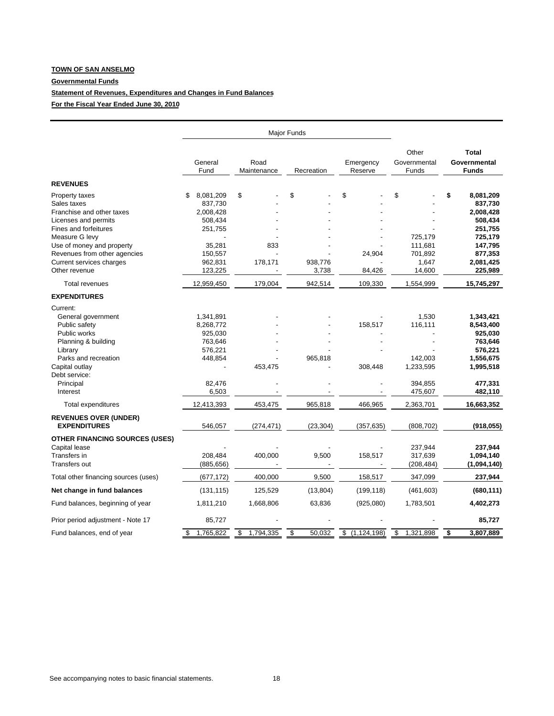#### **Governmental Funds**

**Statement of Revenues, Expenditures and Changes in Fund Balances For the Fiscal Year Ended June 30, 2010**

|                                       |                 | Major Funds         |              |                      |                                |                                       |  |
|---------------------------------------|-----------------|---------------------|--------------|----------------------|--------------------------------|---------------------------------------|--|
|                                       | General<br>Fund | Road<br>Maintenance | Recreation   | Emergency<br>Reserve | Other<br>Governmental<br>Funds | Total<br>Governmental<br><b>Funds</b> |  |
| <b>REVENUES</b>                       |                 |                     |              |                      |                                |                                       |  |
| Property taxes                        | 8,081,209<br>\$ | \$                  | \$           | \$                   | \$                             | \$<br>8,081,209                       |  |
| Sales taxes                           | 837,730         |                     |              |                      |                                | 837,730                               |  |
| Franchise and other taxes             | 2,008,428       |                     |              |                      |                                | 2,008,428                             |  |
| Licenses and permits                  | 508,434         |                     |              |                      |                                | 508,434                               |  |
| Fines and forfeitures                 | 251,755         |                     |              |                      |                                | 251,755                               |  |
| Measure G levy                        |                 |                     |              |                      | 725,179                        | 725,179                               |  |
| Use of money and property             | 35,281          | 833                 |              |                      | 111,681                        | 147,795                               |  |
| Revenues from other agencies          | 150,557         |                     |              | 24,904               | 701,892                        | 877,353                               |  |
| Current services charges              | 962,831         | 178,171             | 938,776      |                      | 1,647                          | 2,081,425                             |  |
| Other revenue                         | 123,225         |                     | 3,738        | 84,426               | 14,600                         | 225,989                               |  |
| <b>Total revenues</b>                 | 12,959,450      | 179,004             | 942,514      | 109,330              | 1,554,999                      | 15,745,297                            |  |
| <b>EXPENDITURES</b>                   |                 |                     |              |                      |                                |                                       |  |
| Current:                              |                 |                     |              |                      |                                |                                       |  |
| General government                    | 1,341,891       |                     |              |                      | 1,530                          | 1,343,421                             |  |
| Public safety                         | 8,268,772       |                     |              | 158,517              | 116,111                        | 8,543,400                             |  |
| Public works                          | 925,030         |                     |              |                      |                                | 925,030                               |  |
| Planning & building                   | 763,646         |                     |              |                      |                                | 763,646                               |  |
| Library                               | 576,221         |                     |              |                      |                                | 576,221                               |  |
| Parks and recreation                  | 448,854         |                     | 965,818      |                      | 142,003                        | 1,556,675                             |  |
| Capital outlay                        |                 | 453,475             |              | 308,448              | 1,233,595                      | 1,995,518                             |  |
| Debt service:                         |                 |                     |              |                      |                                |                                       |  |
| Principal                             | 82,476          |                     |              |                      | 394,855                        | 477,331                               |  |
| Interest                              | 6,503           |                     |              |                      | 475,607                        | 482,110                               |  |
| Total expenditures                    | 12,413,393      | 453,475             | 965,818      | 466,965              | 2,363,701                      | 16,663,352                            |  |
| <b>REVENUES OVER (UNDER)</b>          |                 |                     |              |                      |                                |                                       |  |
| <b>EXPENDITURES</b>                   | 546,057         | (274, 471)          | (23, 304)    | (357, 635)           | (808, 702)                     | (918, 055)                            |  |
| <b>OTHER FINANCING SOURCES (USES)</b> |                 |                     |              |                      |                                |                                       |  |
| Capital lease                         |                 |                     |              |                      | 237,944                        | 237,944                               |  |
| Transfers in                          | 208,484         | 400,000             | 9,500        | 158,517              | 317,639                        | 1,094,140                             |  |
| <b>Transfers out</b>                  | (885, 656)      |                     |              |                      | (208, 484)                     | (1,094,140)                           |  |
| Total other financing sources (uses)  | (677, 172)      | 400,000             | 9,500        | 158,517              | 347,099                        | 237,944                               |  |
| Net change in fund balances           | (131, 115)      | 125,529             | (13, 804)    | (199, 118)           | (461, 603)                     | (680, 111)                            |  |
| Fund balances, beginning of year      | 1,811,210       | 1,668,806           | 63,836       | (925,080)            | 1,783,501                      | 4,402,273                             |  |
| Prior period adjustment - Note 17     | 85,727          |                     |              |                      |                                | 85,727                                |  |
| Fund balances, end of year            | 1,765,822<br>\$ | \$<br>1,794,335     | \$<br>50,032 | \$<br>(1, 124, 198)  | \$<br>1,321,898                | \$<br>3,807,889                       |  |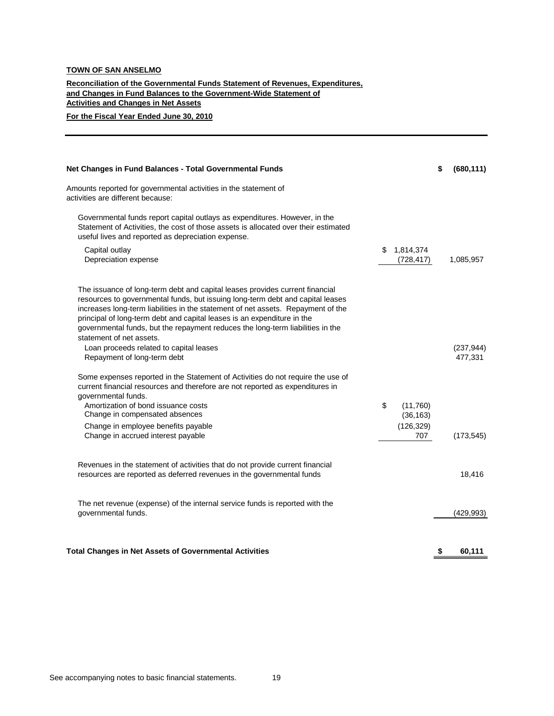**Reconciliation of the Governmental Funds Statement of Revenues, Expenditures, and Changes in Fund Balances to the Government-Wide Statement of Activities and Changes in Net Assets**

**For the Fiscal Year Ended June 30, 2010**

| Net Changes in Fund Balances - Total Governmental Funds                                                                                                                                                                                                                                                                                                                                                                                     |                               | \$<br>(680, 111)      |
|---------------------------------------------------------------------------------------------------------------------------------------------------------------------------------------------------------------------------------------------------------------------------------------------------------------------------------------------------------------------------------------------------------------------------------------------|-------------------------------|-----------------------|
| Amounts reported for governmental activities in the statement of<br>activities are different because:                                                                                                                                                                                                                                                                                                                                       |                               |                       |
| Governmental funds report capital outlays as expenditures. However, in the<br>Statement of Activities, the cost of those assets is allocated over their estimated<br>useful lives and reported as depreciation expense.                                                                                                                                                                                                                     |                               |                       |
| Capital outlay<br>Depreciation expense                                                                                                                                                                                                                                                                                                                                                                                                      | 1,814,374<br>\$<br>(728, 417) | 1,085,957             |
| The issuance of long-term debt and capital leases provides current financial<br>resources to governmental funds, but issuing long-term debt and capital leases<br>increases long-term liabilities in the statement of net assets. Repayment of the<br>principal of long-term debt and capital leases is an expenditure in the<br>governmental funds, but the repayment reduces the long-term liabilities in the<br>statement of net assets. |                               |                       |
| Loan proceeds related to capital leases<br>Repayment of long-term debt                                                                                                                                                                                                                                                                                                                                                                      |                               | (237, 944)<br>477,331 |
| Some expenses reported in the Statement of Activities do not require the use of<br>current financial resources and therefore are not reported as expenditures in<br>governmental funds.<br>Amortization of bond issuance costs<br>Change in compensated absences                                                                                                                                                                            | \$<br>(11,760)<br>(36, 163)   |                       |
| Change in employee benefits payable<br>Change in accrued interest payable                                                                                                                                                                                                                                                                                                                                                                   | (126, 329)<br>707             | (173, 545)            |
| Revenues in the statement of activities that do not provide current financial<br>resources are reported as deferred revenues in the governmental funds                                                                                                                                                                                                                                                                                      |                               | 18,416                |
| The net revenue (expense) of the internal service funds is reported with the<br>governmental funds.                                                                                                                                                                                                                                                                                                                                         |                               | (429, 993)            |
|                                                                                                                                                                                                                                                                                                                                                                                                                                             |                               |                       |
| <b>Total Changes in Net Assets of Governmental Activities</b>                                                                                                                                                                                                                                                                                                                                                                               |                               | \$<br>60,111          |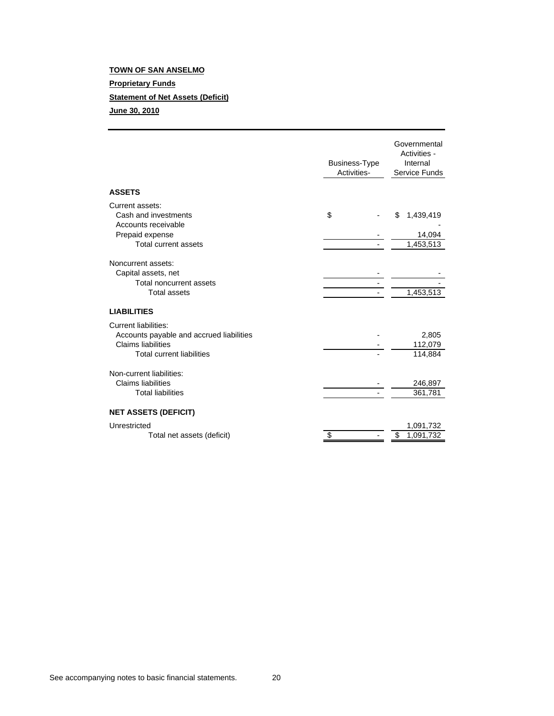# **TOWN OF SAN ANSELMO Proprietary Funds Statement of Net Assets (Deficit) June 30, 2010**

|                                                                                                                                   | <b>Business-Type</b><br>Activities- | Governmental<br>Activities -<br>Internal<br>Service Funds |
|-----------------------------------------------------------------------------------------------------------------------------------|-------------------------------------|-----------------------------------------------------------|
| <b>ASSETS</b>                                                                                                                     |                                     |                                                           |
| Current assets:<br>Cash and investments<br>Accounts receivable<br>Prepaid expense<br><b>Total current assets</b>                  | \$                                  | \$<br>1,439,419<br>14,094<br>1,453,513                    |
| Noncurrent assets:<br>Capital assets, net<br>Total noncurrent assets<br><b>Total assets</b>                                       |                                     | 1,453,513                                                 |
| <b>LIABILITIES</b>                                                                                                                |                                     |                                                           |
| <b>Current liabilities:</b><br>Accounts payable and accrued liabilities<br>Claims liabilities<br><b>Total current liabilities</b> |                                     | 2,805<br>112,079<br>114,884                               |
| Non-current liabilities:<br><b>Claims liabilities</b><br><b>Total liabilities</b>                                                 |                                     | 246,897<br>361,781                                        |
| <b>NET ASSETS (DEFICIT)</b>                                                                                                       |                                     |                                                           |
| Unrestricted<br>Total net assets (deficit)                                                                                        |                                     | 1,091,732<br>1,091,732<br>\$                              |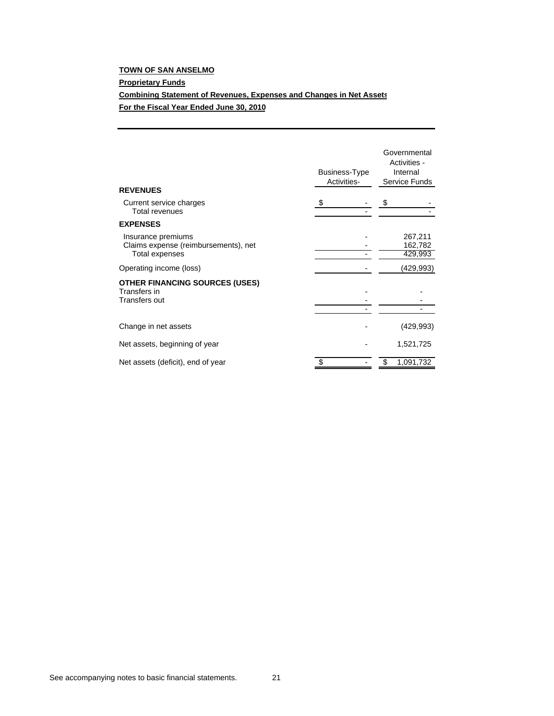## **TOWN OF SAN ANSELMO Proprietary Funds Combining Statement of Revenues, Expenses and Changes in Net Assets For the Fiscal Year Ended June 30, 2010**

| <b>REVENUES</b>                                                               | Business-Type<br>Activities- | Governmental<br>Activities -<br>Internal<br>Service Funds |
|-------------------------------------------------------------------------------|------------------------------|-----------------------------------------------------------|
| Current service charges<br><b>Total revenues</b>                              |                              |                                                           |
| <b>EXPENSES</b>                                                               |                              |                                                           |
| Insurance premiums<br>Claims expense (reimbursements), net<br>Total expenses  |                              | 267,211<br>162,782<br>429,993                             |
| Operating income (loss)                                                       |                              | (429,993)                                                 |
| <b>OTHER FINANCING SOURCES (USES)</b><br>Transfers in<br><b>Transfers out</b> |                              |                                                           |
| Change in net assets                                                          |                              | (429,993)                                                 |
| Net assets, beginning of year                                                 |                              | 1,521,725                                                 |
| Net assets (deficit), end of year                                             | \$                           | 1,091,732<br>S                                            |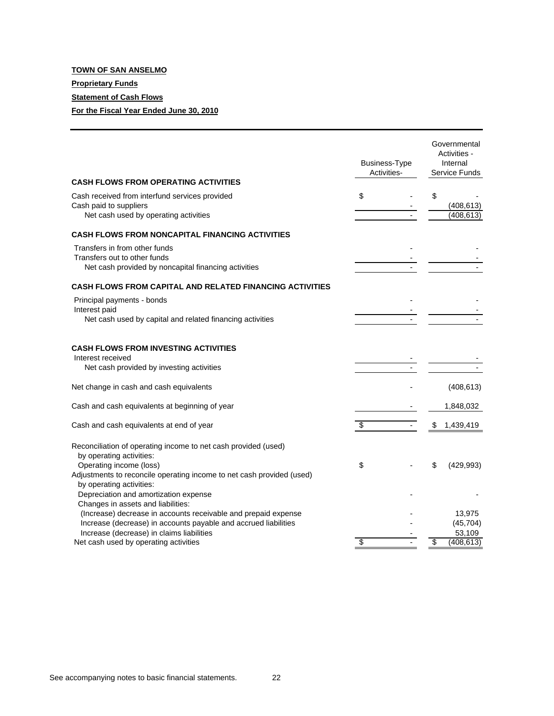|                                                                                            | Business-Type<br>Activities- | Governmental<br>Activities -<br>Internal<br>Service Funds |            |  |
|--------------------------------------------------------------------------------------------|------------------------------|-----------------------------------------------------------|------------|--|
| <b>CASH FLOWS FROM OPERATING ACTIVITIES</b>                                                |                              |                                                           |            |  |
| Cash received from interfund services provided                                             | \$                           | \$                                                        |            |  |
| Cash paid to suppliers                                                                     |                              |                                                           | (408, 613) |  |
| Net cash used by operating activities                                                      |                              |                                                           | (408, 613) |  |
| <b>CASH FLOWS FROM NONCAPITAL FINANCING ACTIVITIES</b>                                     |                              |                                                           |            |  |
| Transfers in from other funds                                                              |                              |                                                           |            |  |
| Transfers out to other funds                                                               |                              |                                                           |            |  |
| Net cash provided by noncapital financing activities                                       |                              |                                                           |            |  |
| CASH FLOWS FROM CAPITAL AND RELATED FINANCING ACTIVITIES                                   |                              |                                                           |            |  |
| Principal payments - bonds                                                                 |                              |                                                           |            |  |
| Interest paid                                                                              |                              |                                                           |            |  |
| Net cash used by capital and related financing activities                                  |                              |                                                           |            |  |
| <b>CASH FLOWS FROM INVESTING ACTIVITIES</b><br>Interest received                           |                              |                                                           |            |  |
| Net cash provided by investing activities                                                  |                              |                                                           |            |  |
|                                                                                            |                              |                                                           |            |  |
| Net change in cash and cash equivalents                                                    |                              |                                                           | (408, 613) |  |
| Cash and cash equivalents at beginning of year                                             |                              |                                                           | 1,848,032  |  |
| Cash and cash equivalents at end of year                                                   | \$                           |                                                           | 1,439,419  |  |
|                                                                                            |                              |                                                           |            |  |
| Reconciliation of operating income to net cash provided (used)<br>by operating activities: |                              |                                                           |            |  |
| Operating income (loss)                                                                    | \$                           | \$                                                        | (429, 993) |  |
| Adjustments to reconcile operating income to net cash provided (used)                      |                              |                                                           |            |  |
| by operating activities:                                                                   |                              |                                                           |            |  |
| Depreciation and amortization expense                                                      |                              |                                                           |            |  |
| Changes in assets and liabilities:                                                         |                              |                                                           |            |  |
| (Increase) decrease in accounts receivable and prepaid expense                             |                              |                                                           | 13,975     |  |
| Increase (decrease) in accounts payable and accrued liabilities                            |                              |                                                           | (45, 704)  |  |
| Increase (decrease) in claims liabilities                                                  |                              |                                                           | 53,109     |  |
| Net cash used by operating activities                                                      | \$                           | \$                                                        | (408, 613) |  |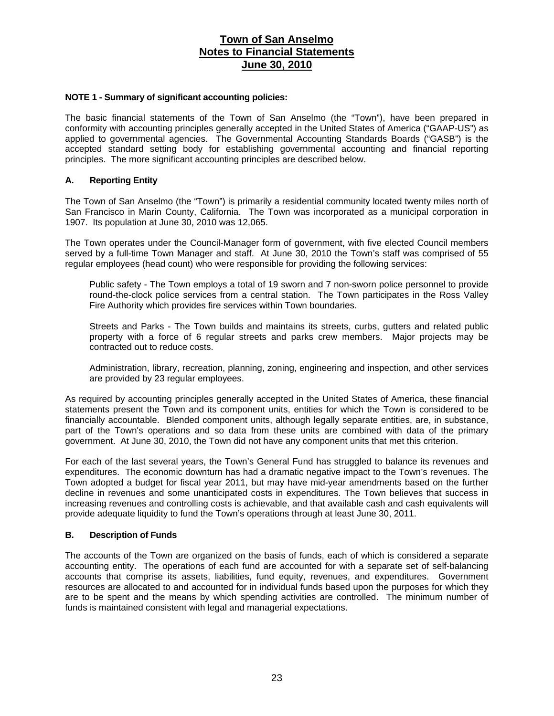## **NOTE 1 - Summary of significant accounting policies:**

The basic financial statements of the Town of San Anselmo (the "Town"), have been prepared in conformity with accounting principles generally accepted in the United States of America ("GAAP-US") as applied to governmental agencies. The Governmental Accounting Standards Boards ("GASB") is the accepted standard setting body for establishing governmental accounting and financial reporting principles. The more significant accounting principles are described below.

### **A. Reporting Entity**

The Town of San Anselmo (the "Town") is primarily a residential community located twenty miles north of San Francisco in Marin County, California. The Town was incorporated as a municipal corporation in 1907. Its population at June 30, 2010 was 12,065.

The Town operates under the Council-Manager form of government, with five elected Council members served by a full-time Town Manager and staff. At June 30, 2010 the Town's staff was comprised of 55 regular employees (head count) who were responsible for providing the following services:

Public safety - The Town employs a total of 19 sworn and 7 non-sworn police personnel to provide round-the-clock police services from a central station. The Town participates in the Ross Valley Fire Authority which provides fire services within Town boundaries.

Streets and Parks - The Town builds and maintains its streets, curbs, gutters and related public property with a force of 6 regular streets and parks crew members. Major projects may be contracted out to reduce costs.

Administration, library, recreation, planning, zoning, engineering and inspection, and other services are provided by 23 regular employees.

As required by accounting principles generally accepted in the United States of America, these financial statements present the Town and its component units, entities for which the Town is considered to be financially accountable. Blended component units, although legally separate entities, are, in substance, part of the Town's operations and so data from these units are combined with data of the primary government. At June 30, 2010, the Town did not have any component units that met this criterion.

For each of the last several years, the Town's General Fund has struggled to balance its revenues and expenditures. The economic downturn has had a dramatic negative impact to the Town's revenues. The Town adopted a budget for fiscal year 2011, but may have mid-year amendments based on the further decline in revenues and some unanticipated costs in expenditures. The Town believes that success in increasing revenues and controlling costs is achievable, and that available cash and cash equivalents will provide adequate liquidity to fund the Town's operations through at least June 30, 2011.

### **B. Description of Funds**

The accounts of the Town are organized on the basis of funds, each of which is considered a separate accounting entity. The operations of each fund are accounted for with a separate set of self-balancing accounts that comprise its assets, liabilities, fund equity, revenues, and expenditures. Government resources are allocated to and accounted for in individual funds based upon the purposes for which they are to be spent and the means by which spending activities are controlled. The minimum number of funds is maintained consistent with legal and managerial expectations.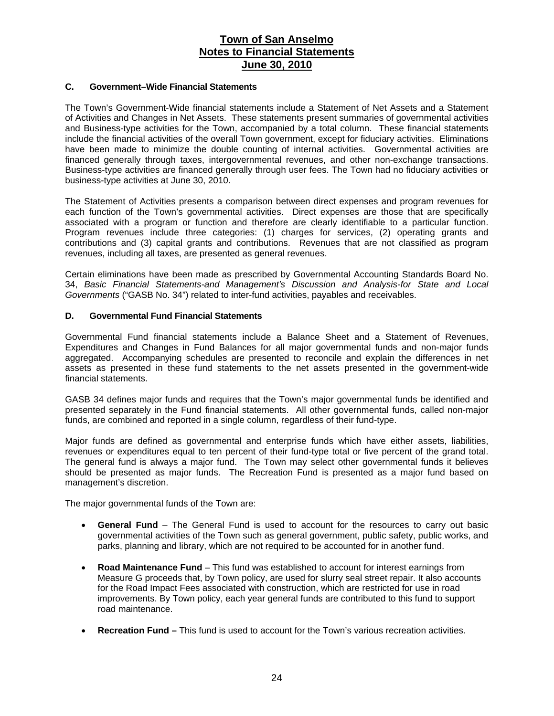## **C. Government–Wide Financial Statements**

The Town's Government-Wide financial statements include a Statement of Net Assets and a Statement of Activities and Changes in Net Assets. These statements present summaries of governmental activities and Business-type activities for the Town, accompanied by a total column. These financial statements include the financial activities of the overall Town government, except for fiduciary activities. Eliminations have been made to minimize the double counting of internal activities. Governmental activities are financed generally through taxes, intergovernmental revenues, and other non-exchange transactions. Business-type activities are financed generally through user fees. The Town had no fiduciary activities or business-type activities at June 30, 2010.

The Statement of Activities presents a comparison between direct expenses and program revenues for each function of the Town's governmental activities. Direct expenses are those that are specifically associated with a program or function and therefore are clearly identifiable to a particular function. Program revenues include three categories: (1) charges for services, (2) operating grants and contributions and (3) capital grants and contributions. Revenues that are not classified as program revenues, including all taxes, are presented as general revenues.

Certain eliminations have been made as prescribed by Governmental Accounting Standards Board No. 34, *Basic Financial Statements-and Management's Discussion and Analysis-for State and Local Governments* ("GASB No. 34") related to inter-fund activities, payables and receivables.

#### **D. Governmental Fund Financial Statements**

Governmental Fund financial statements include a Balance Sheet and a Statement of Revenues, Expenditures and Changes in Fund Balances for all major governmental funds and non-major funds aggregated. Accompanying schedules are presented to reconcile and explain the differences in net assets as presented in these fund statements to the net assets presented in the government-wide financial statements.

GASB 34 defines major funds and requires that the Town's major governmental funds be identified and presented separately in the Fund financial statements. All other governmental funds, called non-major funds, are combined and reported in a single column, regardless of their fund-type.

Major funds are defined as governmental and enterprise funds which have either assets, liabilities, revenues or expenditures equal to ten percent of their fund-type total or five percent of the grand total. The general fund is always a major fund. The Town may select other governmental funds it believes should be presented as major funds. The Recreation Fund is presented as a major fund based on management's discretion.

The major governmental funds of the Town are:

- **General Fund** The General Fund is used to account for the resources to carry out basic governmental activities of the Town such as general government, public safety, public works, and parks, planning and library, which are not required to be accounted for in another fund.
- **Road Maintenance Fund** This fund was established to account for interest earnings from Measure G proceeds that, by Town policy, are used for slurry seal street repair. It also accounts for the Road Impact Fees associated with construction, which are restricted for use in road improvements. By Town policy, each year general funds are contributed to this fund to support road maintenance.
- **Recreation Fund –** This fund is used to account for the Town's various recreation activities.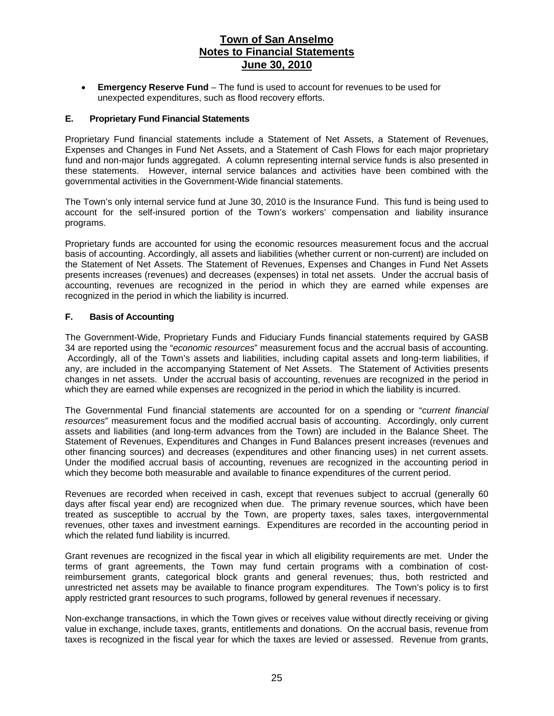• **Emergency Reserve Fund** – The fund is used to account for revenues to be used for unexpected expenditures, such as flood recovery efforts.

## **E. Proprietary Fund Financial Statements**

Proprietary Fund financial statements include a Statement of Net Assets, a Statement of Revenues, Expenses and Changes in Fund Net Assets, and a Statement of Cash Flows for each major proprietary fund and non-major funds aggregated. A column representing internal service funds is also presented in these statements. However, internal service balances and activities have been combined with the governmental activities in the Government-Wide financial statements.

The Town's only internal service fund at June 30, 2010 is the Insurance Fund. This fund is being used to account for the self-insured portion of the Town's workers' compensation and liability insurance programs.

Proprietary funds are accounted for using the economic resources measurement focus and the accrual basis of accounting. Accordingly, all assets and liabilities (whether current or non-current) are included on the Statement of Net Assets. The Statement of Revenues, Expenses and Changes in Fund Net Assets presents increases (revenues) and decreases (expenses) in total net assets. Under the accrual basis of accounting, revenues are recognized in the period in which they are earned while expenses are recognized in the period in which the liability is incurred.

## **F. Basis of Accounting**

The Government-Wide, Proprietary Funds and Fiduciary Funds financial statements required by GASB 34 are reported using the "*economic resources*" measurement focus and the accrual basis of accounting. Accordingly, all of the Town's assets and liabilities, including capital assets and long-term liabilities, if any, are included in the accompanying Statement of Net Assets. The Statement of Activities presents changes in net assets. Under the accrual basis of accounting, revenues are recognized in the period in which they are earned while expenses are recognized in the period in which the liability is incurred.

The Governmental Fund financial statements are accounted for on a spending or "*current financial resources*" measurement focus and the modified accrual basis of accounting. Accordingly, only current assets and liabilities (and long-term advances from the Town) are included in the Balance Sheet. The Statement of Revenues, Expenditures and Changes in Fund Balances present increases (revenues and other financing sources) and decreases (expenditures and other financing uses) in net current assets. Under the modified accrual basis of accounting, revenues are recognized in the accounting period in which they become both measurable and available to finance expenditures of the current period.

Revenues are recorded when received in cash, except that revenues subject to accrual (generally 60 days after fiscal year end) are recognized when due. The primary revenue sources, which have been treated as susceptible to accrual by the Town, are property taxes, sales taxes, intergovernmental revenues, other taxes and investment earnings. Expenditures are recorded in the accounting period in which the related fund liability is incurred.

Grant revenues are recognized in the fiscal year in which all eligibility requirements are met. Under the terms of grant agreements, the Town may fund certain programs with a combination of costreimbursement grants, categorical block grants and general revenues; thus, both restricted and unrestricted net assets may be available to finance program expenditures. The Town's policy is to first apply restricted grant resources to such programs, followed by general revenues if necessary.

Non-exchange transactions, in which the Town gives or receives value without directly receiving or giving value in exchange, include taxes, grants, entitlements and donations. On the accrual basis, revenue from taxes is recognized in the fiscal year for which the taxes are levied or assessed. Revenue from grants,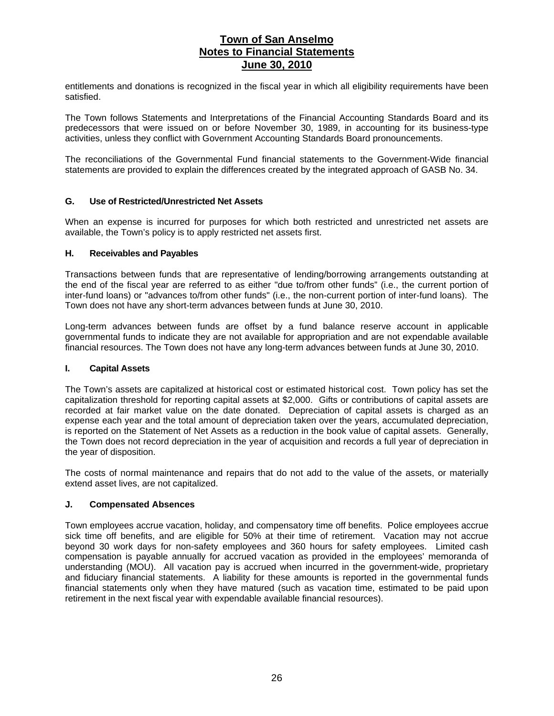entitlements and donations is recognized in the fiscal year in which all eligibility requirements have been satisfied.

The Town follows Statements and Interpretations of the Financial Accounting Standards Board and its predecessors that were issued on or before November 30, 1989, in accounting for its business-type activities, unless they conflict with Government Accounting Standards Board pronouncements.

The reconciliations of the Governmental Fund financial statements to the Government-Wide financial statements are provided to explain the differences created by the integrated approach of GASB No. 34.

## **G. Use of Restricted/Unrestricted Net Assets**

When an expense is incurred for purposes for which both restricted and unrestricted net assets are available, the Town's policy is to apply restricted net assets first.

### **H. Receivables and Payables**

Transactions between funds that are representative of lending/borrowing arrangements outstanding at the end of the fiscal year are referred to as either "due to/from other funds" (i.e., the current portion of inter-fund loans) or "advances to/from other funds" (i.e., the non-current portion of inter-fund loans). The Town does not have any short-term advances between funds at June 30, 2010.

Long-term advances between funds are offset by a fund balance reserve account in applicable governmental funds to indicate they are not available for appropriation and are not expendable available financial resources. The Town does not have any long-term advances between funds at June 30, 2010.

### **I. Capital Assets**

The Town's assets are capitalized at historical cost or estimated historical cost. Town policy has set the capitalization threshold for reporting capital assets at \$2,000. Gifts or contributions of capital assets are recorded at fair market value on the date donated. Depreciation of capital assets is charged as an expense each year and the total amount of depreciation taken over the years, accumulated depreciation, is reported on the Statement of Net Assets as a reduction in the book value of capital assets. Generally, the Town does not record depreciation in the year of acquisition and records a full year of depreciation in the year of disposition.

The costs of normal maintenance and repairs that do not add to the value of the assets, or materially extend asset lives, are not capitalized.

### **J. Compensated Absences**

Town employees accrue vacation, holiday, and compensatory time off benefits. Police employees accrue sick time off benefits, and are eligible for 50% at their time of retirement. Vacation may not accrue beyond 30 work days for non-safety employees and 360 hours for safety employees. Limited cash compensation is payable annually for accrued vacation as provided in the employees' memoranda of understanding (MOU). All vacation pay is accrued when incurred in the government-wide, proprietary and fiduciary financial statements. A liability for these amounts is reported in the governmental funds financial statements only when they have matured (such as vacation time, estimated to be paid upon retirement in the next fiscal year with expendable available financial resources).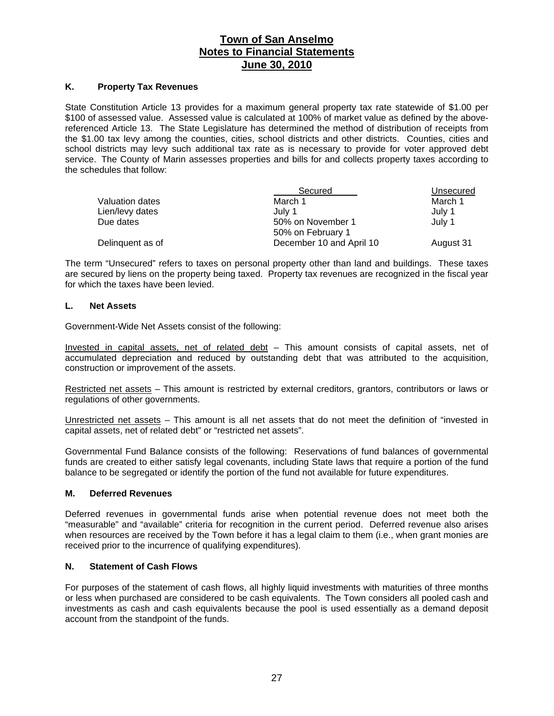## **K. Property Tax Revenues**

State Constitution Article 13 provides for a maximum general property tax rate statewide of \$1.00 per \$100 of assessed value. Assessed value is calculated at 100% of market value as defined by the abovereferenced Article 13. The State Legislature has determined the method of distribution of receipts from the \$1.00 tax levy among the counties, cities, school districts and other districts. Counties, cities and school districts may levy such additional tax rate as is necessary to provide for voter approved debt service. The County of Marin assesses properties and bills for and collects property taxes according to the schedules that follow:

|                  | Secured                  | Unsecured |  |  |  |
|------------------|--------------------------|-----------|--|--|--|
| Valuation dates  | March 1                  | March 1   |  |  |  |
| Lien/levy dates  | July 1                   | July 1    |  |  |  |
| Due dates        | 50% on November 1        | July 1    |  |  |  |
|                  | 50% on February 1        |           |  |  |  |
| Delinguent as of | December 10 and April 10 | August 31 |  |  |  |

The term "Unsecured" refers to taxes on personal property other than land and buildings. These taxes are secured by liens on the property being taxed. Property tax revenues are recognized in the fiscal year for which the taxes have been levied.

## **L. Net Assets**

Government-Wide Net Assets consist of the following:

Invested in capital assets, net of related debt – This amount consists of capital assets, net of accumulated depreciation and reduced by outstanding debt that was attributed to the acquisition, construction or improvement of the assets.

Restricted net assets – This amount is restricted by external creditors, grantors, contributors or laws or regulations of other governments.

Unrestricted net assets – This amount is all net assets that do not meet the definition of "invested in capital assets, net of related debt" or "restricted net assets".

Governmental Fund Balance consists of the following: Reservations of fund balances of governmental funds are created to either satisfy legal covenants, including State laws that require a portion of the fund balance to be segregated or identify the portion of the fund not available for future expenditures.

### **M. Deferred Revenues**

Deferred revenues in governmental funds arise when potential revenue does not meet both the "measurable" and "available" criteria for recognition in the current period. Deferred revenue also arises when resources are received by the Town before it has a legal claim to them (i.e., when grant monies are received prior to the incurrence of qualifying expenditures).

## **N. Statement of Cash Flows**

For purposes of the statement of cash flows, all highly liquid investments with maturities of three months or less when purchased are considered to be cash equivalents. The Town considers all pooled cash and investments as cash and cash equivalents because the pool is used essentially as a demand deposit account from the standpoint of the funds.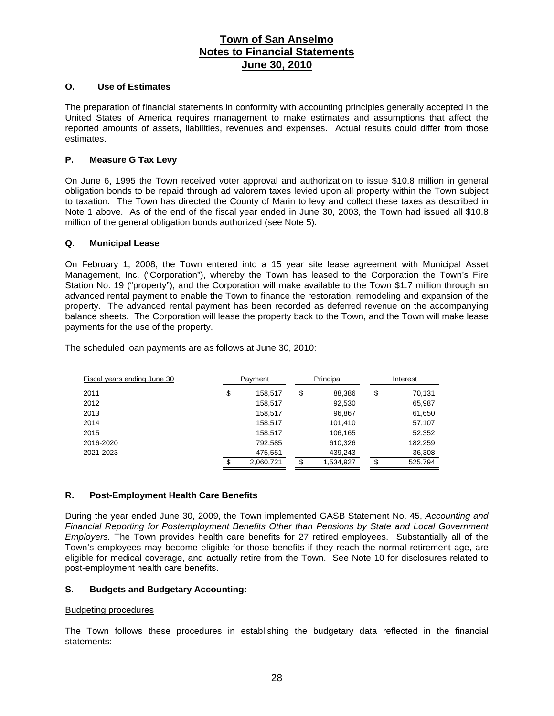## **O. Use of Estimates**

The preparation of financial statements in conformity with accounting principles generally accepted in the United States of America requires management to make estimates and assumptions that affect the reported amounts of assets, liabilities, revenues and expenses. Actual results could differ from those estimates.

## **P. Measure G Tax Levy**

On June 6, 1995 the Town received voter approval and authorization to issue \$10.8 million in general obligation bonds to be repaid through ad valorem taxes levied upon all property within the Town subject to taxation. The Town has directed the County of Marin to levy and collect these taxes as described in Note 1 above. As of the end of the fiscal year ended in June 30, 2003, the Town had issued all \$10.8 million of the general obligation bonds authorized (see Note 5).

## **Q. Municipal Lease**

On February 1, 2008, the Town entered into a 15 year site lease agreement with Municipal Asset Management, Inc. ("Corporation"), whereby the Town has leased to the Corporation the Town's Fire Station No. 19 ("property"), and the Corporation will make available to the Town \$1.7 million through an advanced rental payment to enable the Town to finance the restoration, remodeling and expansion of the property. The advanced rental payment has been recorded as deferred revenue on the accompanying balance sheets. The Corporation will lease the property back to the Town, and the Town will make lease payments for the use of the property.

The scheduled loan payments are as follows at June 30, 2010:

| Fiscal years ending June 30 | Payment         |    | Principal |    |         |  | Interest |
|-----------------------------|-----------------|----|-----------|----|---------|--|----------|
| 2011                        | \$<br>158,517   | \$ | 88,386    | \$ | 70,131  |  |          |
| 2012                        | 158,517         |    | 92,530    |    | 65,987  |  |          |
| 2013                        | 158,517         |    | 96,867    |    | 61,650  |  |          |
| 2014                        | 158,517         |    | 101,410   |    | 57,107  |  |          |
| 2015                        | 158,517         |    | 106,165   |    | 52,352  |  |          |
| 2016-2020                   | 792,585         |    | 610,326   |    | 182,259 |  |          |
| 2021-2023                   | 475,551         |    | 439,243   |    | 36,308  |  |          |
|                             | \$<br>2,060,721 | \$ | 1,534,927 | \$ | 525,794 |  |          |

## **R. Post-Employment Health Care Benefits**

During the year ended June 30, 2009, the Town implemented GASB Statement No. 45, *Accounting and Financial Reporting for Postemployment Benefits Other than Pensions by State and Local Government Employers.* The Town provides health care benefits for 27 retired employees. Substantially all of the Town's employees may become eligible for those benefits if they reach the normal retirement age, are eligible for medical coverage, and actually retire from the Town. See Note 10 for disclosures related to post-employment health care benefits.

## **S. Budgets and Budgetary Accounting:**

### Budgeting procedures

The Town follows these procedures in establishing the budgetary data reflected in the financial statements: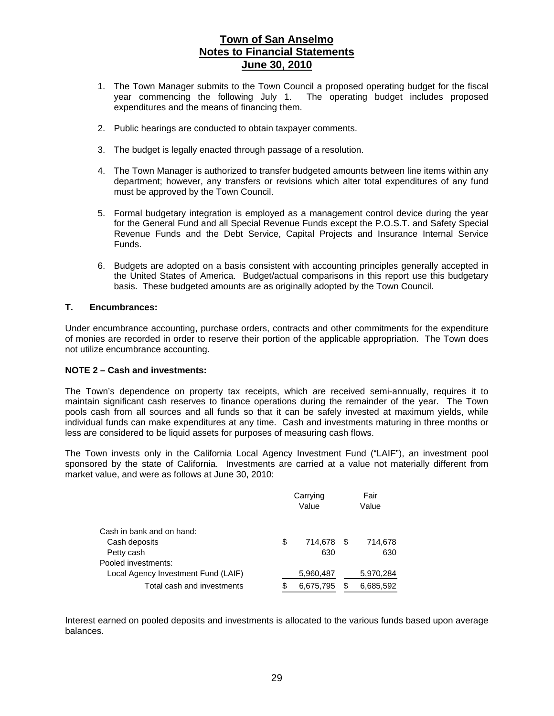- 1. The Town Manager submits to the Town Council a proposed operating budget for the fiscal year commencing the following July 1. The operating budget includes proposed expenditures and the means of financing them.
- 2. Public hearings are conducted to obtain taxpayer comments.
- 3. The budget is legally enacted through passage of a resolution.
- 4. The Town Manager is authorized to transfer budgeted amounts between line items within any department; however, any transfers or revisions which alter total expenditures of any fund must be approved by the Town Council.
- 5. Formal budgetary integration is employed as a management control device during the year for the General Fund and all Special Revenue Funds except the P.O.S.T. and Safety Special Revenue Funds and the Debt Service, Capital Projects and Insurance Internal Service Funds.
- 6. Budgets are adopted on a basis consistent with accounting principles generally accepted in the United States of America. Budget/actual comparisons in this report use this budgetary basis. These budgeted amounts are as originally adopted by the Town Council.

## **T. Encumbrances:**

Under encumbrance accounting, purchase orders, contracts and other commitments for the expenditure of monies are recorded in order to reserve their portion of the applicable appropriation. The Town does not utilize encumbrance accounting.

### **NOTE 2 – Cash and investments:**

The Town's dependence on property tax receipts, which are received semi-annually, requires it to maintain significant cash reserves to finance operations during the remainder of the year. The Town pools cash from all sources and all funds so that it can be safely invested at maximum yields, while individual funds can make expenditures at any time. Cash and investments maturing in three months or less are considered to be liquid assets for purposes of measuring cash flows.

The Town invests only in the California Local Agency Investment Fund ("LAIF"), an investment pool sponsored by the state of California. Investments are carried at a value not materially different from market value, and were as follows at June 30, 2010:

|                                     | Carrying<br>Value | Fair<br>Value |           |  |  |
|-------------------------------------|-------------------|---------------|-----------|--|--|
| Cash in bank and on hand:           |                   |               |           |  |  |
| Cash deposits                       | \$<br>714.678 \$  |               | 714,678   |  |  |
| Petty cash                          | 630               |               | 630       |  |  |
| Pooled investments:                 |                   |               |           |  |  |
| Local Agency Investment Fund (LAIF) | 5,960,487         |               | 5,970,284 |  |  |
| Total cash and investments          | 6,675,795         |               | 6,685,592 |  |  |

Interest earned on pooled deposits and investments is allocated to the various funds based upon average balances.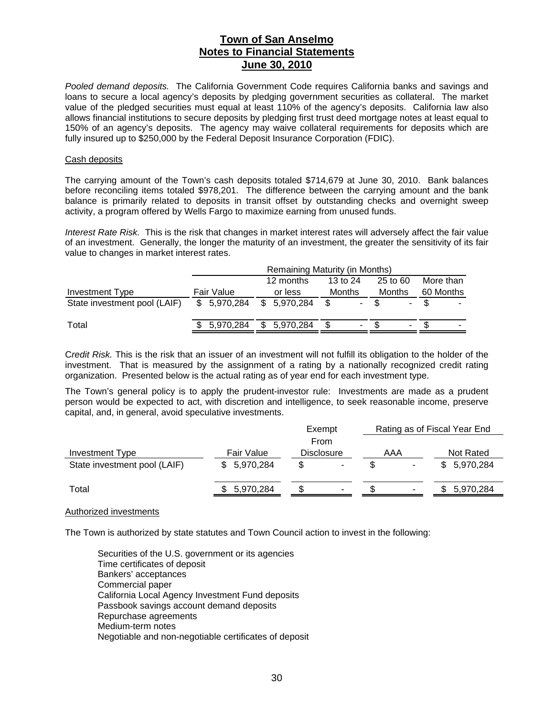*Pooled demand deposits.* The California Government Code requires California banks and savings and loans to secure a local agency's deposits by pledging government securities as collateral. The market value of the pledged securities must equal at least 110% of the agency's deposits. California law also allows financial institutions to secure deposits by pledging first trust deed mortgage notes at least equal to 150% of an agency's deposits. The agency may waive collateral requirements for deposits which are fully insured up to \$250,000 by the Federal Deposit Insurance Corporation (FDIC).

### Cash deposits

The carrying amount of the Town's cash deposits totaled \$714,679 at June 30, 2010. Bank balances before reconciling items totaled \$978,201. The difference between the carrying amount and the bank balance is primarily related to deposits in transit offset by outstanding checks and overnight sweep activity, a program offered by Wells Fargo to maximize earning from unused funds.

*Interest Rate Risk.* This is the risk that changes in market interest rates will adversely affect the fair value of an investment. Generally, the longer the maturity of an investment, the greater the sensitivity of its fair value to changes in market interest rates.

|                              | Remaining Maturity (in Months) |              |          |          |           |  |  |  |
|------------------------------|--------------------------------|--------------|----------|----------|-----------|--|--|--|
|                              |                                | 12 months    | 13 to 24 | 25 to 60 | More than |  |  |  |
| Investment Type              | Fair Value                     | or less      | Months   | Months   | 60 Months |  |  |  |
| State investment pool (LAIF) | \$5,970,284                    | \$ 5,970,284 |          |          |           |  |  |  |
| Total                        | 5,970,284                      | \$5,970,284  | -        | -        |           |  |  |  |

C*redit Risk.* This is the risk that an issuer of an investment will not fulfill its obligation to the holder of the investment. That is measured by the assignment of a rating by a nationally recognized credit rating organization. Presented below is the actual rating as of year end for each investment type.

The Town's general policy is to apply the prudent-investor rule: Investments are made as a prudent person would be expected to act, with discretion and intelligence, to seek reasonable income, preserve capital, and, in general, avoid speculative investments.

|                              |             | Exempt            |        | Rating as of Fiscal Year End |  |  |
|------------------------------|-------------|-------------------|--------|------------------------------|--|--|
|                              |             | From              |        |                              |  |  |
| Investment Type              | Fair Value  | <b>Disclosure</b> | AAA    | Not Rated                    |  |  |
| State investment pool (LAIF) | \$5,970,284 | \$                | $\sim$ | \$5,970,284                  |  |  |
| Total                        | 5,970,284   | S<br>۰.           | ۰      | 5,970,284                    |  |  |

### Authorized investments

The Town is authorized by state statutes and Town Council action to invest in the following:

 Securities of the U.S. government or its agencies Time certificates of deposit Bankers' acceptances Commercial paper California Local Agency Investment Fund deposits Passbook savings account demand deposits Repurchase agreements Medium-term notes Negotiable and non-negotiable certificates of deposit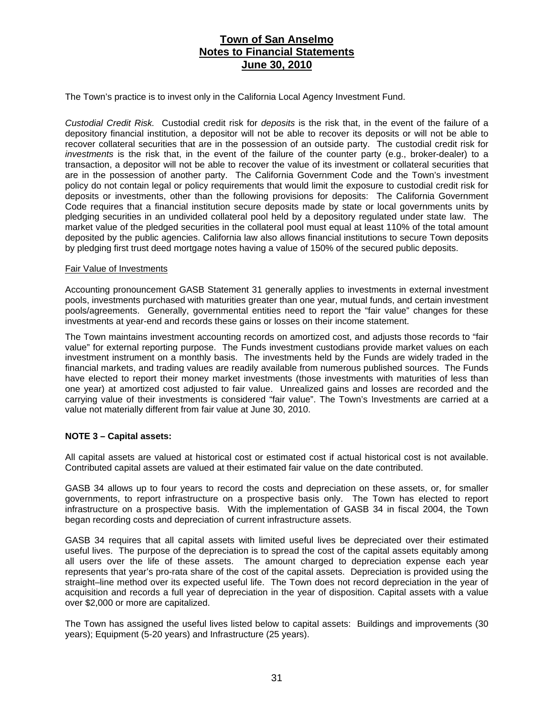The Town's practice is to invest only in the California Local Agency Investment Fund.

*Custodial Credit Risk.* Custodial credit risk for *deposits* is the risk that, in the event of the failure of a depository financial institution, a depositor will not be able to recover its deposits or will not be able to recover collateral securities that are in the possession of an outside party. The custodial credit risk for *investments* is the risk that, in the event of the failure of the counter party (e.g., broker-dealer) to a transaction, a depositor will not be able to recover the value of its investment or collateral securities that are in the possession of another party. The California Government Code and the Town's investment policy do not contain legal or policy requirements that would limit the exposure to custodial credit risk for deposits or investments, other than the following provisions for deposits: The California Government Code requires that a financial institution secure deposits made by state or local governments units by pledging securities in an undivided collateral pool held by a depository regulated under state law. The market value of the pledged securities in the collateral pool must equal at least 110% of the total amount deposited by the public agencies. California law also allows financial institutions to secure Town deposits by pledging first trust deed mortgage notes having a value of 150% of the secured public deposits.

## Fair Value of Investments

Accounting pronouncement GASB Statement 31 generally applies to investments in external investment pools, investments purchased with maturities greater than one year, mutual funds, and certain investment pools/agreements. Generally, governmental entities need to report the "fair value" changes for these investments at year-end and records these gains or losses on their income statement.

The Town maintains investment accounting records on amortized cost, and adjusts those records to "fair value" for external reporting purpose. The Funds investment custodians provide market values on each investment instrument on a monthly basis. The investments held by the Funds are widely traded in the financial markets, and trading values are readily available from numerous published sources. The Funds have elected to report their money market investments (those investments with maturities of less than one year) at amortized cost adjusted to fair value. Unrealized gains and losses are recorded and the carrying value of their investments is considered "fair value". The Town's Investments are carried at a value not materially different from fair value at June 30, 2010.

## **NOTE 3 – Capital assets:**

All capital assets are valued at historical cost or estimated cost if actual historical cost is not available. Contributed capital assets are valued at their estimated fair value on the date contributed.

GASB 34 allows up to four years to record the costs and depreciation on these assets, or, for smaller governments, to report infrastructure on a prospective basis only. The Town has elected to report infrastructure on a prospective basis. With the implementation of GASB 34 in fiscal 2004, the Town began recording costs and depreciation of current infrastructure assets.

GASB 34 requires that all capital assets with limited useful lives be depreciated over their estimated useful lives. The purpose of the depreciation is to spread the cost of the capital assets equitably among all users over the life of these assets. The amount charged to depreciation expense each year represents that year's pro-rata share of the cost of the capital assets. Depreciation is provided using the straight–line method over its expected useful life. The Town does not record depreciation in the year of acquisition and records a full year of depreciation in the year of disposition. Capital assets with a value over \$2,000 or more are capitalized.

The Town has assigned the useful lives listed below to capital assets: Buildings and improvements (30 years); Equipment (5-20 years) and Infrastructure (25 years).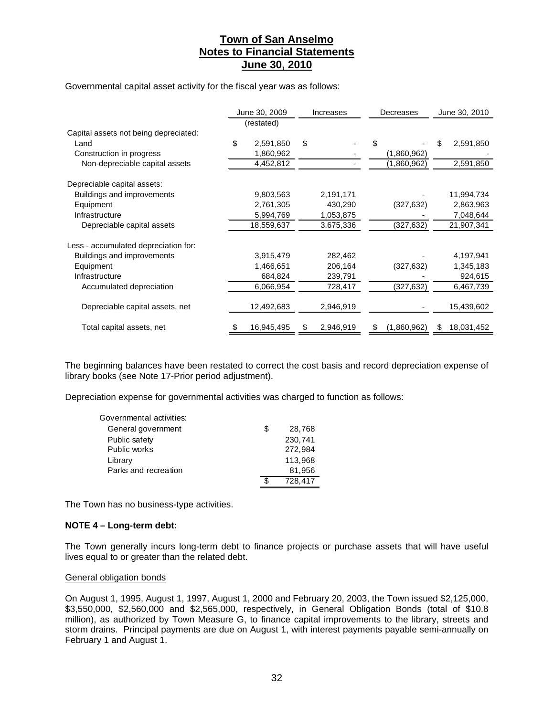Governmental capital asset activity for the fiscal year was as follows:

|                                       | June 30, 2009<br>Increases |            |           | Decreases |             | June 30, 2010 |            |
|---------------------------------------|----------------------------|------------|-----------|-----------|-------------|---------------|------------|
|                                       |                            | (restated) |           |           |             |               |            |
| Capital assets not being depreciated: |                            |            |           |           |             |               |            |
| Land                                  | \$                         | 2,591,850  | \$        | S         |             | S             | 2,591,850  |
| Construction in progress              |                            | 1,860,962  |           |           | (1,860,962) |               |            |
| Non-depreciable capital assets        |                            | 4,452,812  |           |           | (1,860,962) |               | 2,591,850  |
| Depreciable capital assets:           |                            |            |           |           |             |               |            |
| Buildings and improvements            |                            | 9,803,563  | 2,191,171 |           |             |               | 11,994,734 |
| Equipment                             |                            | 2,761,305  | 430,290   |           | (327, 632)  |               | 2,863,963  |
| Infrastructure                        |                            | 5,994,769  | 1,053,875 |           |             |               | 7,048,644  |
| Depreciable capital assets            |                            | 18,559,637 | 3,675,336 |           | (327, 632)  |               | 21,907,341 |
| Less - accumulated depreciation for:  |                            |            |           |           |             |               |            |
| Buildings and improvements            |                            | 3,915,479  | 282,462   |           |             |               | 4,197,941  |
| Equipment                             |                            | 1,466,651  | 206,164   |           | (327, 632)  |               | 1,345,183  |
| Infrastructure                        |                            | 684,824    | 239,791   |           |             |               | 924,615    |
| Accumulated depreciation              |                            | 6,066,954  | 728,417   |           | (327, 632)  |               | 6,467,739  |
| Depreciable capital assets, net       |                            | 12,492,683 | 2,946,919 |           |             |               | 15,439,602 |
| Total capital assets, net             |                            | 16,945,495 | 2,946,919 | \$        | (1,860,962) | \$            | 18,031,452 |

The beginning balances have been restated to correct the cost basis and record depreciation expense of library books (see Note 17-Prior period adjustment).

Depreciation expense for governmental activities was charged to function as follows:

| Governmental activities: |   |         |
|--------------------------|---|---------|
| General government       | S | 28.768  |
| Public safety            |   | 230.741 |
| Public works             |   | 272.984 |
| Library                  |   | 113,968 |
| Parks and recreation     |   | 81,956  |
|                          |   | 728.417 |

The Town has no business-type activities.

#### **NOTE 4 – Long-term debt:**

The Town generally incurs long-term debt to finance projects or purchase assets that will have useful lives equal to or greater than the related debt.

#### General obligation bonds

On August 1, 1995, August 1, 1997, August 1, 2000 and February 20, 2003, the Town issued \$2,125,000, \$3,550,000, \$2,560,000 and \$2,565,000, respectively, in General Obligation Bonds (total of \$10.8 million), as authorized by Town Measure G, to finance capital improvements to the library, streets and storm drains. Principal payments are due on August 1, with interest payments payable semi-annually on February 1 and August 1.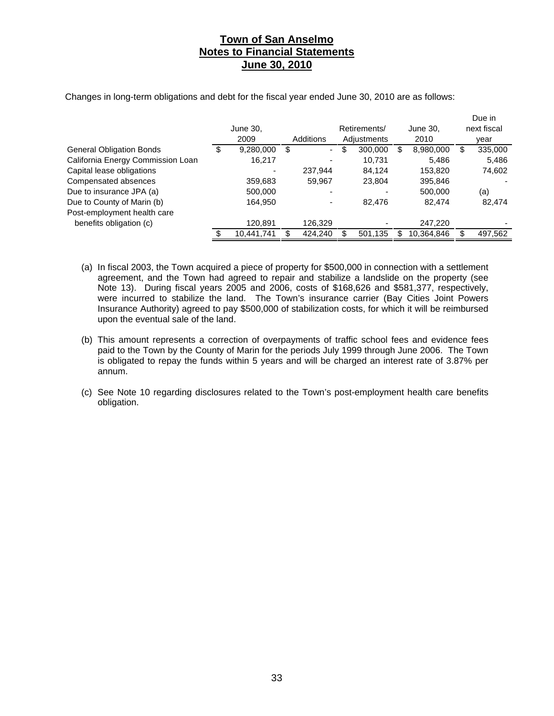|                                   |   |            |   |           |               |   |            | Due in        |
|-----------------------------------|---|------------|---|-----------|---------------|---|------------|---------------|
|                                   |   | June 30,   |   |           | Retirements/  |   | June 30.   | next fiscal   |
|                                   |   | 2009       |   | Additions | Adjustments   |   | 2010       | year          |
| <b>General Obligation Bonds</b>   | S | 9,280,000  | S | $\sim$    | \$<br>300,000 | S | 8,980,000  | \$<br>335,000 |
| California Energy Commission Loan |   | 16,217     |   | -         | 10.731        |   | 5.486      | 5,486         |
| Capital lease obligations         |   |            |   | 237.944   | 84.124        |   | 153,820    | 74,602        |
| Compensated absences              |   | 359,683    |   | 59,967    | 23,804        |   | 395,846    |               |
| Due to insurance JPA (a)          |   | 500,000    |   |           |               |   | 500.000    | (a)           |
| Due to County of Marin (b)        |   | 164.950    |   | -         | 82.476        |   | 82.474     | 82,474        |
| Post-employment health care       |   |            |   |           |               |   |            |               |
| benefits obligation (c)           |   | 120.891    |   | 126.329   |               |   | 247.220    |               |
|                                   |   | 10,441,741 |   | 424,240   | 501.135       |   | 10,364,846 | 497,562       |

Due in

Changes in long-term obligations and debt for the fiscal year ended June 30, 2010 are as follows:

- (a) In fiscal 2003, the Town acquired a piece of property for \$500,000 in connection with a settlement agreement, and the Town had agreed to repair and stabilize a landslide on the property (see Note 13). During fiscal years 2005 and 2006, costs of \$168,626 and \$581,377, respectively, were incurred to stabilize the land. The Town's insurance carrier (Bay Cities Joint Powers Insurance Authority) agreed to pay \$500,000 of stabilization costs, for which it will be reimbursed upon the eventual sale of the land.
- (b) This amount represents a correction of overpayments of traffic school fees and evidence fees paid to the Town by the County of Marin for the periods July 1999 through June 2006. The Town is obligated to repay the funds within 5 years and will be charged an interest rate of 3.87% per annum.
- (c) See Note 10 regarding disclosures related to the Town's post-employment health care benefits obligation.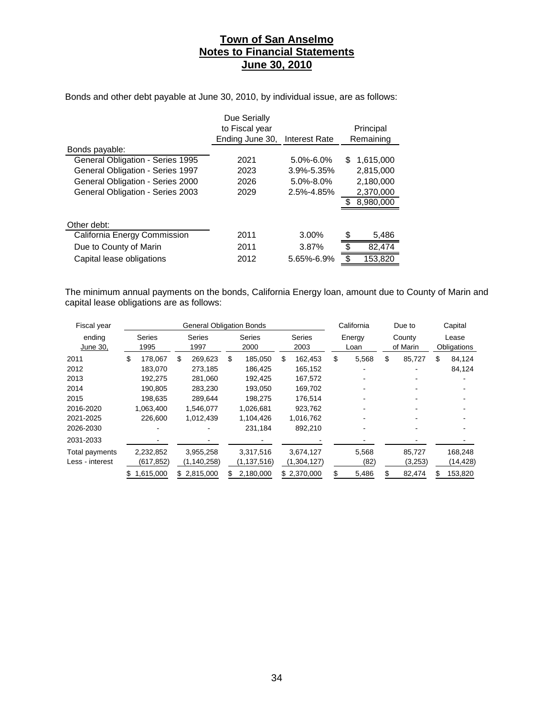|                                  | Due Serially                  |                  |           |           |
|----------------------------------|-------------------------------|------------------|-----------|-----------|
|                                  | to Fiscal year                |                  |           | Principal |
|                                  | Ending June 30, Interest Rate |                  | Remaining |           |
| Bonds payable:                   |                               |                  |           |           |
| General Obligation - Series 1995 | 2021                          | $5.0\% - 6.0\%$  | S.        | 1.615.000 |
| General Obligation - Series 1997 | 2023                          | $3.9\% - 5.35\%$ |           | 2,815,000 |
| General Obligation - Series 2000 | 2026                          | $5.0\% - 8.0\%$  |           | 2.180.000 |
| General Obligation - Series 2003 | 2029                          | 2.5%-4.85%       |           | 2,370,000 |
|                                  |                               |                  |           | 8,980,000 |
|                                  |                               |                  |           |           |
| Other debt:                      |                               |                  |           |           |
| California Energy Commission     | 2011                          | $3.00\%$         | S         | 5,486     |
| Due to County of Marin           | 2011                          | 3.87%            |           | 82,474    |
| Capital lease obligations        | 2012                          | $5.65\% - 6.9\%$ |           | 153,820   |
|                                  |                               |                  |           |           |

Bonds and other debt payable at June 30, 2010, by individual issue, are as follows:

The minimum annual payments on the bonds, California Energy loan, amount due to County of Marin and capital lease obligations are as follows:

| Fiscal year        | <b>General Obligation Bonds</b> |   |                       |    |                |    | California     |    | Due to         |    | Capital            |    |                      |
|--------------------|---------------------------------|---|-----------------------|----|----------------|----|----------------|----|----------------|----|--------------------|----|----------------------|
| ending<br>June 30, | Series<br>1995                  |   | <b>Series</b><br>1997 |    | Series<br>2000 |    | Series<br>2003 |    | Energy<br>Loan |    | County<br>of Marin |    | Lease<br>Obligations |
| 2011               | \$<br>178.067                   | S | 269.623               | \$ | 185,050        | \$ | 162.453        | \$ | 5,568          | \$ | 85,727             | \$ | 84,124               |
| 2012               | 183,070                         |   | 273,185               |    | 186,425        |    | 165,152        |    |                |    |                    |    | 84,124               |
| 2013               | 192,275                         |   | 281,060               |    | 192,425        |    | 167,572        |    |                |    |                    |    |                      |
| 2014               | 190,805                         |   | 283,230               |    | 193,050        |    | 169,702        |    |                |    |                    |    |                      |
| 2015               | 198.635                         |   | 289.644               |    | 198.275        |    | 176,514        |    |                |    |                    |    |                      |
| 2016-2020          | 1,063,400                       |   | 1,546,077             |    | 1,026,681      |    | 923,762        |    |                |    |                    |    |                      |
| 2021-2025          | 226,600                         |   | 1,012,439             |    | 1,104,426      |    | 1,016,762      |    |                |    |                    |    |                      |
| 2026-2030          |                                 |   |                       |    | 231,184        |    | 892,210        |    |                |    |                    |    |                      |
| 2031-2033          |                                 |   |                       |    |                |    |                |    |                |    |                    |    |                      |
| Total payments     | 2,232,852                       |   | 3,955,258             |    | 3,317,516      |    | 3,674,127      |    | 5,568          |    | 85,727             |    | 168,248              |
| Less - interest    | (617,852)                       |   | (1, 140, 258)         |    | (1, 137, 516)  |    | (1,304,127)    |    | (82)           |    | (3,253)            |    | (14,428)             |
|                    | \$<br>1,615,000                 |   | \$2,815,000           | S. | 2,180,000      |    | \$2,370,000    |    | 5,486          | \$ | 82,474             | S  | 153,820              |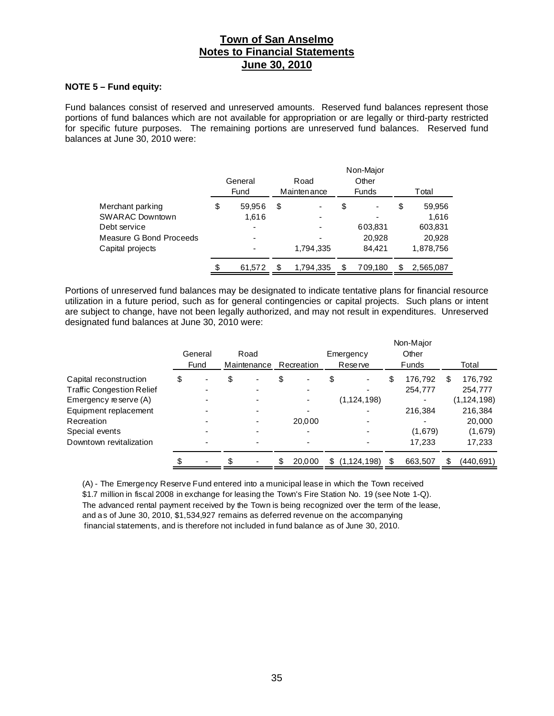#### **NOTE 5 – Fund equity:**

Fund balances consist of reserved and unreserved amounts. Reserved fund balances represent those portions of fund balances which are not available for appropriation or are legally or third-party restricted for specific future purposes. The remaining portions are unreserved fund balances. Reserved fund balances at June 30, 2010 were:

|                                                                                                           | General<br>Fund                                                               |    | Road<br>Maintenance                   | Non-Major<br>Other<br><b>Funds</b>     | Total |                                                   |  |
|-----------------------------------------------------------------------------------------------------------|-------------------------------------------------------------------------------|----|---------------------------------------|----------------------------------------|-------|---------------------------------------------------|--|
| Merchant parking<br><b>SWARAC Downtown</b><br>Debt service<br>Measure G Bond Proceeds<br>Capital projects | \$<br>59,956<br>1,616<br>$\overline{\phantom{0}}$<br>$\overline{\phantom{0}}$ | \$ | $\overline{\phantom{a}}$<br>1,794,335 | \$<br>٠<br>603,831<br>20,928<br>84.421 | \$    | 59,956<br>1,616<br>603,831<br>20,928<br>1,878,756 |  |
|                                                                                                           | \$<br>61,572                                                                  | S  | 1,794,335                             | 709,180                                |       | 2,565,087                                         |  |

Portions of unreserved fund balances may be designated to indicate tentative plans for financial resource utilization in a future period, such as for general contingencies or capital projects. Such plans or intent are subject to change, have not been legally authorized, and may not result in expenditures. Unreserved designated fund balances at June 30, 2010 were:

|                                  | General | Road |                        |    | Emergency      |    | Non-Major<br>Other |               |
|----------------------------------|---------|------|------------------------|----|----------------|----|--------------------|---------------|
|                                  | Fund    |      | Maintenance Recreation |    | <b>Reserve</b> |    | <b>Funds</b>       | Total         |
| Capital reconstruction           | \$<br>- | \$   | \$                     | \$ |                | \$ | 176,792            | \$<br>176,792 |
| <b>Traffic Congestion Relief</b> | ۰       |      |                        |    |                |    | 254,777            | 254,777       |
| Emergency reserve (A)            |         |      |                        |    | (1, 124, 198)  |    |                    | (1, 124, 198) |
| Equipment replacement            |         |      |                        |    |                |    | 216,384            | 216,384       |
| Recreation                       |         |      | 20,000                 |    |                |    |                    | 20,000        |
| Special events                   |         |      |                        |    |                |    | (1,679)            | (1,679)       |
| Downtown revitalization          | -       |      |                        |    |                |    | 17.233             | 17,233        |
|                                  | ٠       |      | 20,000                 | S. | (1, 124, 198)  | S. | 663,507            | (440, 691)    |

(A) - The Emergency Reserve Fund entered into a municipal lease in which the Town received \$1.7 million in fiscal 2008 in exchange for leasing the Town's Fire Station No. 19 (see Note 1-Q). The advanced rental payment received by the Town is being recognized over the term of the lease, and as of June 30, 2010, \$1,534,927 remains as deferred revenue on the accompanying financial statements, and is therefore not included in fund balance as of June 30, 2010.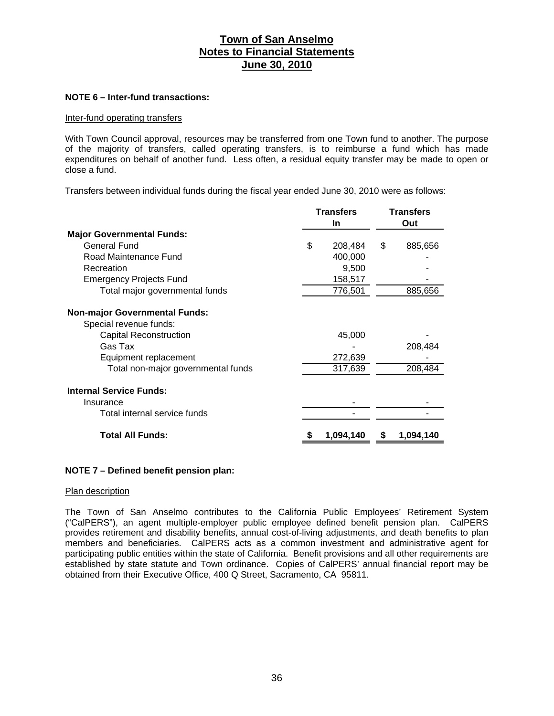#### **NOTE 6 – Inter-fund transactions:**

#### Inter-fund operating transfers

With Town Council approval, resources may be transferred from one Town fund to another. The purpose of the majority of transfers, called operating transfers, is to reimburse a fund which has made expenditures on behalf of another fund. Less often, a residual equity transfer may be made to open or close a fund.

Transfers between individual funds during the fiscal year ended June 30, 2010 were as follows:

|                                      | <b>Transfers</b> |           | <b>Transfers</b> |           |  |  |
|--------------------------------------|------------------|-----------|------------------|-----------|--|--|
|                                      | <b>In</b>        |           |                  | Out       |  |  |
| <b>Major Governmental Funds:</b>     |                  |           |                  |           |  |  |
| <b>General Fund</b>                  | \$               | 208,484   | \$               | 885,656   |  |  |
| Road Maintenance Fund                |                  | 400,000   |                  |           |  |  |
| Recreation                           |                  | 9,500     |                  |           |  |  |
| Emergency Projects Fund              |                  | 158,517   |                  |           |  |  |
| Total major governmental funds       |                  | 776,501   |                  | 885,656   |  |  |
| <b>Non-major Governmental Funds:</b> |                  |           |                  |           |  |  |
| Special revenue funds:               |                  |           |                  |           |  |  |
| <b>Capital Reconstruction</b>        |                  | 45,000    |                  |           |  |  |
| Gas Tax                              |                  |           |                  | 208,484   |  |  |
| Equipment replacement                |                  | 272,639   |                  |           |  |  |
| Total non-major governmental funds   |                  | 317,639   |                  | 208,484   |  |  |
| <b>Internal Service Funds:</b>       |                  |           |                  |           |  |  |
| Insurance                            |                  |           |                  |           |  |  |
| Total internal service funds         |                  |           |                  |           |  |  |
| <b>Total All Funds:</b>              |                  | 1,094,140 | S                | 1,094,140 |  |  |

### **NOTE 7 – Defined benefit pension plan:**

### Plan description

The Town of San Anselmo contributes to the California Public Employees' Retirement System ("CalPERS"), an agent multiple-employer public employee defined benefit pension plan. CalPERS provides retirement and disability benefits, annual cost-of-living adjustments, and death benefits to plan members and beneficiaries. CalPERS acts as a common investment and administrative agent for participating public entities within the state of California. Benefit provisions and all other requirements are established by state statute and Town ordinance. Copies of CalPERS' annual financial report may be obtained from their Executive Office, 400 Q Street, Sacramento, CA 95811.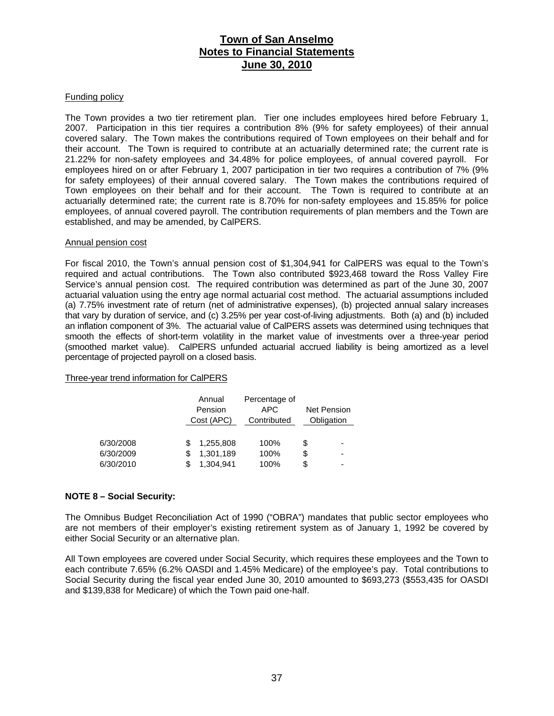### Funding policy

The Town provides a two tier retirement plan. Tier one includes employees hired before February 1, 2007. Participation in this tier requires a contribution 8% (9% for safety employees) of their annual covered salary. The Town makes the contributions required of Town employees on their behalf and for their account. The Town is required to contribute at an actuarially determined rate; the current rate is 21.22% for non-safety employees and 34.48% for police employees, of annual covered payroll. For employees hired on or after February 1, 2007 participation in tier two requires a contribution of 7% (9% for safety employees) of their annual covered salary. The Town makes the contributions required of Town employees on their behalf and for their account. The Town is required to contribute at an actuarially determined rate; the current rate is 8.70% for non-safety employees and 15.85% for police employees, of annual covered payroll. The contribution requirements of plan members and the Town are established, and may be amended, by CalPERS.

### Annual pension cost

For fiscal 2010, the Town's annual pension cost of \$1,304,941 for CalPERS was equal to the Town's required and actual contributions. The Town also contributed \$923,468 toward the Ross Valley Fire Service's annual pension cost. The required contribution was determined as part of the June 30, 2007 actuarial valuation using the entry age normal actuarial cost method. The actuarial assumptions included (a) 7.75% investment rate of return (net of administrative expenses), (b) projected annual salary increases that vary by duration of service, and (c) 3.25% per year cost-of-living adjustments. Both (a) and (b) included an inflation component of 3%. The actuarial value of CalPERS assets was determined using techniques that smooth the effects of short-term volatility in the market value of investments over a three-year period (smoothed market value). CalPERS unfunded actuarial accrued liability is being amortized as a level percentage of projected payroll on a closed basis.

### Three-year trend information for CalPERS

|           |  | Annual<br>Pension<br>Cost (APC) | Percentage of<br>APC<br>Contributed | Net Pension<br>Obligation |  |  |
|-----------|--|---------------------------------|-------------------------------------|---------------------------|--|--|
| 6/30/2008 |  | 1,255,808                       | 100%                                | \$                        |  |  |
| 6/30/2009 |  | 1,301,189                       | 100%                                | \$                        |  |  |
| 6/30/2010 |  | 1.304.941                       | 100%                                | \$                        |  |  |

### **NOTE 8 – Social Security:**

The Omnibus Budget Reconciliation Act of 1990 ("OBRA") mandates that public sector employees who are not members of their employer's existing retirement system as of January 1, 1992 be covered by either Social Security or an alternative plan.

All Town employees are covered under Social Security, which requires these employees and the Town to each contribute 7.65% (6.2% OASDI and 1.45% Medicare) of the employee's pay. Total contributions to Social Security during the fiscal year ended June 30, 2010 amounted to \$693,273 (\$553,435 for OASDI and \$139,838 for Medicare) of which the Town paid one-half.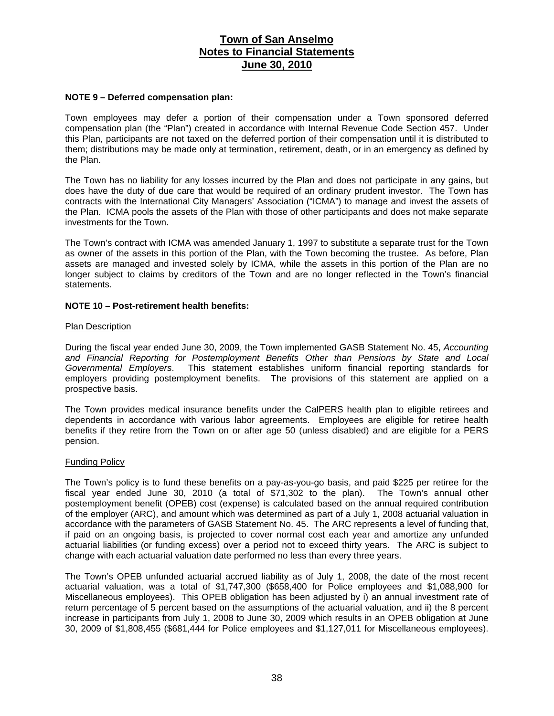### **NOTE 9 – Deferred compensation plan:**

Town employees may defer a portion of their compensation under a Town sponsored deferred compensation plan (the "Plan") created in accordance with Internal Revenue Code Section 457. Under this Plan, participants are not taxed on the deferred portion of their compensation until it is distributed to them; distributions may be made only at termination, retirement, death, or in an emergency as defined by the Plan.

The Town has no liability for any losses incurred by the Plan and does not participate in any gains, but does have the duty of due care that would be required of an ordinary prudent investor. The Town has contracts with the International City Managers' Association ("ICMA") to manage and invest the assets of the Plan. ICMA pools the assets of the Plan with those of other participants and does not make separate investments for the Town.

The Town's contract with ICMA was amended January 1, 1997 to substitute a separate trust for the Town as owner of the assets in this portion of the Plan, with the Town becoming the trustee. As before, Plan assets are managed and invested solely by ICMA, while the assets in this portion of the Plan are no longer subject to claims by creditors of the Town and are no longer reflected in the Town's financial statements.

#### **NOTE 10 – Post-retirement health benefits:**

#### Plan Description

During the fiscal year ended June 30, 2009, the Town implemented GASB Statement No. 45, *Accounting and Financial Reporting for Postemployment Benefits Other than Pensions by State and Local Governmental Employers*. This statement establishes uniform financial reporting standards for employers providing postemployment benefits. The provisions of this statement are applied on a prospective basis.

The Town provides medical insurance benefits under the CalPERS health plan to eligible retirees and dependents in accordance with various labor agreements. Employees are eligible for retiree health benefits if they retire from the Town on or after age 50 (unless disabled) and are eligible for a PERS pension.

### Funding Policy

The Town's policy is to fund these benefits on a pay-as-you-go basis, and paid \$225 per retiree for the fiscal year ended June 30, 2010 (a total of \$71,302 to the plan). The Town's annual other postemployment benefit (OPEB) cost (expense) is calculated based on the annual required contribution of the employer (ARC), and amount which was determined as part of a July 1, 2008 actuarial valuation in accordance with the parameters of GASB Statement No. 45. The ARC represents a level of funding that, if paid on an ongoing basis, is projected to cover normal cost each year and amortize any unfunded actuarial liabilities (or funding excess) over a period not to exceed thirty years. The ARC is subject to change with each actuarial valuation date performed no less than every three years.

The Town's OPEB unfunded actuarial accrued liability as of July 1, 2008, the date of the most recent actuarial valuation, was a total of \$1,747,300 (\$658,400 for Police employees and \$1,088,900 for Miscellaneous employees). This OPEB obligation has been adjusted by i) an annual investment rate of return percentage of 5 percent based on the assumptions of the actuarial valuation, and ii) the 8 percent increase in participants from July 1, 2008 to June 30, 2009 which results in an OPEB obligation at June 30, 2009 of \$1,808,455 (\$681,444 for Police employees and \$1,127,011 for Miscellaneous employees).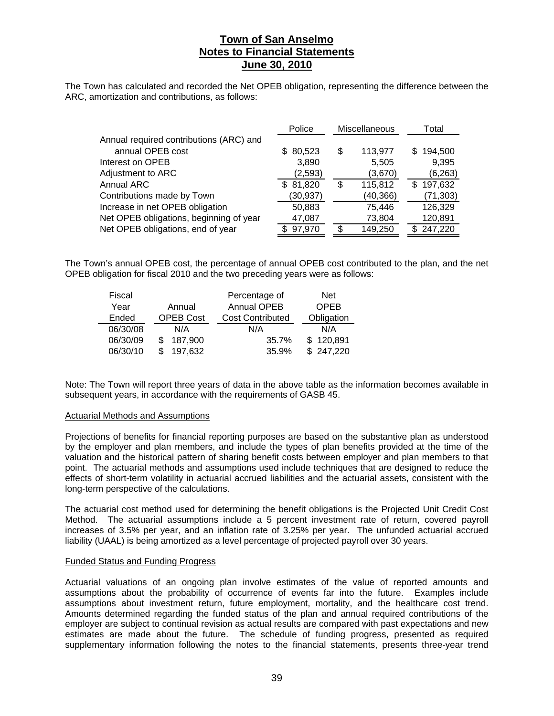The Town has calculated and recorded the Net OPEB obligation, representing the difference between the ARC, amortization and contributions, as follows:

|                                         | Police        | Miscellaneous |           |    | Total     |
|-----------------------------------------|---------------|---------------|-----------|----|-----------|
| Annual required contributions (ARC) and |               |               |           |    |           |
| annual OPEB cost                        | 80,523<br>S.  | \$            | 113,977   | S. | 194,500   |
| Interest on OPEB                        | 3,890         |               | 5,505     |    | 9,395     |
| Adjustment to ARC                       | (2,593)       |               | (3,670)   |    | (6, 263)  |
| <b>Annual ARC</b>                       | \$81,820      | \$            | 115,812   |    | \$197,632 |
| Contributions made by Town              | (30, 937)     |               | (40, 366) |    | (71, 303) |
| Increase in net OPEB obligation         | 50,883        |               | 75,446    |    | 126,329   |
| Net OPEB obligations, beginning of year | 47,087        |               | 73,804    |    | 120,891   |
| Net OPEB obligations, end of year       | 97,970<br>\$. | \$            | 149,250   |    | 247,220   |

The Town's annual OPEB cost, the percentage of annual OPEB cost contributed to the plan, and the net OPEB obligation for fiscal 2010 and the two preceding years were as follows:

| Fiscal   |                  | Percentage of           | <b>Net</b> |
|----------|------------------|-------------------------|------------|
| Year     | Annual           | Annual OPEB             | OPEB       |
| Ended    | <b>OPEB Cost</b> | <b>Cost Contributed</b> | Obligation |
|          |                  |                         |            |
| 06/30/08 | N/A              | N/A                     | N/A        |
| 06/30/09 | 187,900          | 35.7%                   | \$120,891  |

Note: The Town will report three years of data in the above table as the information becomes available in subsequent years, in accordance with the requirements of GASB 45.

#### Actuarial Methods and Assumptions

Projections of benefits for financial reporting purposes are based on the substantive plan as understood by the employer and plan members, and include the types of plan benefits provided at the time of the valuation and the historical pattern of sharing benefit costs between employer and plan members to that point. The actuarial methods and assumptions used include techniques that are designed to reduce the effects of short-term volatility in actuarial accrued liabilities and the actuarial assets, consistent with the long-term perspective of the calculations.

The actuarial cost method used for determining the benefit obligations is the Projected Unit Credit Cost Method. The actuarial assumptions include a 5 percent investment rate of return, covered payroll increases of 3.5% per year, and an inflation rate of 3.25% per year. The unfunded actuarial accrued liability (UAAL) is being amortized as a level percentage of projected payroll over 30 years.

#### Funded Status and Funding Progress

Actuarial valuations of an ongoing plan involve estimates of the value of reported amounts and assumptions about the probability of occurrence of events far into the future. Examples include assumptions about investment return, future employment, mortality, and the healthcare cost trend. Amounts determined regarding the funded status of the plan and annual required contributions of the employer are subject to continual revision as actual results are compared with past expectations and new estimates are made about the future. The schedule of funding progress, presented as required supplementary information following the notes to the financial statements, presents three-year trend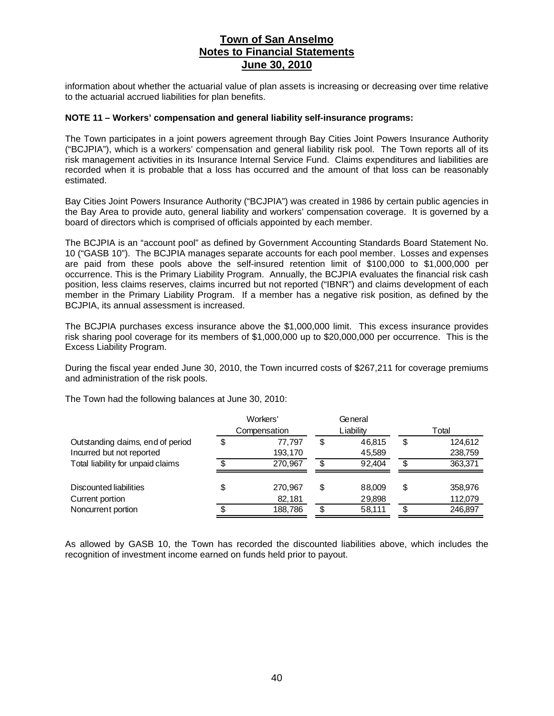information about whether the actuarial value of plan assets is increasing or decreasing over time relative to the actuarial accrued liabilities for plan benefits.

### **NOTE 11 – Workers' compensation and general liability self-insurance programs:**

The Town participates in a joint powers agreement through Bay Cities Joint Powers Insurance Authority ("BCJPIA"), which is a workers' compensation and general liability risk pool. The Town reports all of its risk management activities in its Insurance Internal Service Fund. Claims expenditures and liabilities are recorded when it is probable that a loss has occurred and the amount of that loss can be reasonably estimated.

Bay Cities Joint Powers Insurance Authority ("BCJPIA") was created in 1986 by certain public agencies in the Bay Area to provide auto, general liability and workers' compensation coverage. It is governed by a board of directors which is comprised of officials appointed by each member.

The BCJPIA is an "account pool" as defined by Government Accounting Standards Board Statement No. 10 ("GASB 10"). The BCJPIA manages separate accounts for each pool member. Losses and expenses are paid from these pools above the self-insured retention limit of \$100,000 to \$1,000,000 per occurrence. This is the Primary Liability Program. Annually, the BCJPIA evaluates the financial risk cash position, less claims reserves, claims incurred but not reported ("IBNR") and claims development of each member in the Primary Liability Program. If a member has a negative risk position, as defined by the BCJPIA, its annual assessment is increased.

The BCJPIA purchases excess insurance above the \$1,000,000 limit. This excess insurance provides risk sharing pool coverage for its members of \$1,000,000 up to \$20,000,000 per occurrence. This is the Excess Liability Program.

During the fiscal year ended June 30, 2010, the Town incurred costs of \$267,211 for coverage premiums and administration of the risk pools.

The Town had the following balances at June 30, 2010:

|                                                               | Workers'<br>Compensation |    | General<br>Liability | Total |                    |  |
|---------------------------------------------------------------|--------------------------|----|----------------------|-------|--------------------|--|
| Outstanding daims, end of period<br>Incurred but not reported | \$<br>77.797<br>193,170  | \$ | 46.815<br>45,589     | \$    | 124,612<br>238,759 |  |
| Total liability for unpaid claims                             | \$<br>270.967            | S  | 92.404               | S     | 363,371            |  |
| Discounted liabilities<br>Current portion                     | \$<br>270,967<br>82,181  | \$ | 88,009<br>29,898     | \$    | 358,976<br>112,079 |  |
| Noncurrent portion                                            | \$<br>188,786            | \$ | 58,111               | S     | 246,897            |  |

As allowed by GASB 10, the Town has recorded the discounted liabilities above, which includes the recognition of investment income earned on funds held prior to payout.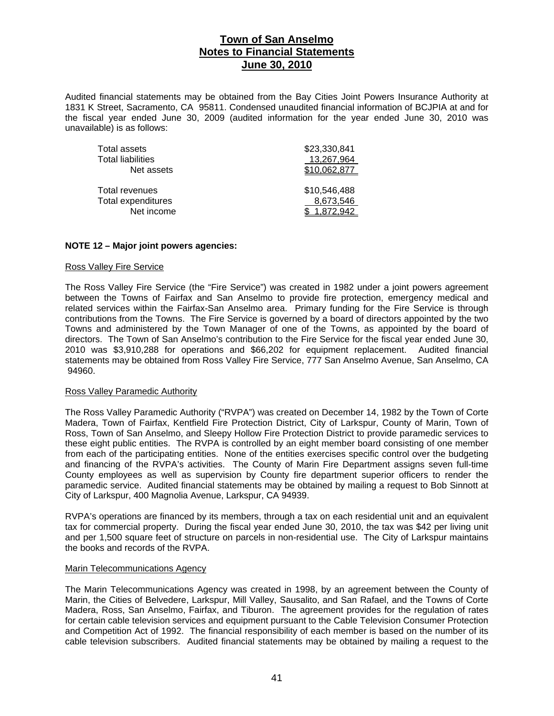Audited financial statements may be obtained from the Bay Cities Joint Powers Insurance Authority at 1831 K Street, Sacramento, CA 95811. Condensed unaudited financial information of BCJPIA at and for the fiscal year ended June 30, 2009 (audited information for the year ended June 30, 2010 was unavailable) is as follows:

| Total assets             | \$23,330,841 |
|--------------------------|--------------|
| <b>Total liabilities</b> | 13,267,964   |
| Net assets               | \$10,062,877 |
|                          |              |
| Total revenues           | \$10,546,488 |
| Total expenditures       | 8.673.546    |
| Net income               | 1.872.942    |

### **NOTE 12 – Major joint powers agencies:**

#### Ross Valley Fire Service

The Ross Valley Fire Service (the "Fire Service") was created in 1982 under a joint powers agreement between the Towns of Fairfax and San Anselmo to provide fire protection, emergency medical and related services within the Fairfax-San Anselmo area. Primary funding for the Fire Service is through contributions from the Towns. The Fire Service is governed by a board of directors appointed by the two Towns and administered by the Town Manager of one of the Towns, as appointed by the board of directors. The Town of San Anselmo's contribution to the Fire Service for the fiscal year ended June 30, 2010 was \$3,910,288 for operations and \$66,202 for equipment replacement. Audited financial statements may be obtained from Ross Valley Fire Service, 777 San Anselmo Avenue, San Anselmo, CA 94960.

#### Ross Valley Paramedic Authority

The Ross Valley Paramedic Authority ("RVPA") was created on December 14, 1982 by the Town of Corte Madera, Town of Fairfax, Kentfield Fire Protection District, City of Larkspur, County of Marin, Town of Ross, Town of San Anselmo, and Sleepy Hollow Fire Protection District to provide paramedic services to these eight public entities. The RVPA is controlled by an eight member board consisting of one member from each of the participating entities. None of the entities exercises specific control over the budgeting and financing of the RVPA's activities. The County of Marin Fire Department assigns seven full-time County employees as well as supervision by County fire department superior officers to render the paramedic service. Audited financial statements may be obtained by mailing a request to Bob Sinnott at City of Larkspur, 400 Magnolia Avenue, Larkspur, CA 94939.

RVPA's operations are financed by its members, through a tax on each residential unit and an equivalent tax for commercial property. During the fiscal year ended June 30, 2010, the tax was \$42 per living unit and per 1,500 square feet of structure on parcels in non-residential use. The City of Larkspur maintains the books and records of the RVPA.

#### Marin Telecommunications Agency

The Marin Telecommunications Agency was created in 1998, by an agreement between the County of Marin, the Cities of Belvedere, Larkspur, Mill Valley, Sausalito, and San Rafael, and the Towns of Corte Madera, Ross, San Anselmo, Fairfax, and Tiburon. The agreement provides for the regulation of rates for certain cable television services and equipment pursuant to the Cable Television Consumer Protection and Competition Act of 1992. The financial responsibility of each member is based on the number of its cable television subscribers. Audited financial statements may be obtained by mailing a request to the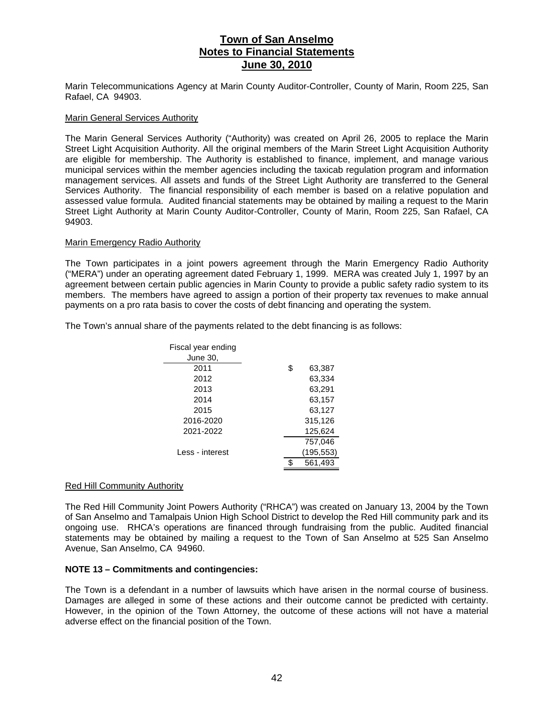Marin Telecommunications Agency at Marin County Auditor-Controller, County of Marin, Room 225, San Rafael, CA 94903.

#### Marin General Services Authority

The Marin General Services Authority ("Authority) was created on April 26, 2005 to replace the Marin Street Light Acquisition Authority. All the original members of the Marin Street Light Acquisition Authority are eligible for membership. The Authority is established to finance, implement, and manage various municipal services within the member agencies including the taxicab regulation program and information management services. All assets and funds of the Street Light Authority are transferred to the General Services Authority. The financial responsibility of each member is based on a relative population and assessed value formula. Audited financial statements may be obtained by mailing a request to the Marin Street Light Authority at Marin County Auditor-Controller, County of Marin, Room 225, San Rafael, CA 94903.

#### Marin Emergency Radio Authority

The Town participates in a joint powers agreement through the Marin Emergency Radio Authority ("MERA") under an operating agreement dated February 1, 1999. MERA was created July 1, 1997 by an agreement between certain public agencies in Marin County to provide a public safety radio system to its members. The members have agreed to assign a portion of their property tax revenues to make annual payments on a pro rata basis to cover the costs of debt financing and operating the system.

The Town's annual share of the payments related to the debt financing is as follows:

| Fiscal year ending |    |           |
|--------------------|----|-----------|
| June 30,           |    |           |
| 2011               | \$ | 63,387    |
| 2012               |    | 63,334    |
| 2013               |    | 63,291    |
| 2014               |    | 63,157    |
| 2015               |    | 63,127    |
| 2016-2020          |    | 315,126   |
| 2021-2022          |    | 125,624   |
|                    |    | 757,046   |
| Less - interest    |    | (195,553) |
|                    |    | 561,493   |

### Red Hill Community Authority

The Red Hill Community Joint Powers Authority ("RHCA") was created on January 13, 2004 by the Town of San Anselmo and Tamalpais Union High School District to develop the Red Hill community park and its ongoing use. RHCA's operations are financed through fundraising from the public. Audited financial statements may be obtained by mailing a request to the Town of San Anselmo at 525 San Anselmo Avenue, San Anselmo, CA 94960.

### **NOTE 13 – Commitments and contingencies:**

The Town is a defendant in a number of lawsuits which have arisen in the normal course of business. Damages are alleged in some of these actions and their outcome cannot be predicted with certainty. However, in the opinion of the Town Attorney, the outcome of these actions will not have a material adverse effect on the financial position of the Town.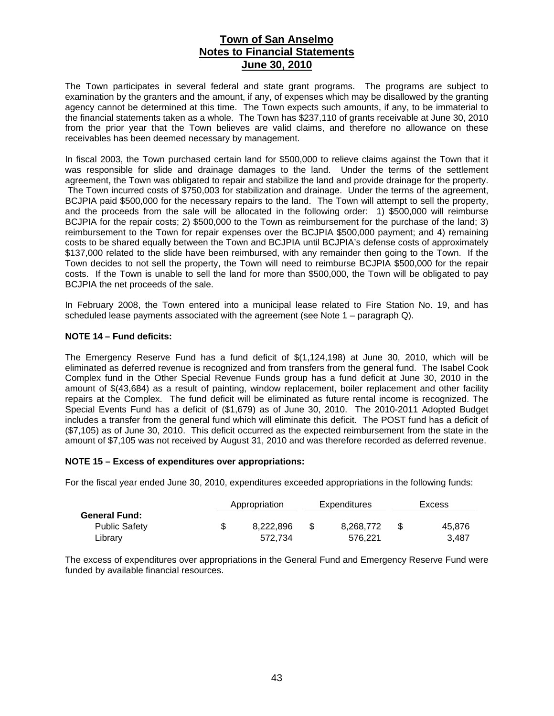The Town participates in several federal and state grant programs. The programs are subject to examination by the granters and the amount, if any, of expenses which may be disallowed by the granting agency cannot be determined at this time. The Town expects such amounts, if any, to be immaterial to the financial statements taken as a whole. The Town has \$237,110 of grants receivable at June 30, 2010 from the prior year that the Town believes are valid claims, and therefore no allowance on these receivables has been deemed necessary by management.

In fiscal 2003, the Town purchased certain land for \$500,000 to relieve claims against the Town that it was responsible for slide and drainage damages to the land. Under the terms of the settlement agreement, the Town was obligated to repair and stabilize the land and provide drainage for the property. The Town incurred costs of \$750,003 for stabilization and drainage. Under the terms of the agreement, BCJPIA paid \$500,000 for the necessary repairs to the land. The Town will attempt to sell the property, and the proceeds from the sale will be allocated in the following order: 1) \$500,000 will reimburse BCJPIA for the repair costs; 2) \$500,000 to the Town as reimbursement for the purchase of the land; 3) reimbursement to the Town for repair expenses over the BCJPIA \$500,000 payment; and 4) remaining costs to be shared equally between the Town and BCJPIA until BCJPIA's defense costs of approximately \$137,000 related to the slide have been reimbursed, with any remainder then going to the Town. If the Town decides to not sell the property, the Town will need to reimburse BCJPIA \$500,000 for the repair costs. If the Town is unable to sell the land for more than \$500,000, the Town will be obligated to pay BCJPIA the net proceeds of the sale.

In February 2008, the Town entered into a municipal lease related to Fire Station No. 19, and has scheduled lease payments associated with the agreement (see Note 1 – paragraph Q).

### **NOTE 14 – Fund deficits:**

The Emergency Reserve Fund has a fund deficit of \$(1,124,198) at June 30, 2010, which will be eliminated as deferred revenue is recognized and from transfers from the general fund. The Isabel Cook Complex fund in the Other Special Revenue Funds group has a fund deficit at June 30, 2010 in the amount of \$(43,684) as a result of painting, window replacement, boiler replacement and other facility repairs at the Complex. The fund deficit will be eliminated as future rental income is recognized. The Special Events Fund has a deficit of (\$1,679) as of June 30, 2010. The 2010-2011 Adopted Budget includes a transfer from the general fund which will eliminate this deficit. The POST fund has a deficit of (\$7,105) as of June 30, 2010. This deficit occurred as the expected reimbursement from the state in the amount of \$7,105 was not received by August 31, 2010 and was therefore recorded as deferred revenue.

### **NOTE 15 – Excess of expenditures over appropriations:**

For the fiscal year ended June 30, 2010, expenditures exceeded appropriations in the following funds:

|                      | Appropriation |  | Expenditures | <b>Excess</b> |  |  |
|----------------------|---------------|--|--------------|---------------|--|--|
| <b>General Fund:</b> |               |  |              |               |  |  |
| <b>Public Safety</b> | 8.222.896     |  | 8.268.772    | 45.876        |  |  |
| Library              | 572.734       |  | 576,221      | 3.487         |  |  |

The excess of expenditures over appropriations in the General Fund and Emergency Reserve Fund were funded by available financial resources.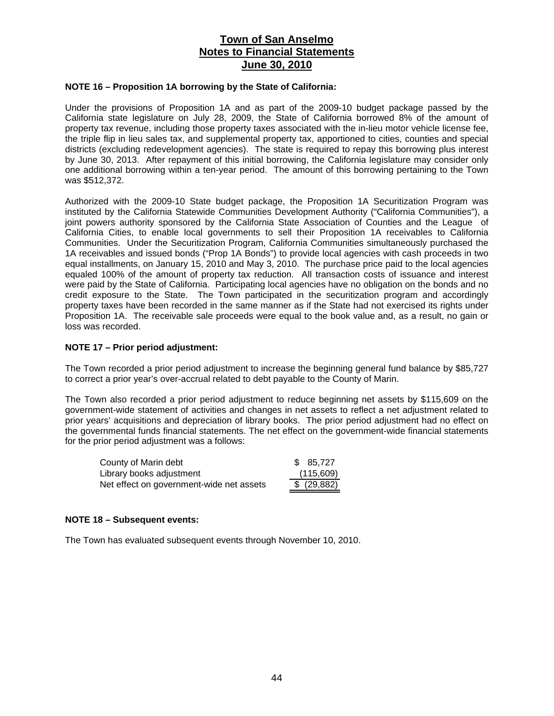### **NOTE 16 – Proposition 1A borrowing by the State of California:**

Under the provisions of Proposition 1A and as part of the 2009-10 budget package passed by the California state legislature on July 28, 2009, the State of California borrowed 8% of the amount of property tax revenue, including those property taxes associated with the in-lieu motor vehicle license fee, the triple flip in lieu sales tax, and supplemental property tax, apportioned to cities, counties and special districts (excluding redevelopment agencies). The state is required to repay this borrowing plus interest by June 30, 2013. After repayment of this initial borrowing, the California legislature may consider only one additional borrowing within a ten-year period. The amount of this borrowing pertaining to the Town was \$512,372.

Authorized with the 2009-10 State budget package, the Proposition 1A Securitization Program was instituted by the California Statewide Communities Development Authority ("California Communities"), a joint powers authority sponsored by the California State Association of Counties and the League of California Cities, to enable local governments to sell their Proposition 1A receivables to California Communities. Under the Securitization Program, California Communities simultaneously purchased the 1A receivables and issued bonds ("Prop 1A Bonds") to provide local agencies with cash proceeds in two equal installments, on January 15, 2010 and May 3, 2010. The purchase price paid to the local agencies equaled 100% of the amount of property tax reduction. All transaction costs of issuance and interest were paid by the State of California. Participating local agencies have no obligation on the bonds and no credit exposure to the State. The Town participated in the securitization program and accordingly property taxes have been recorded in the same manner as if the State had not exercised its rights under Proposition 1A. The receivable sale proceeds were equal to the book value and, as a result, no gain or loss was recorded.

# **NOTE 17 – Prior period adjustment:**

The Town recorded a prior period adjustment to increase the beginning general fund balance by \$85,727 to correct a prior year's over-accrual related to debt payable to the County of Marin.

The Town also recorded a prior period adjustment to reduce beginning net assets by \$115,609 on the government-wide statement of activities and changes in net assets to reflect a net adjustment related to prior years' acquisitions and depreciation of library books. The prior period adjustment had no effect on the governmental funds financial statements. The net effect on the government-wide financial statements for the prior period adjustment was a follows:

| County of Marin debt                     | \$ 85.727    |
|------------------------------------------|--------------|
| Library books adjustment                 | (115,609)    |
| Net effect on government-wide net assets | $$$ (29,882) |

### **NOTE 18 – Subsequent events:**

The Town has evaluated subsequent events through November 10, 2010.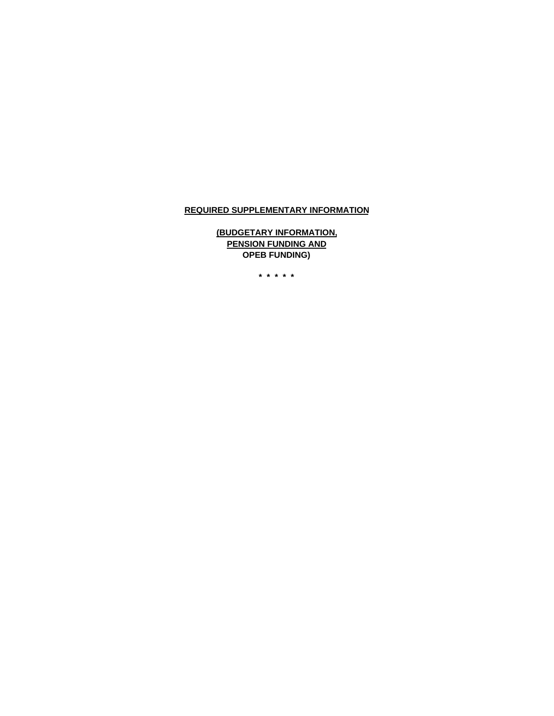# **REQUIRED SUPPLEMENTARY INFORMATION**

**(BUDGETARY INFORMATION, PENSION FUNDING AND OPEB FUNDING)**

**\* \* \* \* \***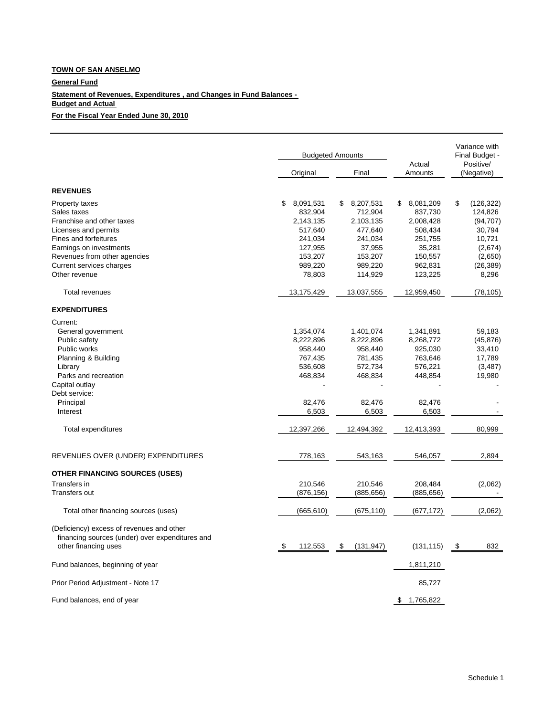# **TOWN OF SAN ANSELMO General Fund Statement of Revenues, Expenditures , and Changes in Fund Balances - Budget and Actual**

# **For the Fiscal Year Ended June 30, 2010**

|                                                                                                                      |                                         | <b>Budgeted Amounts</b>                 |                                         | Variance with<br>Final Budget -          |  |  |
|----------------------------------------------------------------------------------------------------------------------|-----------------------------------------|-----------------------------------------|-----------------------------------------|------------------------------------------|--|--|
|                                                                                                                      | Original                                | Final                                   | Actual<br>Amounts                       | Positive/<br>(Negative)                  |  |  |
| <b>REVENUES</b>                                                                                                      |                                         |                                         |                                         |                                          |  |  |
| Property taxes<br>Sales taxes<br>Franchise and other taxes                                                           | 8,091,531<br>\$<br>832,904<br>2,143,135 | 8,207,531<br>\$<br>712,904<br>2,103,135 | 8,081,209<br>\$<br>837,730<br>2,008,428 | (126, 322)<br>\$<br>124,826<br>(94, 707) |  |  |
| Licenses and permits<br>Fines and forfeitures<br>Earnings on investments                                             | 517,640<br>241,034<br>127,955           | 477,640<br>241,034<br>37,955            | 508,434<br>251,755<br>35,281            | 30,794<br>10,721<br>(2,674)              |  |  |
| Revenues from other agencies<br>Current services charges<br>Other revenue                                            | 153,207<br>989,220<br>78,803            | 153,207<br>989,220<br>114,929           | 150,557<br>962,831<br>123,225           | (2,650)<br>(26, 389)<br>8,296            |  |  |
| <b>Total revenues</b>                                                                                                | 13,175,429                              | 13,037,555                              | 12,959,450                              | (78, 105)                                |  |  |
| <b>EXPENDITURES</b>                                                                                                  |                                         |                                         |                                         |                                          |  |  |
| Current:<br>General government                                                                                       | 1,354,074                               | 1,401,074                               | 1,341,891                               | 59,183                                   |  |  |
| Public safety<br>Public works                                                                                        | 8,222,896<br>958,440                    | 8,222,896<br>958,440                    | 8,268,772<br>925,030                    | (45, 876)<br>33,410                      |  |  |
| Planning & Building<br>Library<br>Parks and recreation                                                               | 767,435<br>536,608<br>468,834           | 781,435<br>572,734<br>468,834           | 763,646<br>576,221<br>448,854           | 17,789<br>(3, 487)<br>19,980             |  |  |
| Capital outlay<br>Debt service:                                                                                      |                                         |                                         |                                         |                                          |  |  |
| Principal<br>Interest                                                                                                | 82,476<br>6,503                         | 82,476<br>6,503                         | 82,476<br>6,503                         |                                          |  |  |
| <b>Total expenditures</b>                                                                                            | 12,397,266                              | 12,494,392                              | 12,413,393                              | 80.999                                   |  |  |
| REVENUES OVER (UNDER) EXPENDITURES                                                                                   | 778,163                                 | 543,163                                 | 546,057                                 | 2,894                                    |  |  |
| <b>OTHER FINANCING SOURCES (USES)</b>                                                                                |                                         |                                         |                                         |                                          |  |  |
| Transfers in<br><b>Transfers out</b>                                                                                 | 210,546<br>(876, 156)                   | 210,546<br>(885, 656)                   | 208,484<br>(885, 656)                   | (2,062)                                  |  |  |
| Total other financing sources (uses)                                                                                 | (665, 610)                              | (675, 110)                              | (677, 172)                              | (2,062)                                  |  |  |
| (Deficiency) excess of revenues and other<br>financing sources (under) over expenditures and<br>other financing uses | \$<br>112,553                           | \$<br>(131, 947)                        | (131, 115)                              | \$<br>832                                |  |  |
| Fund balances, beginning of year                                                                                     |                                         |                                         | 1,811,210                               |                                          |  |  |
| Prior Period Adjustment - Note 17                                                                                    |                                         |                                         | 85,727                                  |                                          |  |  |
| Fund balances, end of year                                                                                           |                                         |                                         | 1,765,822<br>\$                         |                                          |  |  |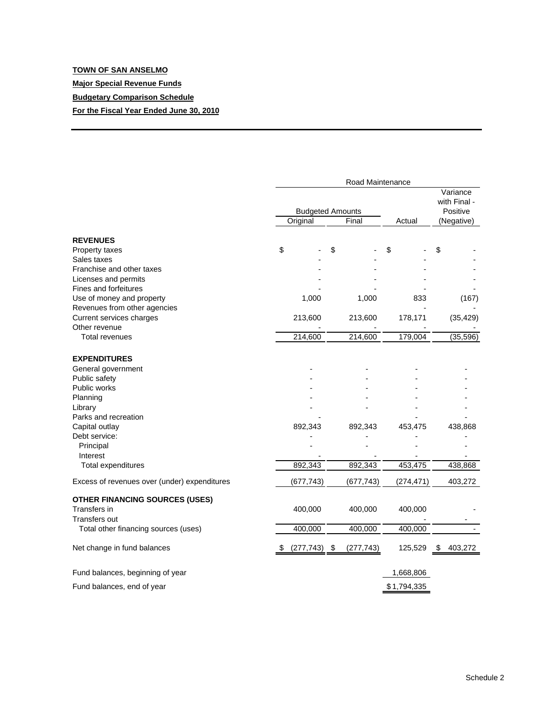# **TOWN OF SAN ANSELMO Major Special Revenue Funds Budgetary Comparison Schedule For the Fiscal Year Ended June 30, 2010**

|                                              | Road Maintenance |                         |    |                                      |             |               |  |  |  |  |  |  |
|----------------------------------------------|------------------|-------------------------|----|--------------------------------------|-------------|---------------|--|--|--|--|--|--|
|                                              |                  | <b>Budgeted Amounts</b> |    | Variance<br>with Final -<br>Positive |             |               |  |  |  |  |  |  |
|                                              |                  | Original                |    | Final                                | Actual      | (Negative)    |  |  |  |  |  |  |
| <b>REVENUES</b>                              |                  |                         |    |                                      |             |               |  |  |  |  |  |  |
| Property taxes                               | \$               |                         | \$ |                                      | \$          | \$            |  |  |  |  |  |  |
| Sales taxes                                  |                  |                         |    |                                      |             |               |  |  |  |  |  |  |
| Franchise and other taxes                    |                  |                         |    |                                      |             |               |  |  |  |  |  |  |
| Licenses and permits                         |                  |                         |    |                                      |             |               |  |  |  |  |  |  |
| Fines and forfeitures                        |                  |                         |    |                                      |             |               |  |  |  |  |  |  |
| Use of money and property                    |                  | 1,000                   |    | 1,000                                | 833         | (167)         |  |  |  |  |  |  |
| Revenues from other agencies                 |                  |                         |    |                                      |             |               |  |  |  |  |  |  |
| Current services charges                     |                  | 213,600                 |    | 213,600                              | 178,171     | (35, 429)     |  |  |  |  |  |  |
| Other revenue                                |                  |                         |    |                                      |             |               |  |  |  |  |  |  |
| <b>Total revenues</b>                        |                  | 214,600                 |    | 214,600                              | 179,004     | (35, 596)     |  |  |  |  |  |  |
| <b>EXPENDITURES</b>                          |                  |                         |    |                                      |             |               |  |  |  |  |  |  |
| General government                           |                  |                         |    |                                      |             |               |  |  |  |  |  |  |
| Public safety                                |                  |                         |    |                                      |             |               |  |  |  |  |  |  |
| Public works                                 |                  |                         |    |                                      |             |               |  |  |  |  |  |  |
| Planning                                     |                  |                         |    |                                      |             |               |  |  |  |  |  |  |
| Library                                      |                  |                         |    |                                      |             |               |  |  |  |  |  |  |
| Parks and recreation                         |                  |                         |    |                                      |             |               |  |  |  |  |  |  |
| Capital outlay                               |                  | 892,343                 |    | 892,343                              | 453,475     | 438,868       |  |  |  |  |  |  |
| Debt service:                                |                  |                         |    |                                      |             |               |  |  |  |  |  |  |
| Principal                                    |                  |                         |    |                                      |             |               |  |  |  |  |  |  |
| Interest                                     |                  |                         |    |                                      |             |               |  |  |  |  |  |  |
| Total expenditures                           |                  | 892,343                 |    | 892,343                              | 453,475     | 438,868       |  |  |  |  |  |  |
| Excess of revenues over (under) expenditures |                  | (677, 743)              |    | (677, 743)                           | (274, 471)  | 403,272       |  |  |  |  |  |  |
| <b>OTHER FINANCING SOURCES (USES)</b>        |                  |                         |    |                                      |             |               |  |  |  |  |  |  |
| Transfers in                                 |                  | 400,000                 |    | 400,000                              | 400,000     |               |  |  |  |  |  |  |
| <b>Transfers out</b>                         |                  |                         |    |                                      |             |               |  |  |  |  |  |  |
| Total other financing sources (uses)         |                  | 400,000                 |    | 400,000                              | 400,000     |               |  |  |  |  |  |  |
| Net change in fund balances                  |                  | (277, 743)              | \$ | (277, 743)                           | 125,529     | \$<br>403,272 |  |  |  |  |  |  |
| Fund balances, beginning of year             |                  |                         |    |                                      | 1,668,806   |               |  |  |  |  |  |  |
| Fund balances, end of year                   |                  |                         |    |                                      | \$1,794,335 |               |  |  |  |  |  |  |
|                                              |                  |                         |    |                                      |             |               |  |  |  |  |  |  |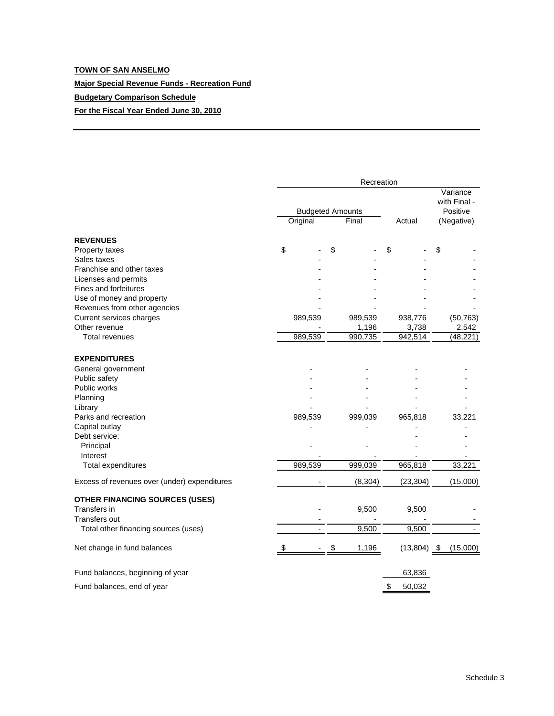# **TOWN OF SAN ANSELMO Major Special Revenue Funds - Recreation Fund Budgetary Comparison Schedule For the Fiscal Year Ended June 30, 2010**

|                                              | Recreation |                         |    |          |               |                                      |            |  |  |  |  |
|----------------------------------------------|------------|-------------------------|----|----------|---------------|--------------------------------------|------------|--|--|--|--|
|                                              |            | <b>Budgeted Amounts</b> |    |          |               | Variance<br>with Final -<br>Positive |            |  |  |  |  |
|                                              |            | Original                |    | Final    | Actual        |                                      | (Negative) |  |  |  |  |
| <b>REVENUES</b>                              |            |                         |    |          |               |                                      |            |  |  |  |  |
| Property taxes                               | \$         |                         | \$ |          | \$            |                                      | \$         |  |  |  |  |
| Sales taxes                                  |            |                         |    |          |               |                                      |            |  |  |  |  |
| Franchise and other taxes                    |            |                         |    |          |               |                                      |            |  |  |  |  |
| Licenses and permits                         |            |                         |    |          |               |                                      |            |  |  |  |  |
| Fines and forfeitures                        |            |                         |    |          |               |                                      |            |  |  |  |  |
| Use of money and property                    |            |                         |    |          |               |                                      |            |  |  |  |  |
| Revenues from other agencies                 |            |                         |    |          |               |                                      |            |  |  |  |  |
| Current services charges                     |            | 989,539                 |    | 989,539  | 938,776       |                                      | (50, 763)  |  |  |  |  |
| Other revenue                                |            |                         |    | 1,196    | 3,738         |                                      | 2,542      |  |  |  |  |
| <b>Total revenues</b>                        |            | 989,539                 |    | 990,735  | 942,514       |                                      | (48, 221)  |  |  |  |  |
| <b>EXPENDITURES</b>                          |            |                         |    |          |               |                                      |            |  |  |  |  |
| General government                           |            |                         |    |          |               |                                      |            |  |  |  |  |
| Public safety                                |            |                         |    |          |               |                                      |            |  |  |  |  |
| Public works                                 |            |                         |    |          |               |                                      |            |  |  |  |  |
| Planning                                     |            |                         |    |          |               |                                      |            |  |  |  |  |
| Library                                      |            |                         |    |          |               |                                      |            |  |  |  |  |
| Parks and recreation                         |            | 989,539                 |    | 999,039  | 965,818       |                                      | 33,221     |  |  |  |  |
| Capital outlay                               |            |                         |    |          |               |                                      |            |  |  |  |  |
| Debt service:                                |            |                         |    |          |               |                                      |            |  |  |  |  |
| Principal                                    |            |                         |    |          |               |                                      |            |  |  |  |  |
| Interest                                     |            |                         |    |          |               |                                      |            |  |  |  |  |
| Total expenditures                           |            | 989,539                 |    | 999,039  | 965,818       |                                      | 33,221     |  |  |  |  |
| Excess of revenues over (under) expenditures |            |                         |    | (8, 304) | (23, 304)     |                                      | (15,000)   |  |  |  |  |
| <b>OTHER FINANCING SOURCES (USES)</b>        |            |                         |    |          |               |                                      |            |  |  |  |  |
| Transfers in                                 |            |                         |    | 9,500    | 9,500         |                                      |            |  |  |  |  |
| <b>Transfers out</b>                         |            |                         |    |          |               |                                      |            |  |  |  |  |
| Total other financing sources (uses)         |            |                         |    | 9,500    | 9,500         |                                      |            |  |  |  |  |
| Net change in fund balances                  |            |                         | \$ | 1,196    | $(13,804)$ \$ |                                      | (15,000)   |  |  |  |  |
| Fund balances, beginning of year             |            |                         |    |          | 63,836        |                                      |            |  |  |  |  |
| Fund balances, end of year                   |            |                         |    |          | \$<br>50,032  |                                      |            |  |  |  |  |
|                                              |            |                         |    |          |               |                                      |            |  |  |  |  |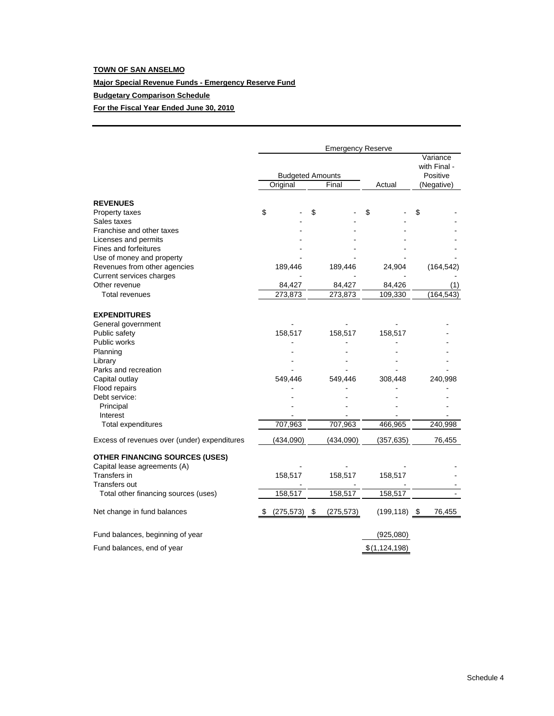**Major Special Revenue Funds - Emergency Reserve Fund**

**Budgetary Comparison Schedule**

**For the Fiscal Year Ended June 30, 2010**

|                                              | <b>Emergency Reserve</b> |                                     |    |            |                 |            |                                      |  |  |  |  |  |  |
|----------------------------------------------|--------------------------|-------------------------------------|----|------------|-----------------|------------|--------------------------------------|--|--|--|--|--|--|
|                                              |                          | <b>Budgeted Amounts</b><br>Original |    | Final      | Actual          |            | Variance<br>with Final -<br>Positive |  |  |  |  |  |  |
|                                              |                          |                                     |    |            |                 | (Negative) |                                      |  |  |  |  |  |  |
| <b>REVENUES</b>                              |                          |                                     |    |            |                 |            |                                      |  |  |  |  |  |  |
| Property taxes                               | \$                       |                                     | \$ |            | \$              | \$         |                                      |  |  |  |  |  |  |
| Sales taxes                                  |                          |                                     |    |            |                 |            |                                      |  |  |  |  |  |  |
| Franchise and other taxes                    |                          |                                     |    |            |                 |            |                                      |  |  |  |  |  |  |
| Licenses and permits                         |                          |                                     |    |            |                 |            |                                      |  |  |  |  |  |  |
| Fines and forfeitures                        |                          |                                     |    |            |                 |            |                                      |  |  |  |  |  |  |
| Use of money and property                    |                          |                                     |    |            |                 |            |                                      |  |  |  |  |  |  |
| Revenues from other agencies                 |                          | 189,446                             |    | 189,446    | 24,904          |            | (164, 542)                           |  |  |  |  |  |  |
| Current services charges                     |                          |                                     |    |            |                 |            |                                      |  |  |  |  |  |  |
| Other revenue                                |                          | 84,427                              |    | 84,427     | 84,426          |            | (1)                                  |  |  |  |  |  |  |
| Total revenues                               |                          | 273,873                             |    | 273,873    | 109,330         |            | (164,543)                            |  |  |  |  |  |  |
|                                              |                          |                                     |    |            |                 |            |                                      |  |  |  |  |  |  |
| <b>EXPENDITURES</b>                          |                          |                                     |    |            |                 |            |                                      |  |  |  |  |  |  |
| General government                           |                          |                                     |    |            |                 |            |                                      |  |  |  |  |  |  |
| Public safety                                |                          | 158,517                             |    | 158,517    | 158,517         |            |                                      |  |  |  |  |  |  |
| Public works                                 |                          |                                     |    |            |                 |            |                                      |  |  |  |  |  |  |
| Planning                                     |                          |                                     |    |            |                 |            |                                      |  |  |  |  |  |  |
| Library                                      |                          |                                     |    |            |                 |            |                                      |  |  |  |  |  |  |
| Parks and recreation                         |                          | 549,446                             |    | 549,446    | 308,448         |            | 240,998                              |  |  |  |  |  |  |
| Capital outlay<br>Flood repairs              |                          |                                     |    |            |                 |            |                                      |  |  |  |  |  |  |
| Debt service:                                |                          |                                     |    |            |                 |            |                                      |  |  |  |  |  |  |
| Principal                                    |                          |                                     |    |            |                 |            |                                      |  |  |  |  |  |  |
| Interest                                     |                          |                                     |    |            |                 |            |                                      |  |  |  |  |  |  |
| <b>Total expenditures</b>                    |                          | 707,963                             |    | 707,963    | 466,965         |            | 240,998                              |  |  |  |  |  |  |
| Excess of revenues over (under) expenditures |                          | (434,090)                           |    | (434,090)  | (357, 635)      |            | 76,455                               |  |  |  |  |  |  |
| <b>OTHER FINANCING SOURCES (USES)</b>        |                          |                                     |    |            |                 |            |                                      |  |  |  |  |  |  |
| Capital lease agreements (A)                 |                          |                                     |    |            |                 |            |                                      |  |  |  |  |  |  |
| Transfers in                                 |                          | 158,517                             |    | 158,517    | 158,517         |            |                                      |  |  |  |  |  |  |
| <b>Transfers out</b>                         |                          |                                     |    |            |                 |            |                                      |  |  |  |  |  |  |
| Total other financing sources (uses)         |                          | 158,517                             |    | 158,517    | 158,517         |            |                                      |  |  |  |  |  |  |
| Net change in fund balances                  | æ.                       | (275, 573)                          | \$ | (275, 573) | $(199, 118)$ \$ |            | 76,455                               |  |  |  |  |  |  |
| Fund balances, beginning of year             |                          |                                     |    |            | (925,080)       |            |                                      |  |  |  |  |  |  |
| Fund balances, end of year                   |                          |                                     |    |            | \$(1, 124, 198) |            |                                      |  |  |  |  |  |  |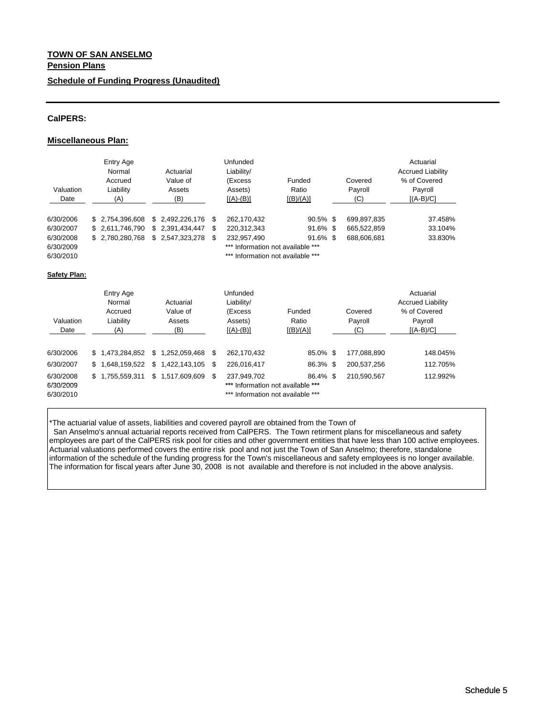# **Pension Plans**

**Schedule of Funding Progress (Unaudited)**

#### **CalPERS:**

#### **Miscellaneous Plan:**

|           | Entry Age        |                  |    | Unfunded    |                                   |             | Actuarial                |
|-----------|------------------|------------------|----|-------------|-----------------------------------|-------------|--------------------------|
|           | Normal           | Actuarial        |    | Liability/  |                                   |             | <b>Accrued Liability</b> |
|           | Accrued          | Value of         |    | (Excess     | Funded                            | Covered     | % of Covered             |
| Valuation | Liability        | Assets           |    | Assets)     | Ratio                             | Payroll     | Payroll                  |
| Date      | (A)              | (B)              |    | $[(A)-(B)]$ | [(B)/(A)]                         | (C)         | $[(A-B)/C]$              |
| 6/30/2006 | \$ 2,754,396,608 | \$ 2,492,226,176 | S  | 262,170,432 | $90.5\%$ \$                       | 699,897,835 | 37.458%                  |
| 6/30/2007 | \$ 2.611.746.790 | \$ 2.391.434.447 | \$ | 220,312,343 | $91.6\%$ \$                       | 665,522,859 | 33.104%                  |
| 6/30/2008 | \$2.780.280.768  | \$2,547,323,278  | \$ | 232,957,490 | $91.6\%$ \$                       | 688,606,681 | 33.830%                  |
| 6/30/2009 |                  |                  |    |             | *** Information not available *** |             |                          |
| 6/30/2010 |                  |                  |    |             | *** Information not available *** |             |                          |

#### **Safety Plan:**

| Valuation<br>Date                   |    | Entry Age<br>Normal<br>Accrued<br>Liability<br>(A) |    | Actuarial<br>Value of<br>Assets<br>(B) |    | Unfunded<br>Liability/<br>(Excess<br>Assets)<br>$[(A)-(B)]$                           | Funded<br>Ratio<br>[(B)/(A)] | Covered<br>Payroll<br>(C) | Actuarial<br><b>Accrued Liability</b><br>% of Covered<br>Payroll<br>$[(A-B)/C]$ |
|-------------------------------------|----|----------------------------------------------------|----|----------------------------------------|----|---------------------------------------------------------------------------------------|------------------------------|---------------------------|---------------------------------------------------------------------------------|
| 6/30/2006                           | S. | 1.473.284.852                                      | S. | 1,252,059,468                          | S  | 262,170,432                                                                           | 85.0% \$                     | 177,088,890               | 148.045%                                                                        |
| 6/30/2007                           | S  | 1,648,159,522                                      | \$ | 1,422,143,105                          | \$ | 226,016,417                                                                           | 86.3% \$                     | 200,537,256               | 112.705%                                                                        |
| 6/30/2008<br>6/30/2009<br>6/30/2010 | \$ | 1,755,559,311                                      | \$ | 1,517,609,609                          | \$ | 237,949,702<br>*** Information not available ***<br>*** Information not available *** | 86.4% \$                     | 210,590,567               | 112.992%                                                                        |

\*The actuarial value of assets, liabilities and covered payroll are obtained from the Town of

San Anselmo's annual actuarial reports received from CalPERS. The Town retirment plans for miscellaneous and safety employees are part of the CalPERS risk pool for cities and other government entities that have less than 100 active employees. Actuarial valuations performed covers the entire risk pool and not just the Town of San Anselmo; therefore, standalone information of the schedule of the funding progress for the Town's miscellaneous and safety employees is no longer available. The information for fiscal years after June 30, 2008 is not available and therefore is not included in the above analysis.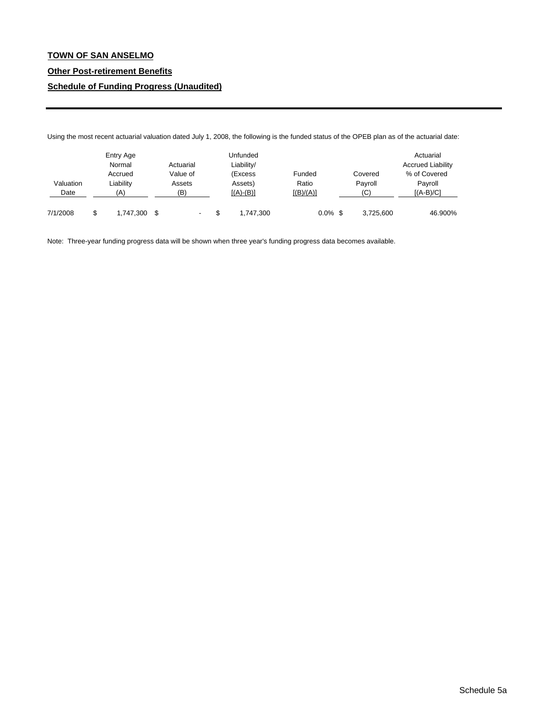#### **Other Post-retirement Benefits**

#### **Schedule of Funding Progress (Unaudited)**

Using the most recent actuarial valuation dated July 1, 2008, the following is the funded status of the OPEB plan as of the actuarial date:

|           | Entry Age       |      |           |                          | Unfunded    |           |           | Actuarial                |         |
|-----------|-----------------|------|-----------|--------------------------|-------------|-----------|-----------|--------------------------|---------|
|           | Normal          |      | Actuarial |                          | Liability/  |           |           | <b>Accrued Liability</b> |         |
|           | Accrued         |      | Value of  |                          | (Excess     | Funded    | Covered   | % of Covered             |         |
| Valuation | Liability       |      | Assets    |                          | Assets)     | Ratio     | Pavroll   | Pavroll                  |         |
| Date      | (A`             |      | (B)       |                          | $[(A)-(B)]$ | [(B)/(A)] | (C)       | [(A-B)/C]                |         |
| 7/1/2008  | \$<br>1,747,300 | - \$ |           | $\overline{\phantom{a}}$ | 1.747.300   | $0.0\%$   | 3.725.600 |                          | 46.900% |

Note: Three-year funding progress data will be shown when three year's funding progress data becomes available.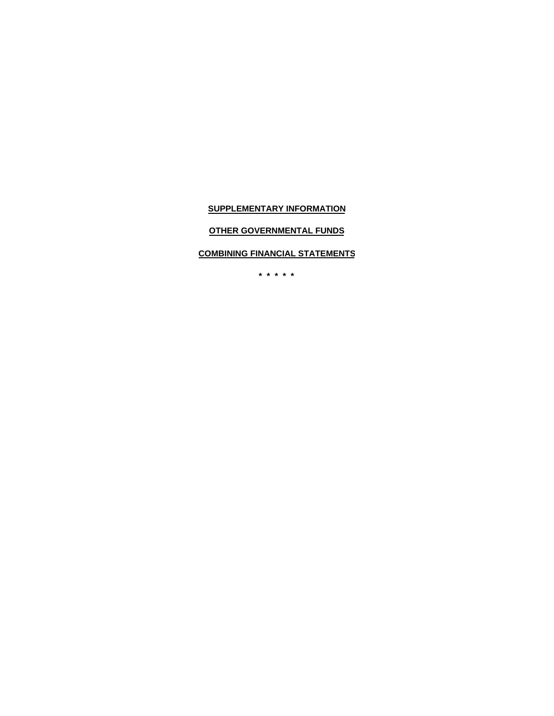# **SUPPLEMENTARY INFORMATION**

# **OTHER GOVERNMENTAL FUNDS**

### **COMBINING FINANCIAL STATEMENTS**

**\* \* \* \* \***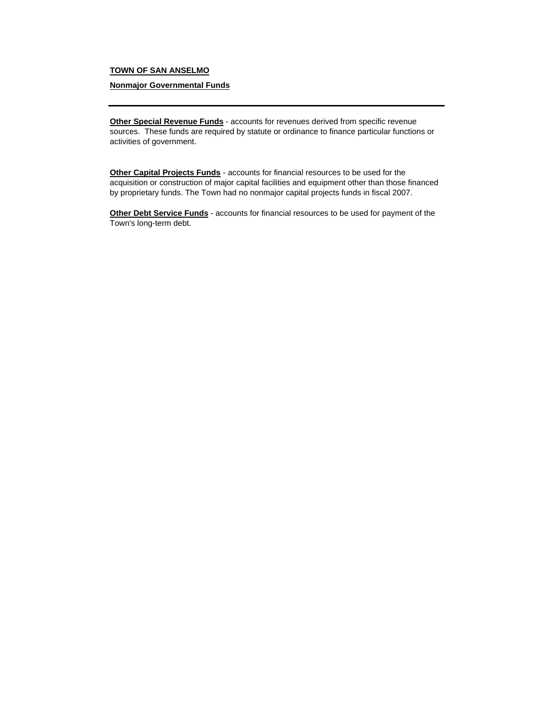### **Nonmajor Governmental Funds**

**Other Special Revenue Funds** - accounts for revenues derived from specific revenue sources. These funds are required by statute or ordinance to finance particular functions or activities of government.

**Other Capital Projects Funds** - accounts for financial resources to be used for the acquisition or construction of major capital facilities and equipment other than those financed by proprietary funds. The Town had no nonmajor capital projects funds in fiscal 2007.

**Other Debt Service Funds** - accounts for financial resources to be used for payment of the Town's long-term debt.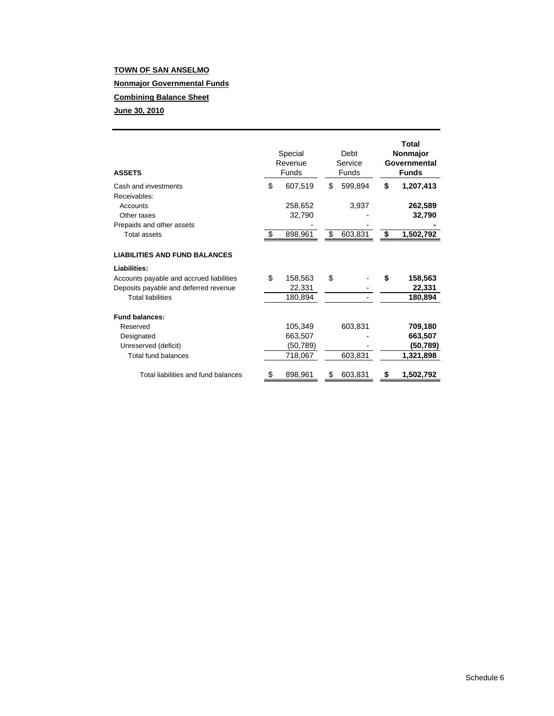# **Nonmajor Governmental Funds**

# **Combining Balance Sheet**

**June 30, 2010**

| <b>ASSETS</b>                            | Special<br>Revenue<br>Funds | Debt<br>Service<br>Funds |    | Total<br>Nonmajor<br>Governmental<br><b>Funds</b> |
|------------------------------------------|-----------------------------|--------------------------|----|---------------------------------------------------|
| Cash and investments                     | \$<br>607,519               | \$<br>599,894            | \$ | 1,207,413                                         |
| Receivables:                             |                             |                          |    |                                                   |
| Accounts                                 | 258,652                     | 3,937                    |    | 262,589                                           |
| Other taxes                              | 32,790                      |                          |    | 32,790                                            |
| Prepaids and other assets                |                             |                          |    |                                                   |
| Total assets                             | 898,961                     | \$<br>603,831            | \$ | 1,502,792                                         |
| <b>LIABILITIES AND FUND BALANCES</b>     |                             |                          |    |                                                   |
| Liabilities:                             |                             |                          |    |                                                   |
| Accounts payable and accrued liabilities | \$<br>158,563               | \$                       | S  | 158,563                                           |
| Deposits payable and deferred revenue    | 22,331                      |                          |    | 22,331                                            |
| <b>Total liabilities</b>                 | 180,894                     |                          |    | 180,894                                           |
| <b>Fund balances:</b>                    |                             |                          |    |                                                   |
| Reserved                                 | 105,349                     | 603,831                  |    | 709,180                                           |
| Designated                               | 663,507                     |                          |    | 663,507                                           |
| Unreserved (deficit)                     | (50, 789)                   |                          |    | (50,789)                                          |
| Total fund balances                      | 718,067                     | 603,831                  |    | 1,321,898                                         |
| Total liabilities and fund balances      | 898,961                     | 603,831                  |    | 1,502,792                                         |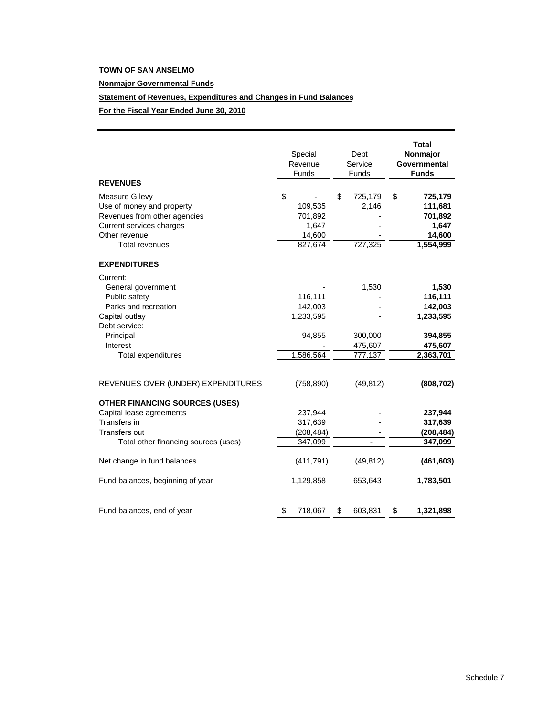# **Nonmajor Governmental Funds**

### **Statement of Revenues, Expenditures and Changes in Fund Balances**

**For the Fiscal Year Ended June 30, 2010**

|                                       | Special<br>Revenue<br>Funds | Debt<br>Service<br>Funds | <b>Total</b><br>Nonmajor<br><b>Governmental</b><br><b>Funds</b> |
|---------------------------------------|-----------------------------|--------------------------|-----------------------------------------------------------------|
| <b>REVENUES</b>                       |                             |                          |                                                                 |
| Measure G levy                        | \$                          | \$<br>725,179            | \$<br>725,179                                                   |
| Use of money and property             | 109,535                     | 2,146                    | 111,681                                                         |
| Revenues from other agencies          | 701,892                     |                          | 701,892                                                         |
| Current services charges              | 1,647                       |                          | 1,647                                                           |
| Other revenue                         | 14,600                      |                          | 14,600                                                          |
| <b>Total revenues</b>                 | 827,674                     | 727,325                  | 1,554,999                                                       |
| <b>EXPENDITURES</b>                   |                             |                          |                                                                 |
| Current:                              |                             |                          |                                                                 |
| General government                    |                             | 1,530                    | 1,530                                                           |
| Public safety                         | 116,111                     |                          | 116,111                                                         |
| Parks and recreation                  | 142,003                     |                          | 142,003                                                         |
| Capital outlay                        | 1,233,595                   |                          | 1,233,595                                                       |
| Debt service:                         |                             |                          |                                                                 |
| Principal<br>Interest                 | 94,855                      | 300,000                  | 394,855                                                         |
| Total expenditures                    | 1,586,564                   | 475,607<br>777,137       | 475,607<br>2,363,701                                            |
|                                       |                             |                          |                                                                 |
| REVENUES OVER (UNDER) EXPENDITURES    | (758, 890)                  | (49, 812)                | (808, 702)                                                      |
| <b>OTHER FINANCING SOURCES (USES)</b> |                             |                          |                                                                 |
| Capital lease agreements              | 237,944                     |                          | 237,944                                                         |
| Transfers in                          | 317,639                     |                          | 317,639                                                         |
| <b>Transfers out</b>                  | (208, 484)                  |                          | (208, 484)                                                      |
| Total other financing sources (uses)  | 347,099                     |                          | 347,099                                                         |
| Net change in fund balances           | (411, 791)                  | (49, 812)                | (461, 603)                                                      |
| Fund balances, beginning of year      | 1,129,858                   | 653,643                  | 1,783,501                                                       |
| Fund balances, end of year            | \$<br>718,067               | \$<br>603,831            | 1,321,898<br>\$                                                 |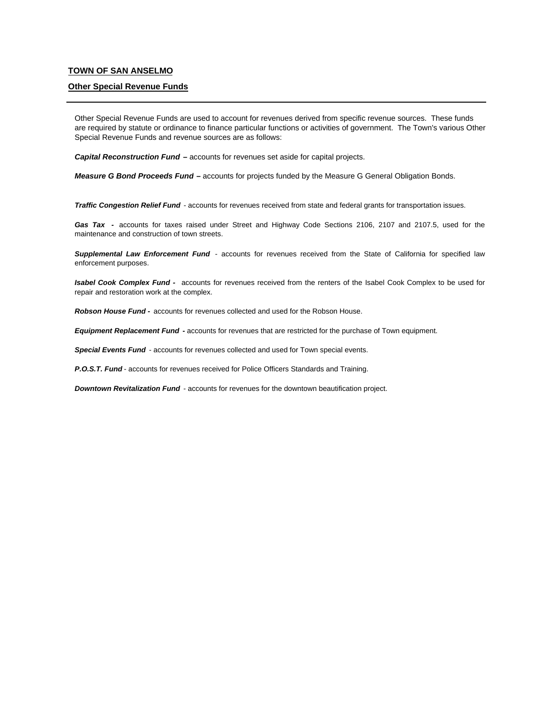#### **Other Special Revenue Funds**

Other Special Revenue Funds are used to account for revenues derived from specific revenue sources. These funds are required by statute or ordinance to finance particular functions or activities of government. The Town's various Other Special Revenue Funds and revenue sources are as follows:

*Capital Reconstruction Fund* **–** accounts for revenues set aside for capital projects.

*Measure G Bond Proceeds Fund* **–** accounts for projects funded by the Measure G General Obligation Bonds.

*Traffic Congestion Relief Fund* - accounts for revenues received from state and federal grants for transportation issues.

*Gas Tax -* accounts for taxes raised under Street and Highway Code Sections 2106, 2107 and 2107.5, used for the maintenance and construction of town streets.

*Supplemental Law Enforcement Fund* - accounts for revenues received from the State of California for specified law enforcement purposes.

*Isabel Cook Complex Fund -* accounts for revenues received from the renters of the Isabel Cook Complex to be used for repair and restoration work at the complex.

*Robson House Fund -* accounts for revenues collected and used for the Robson House.

*Equipment Replacement Fund* **-** accounts for revenues that are restricted for the purchase of Town equipment.

*Special Events Fund* - accounts for revenues collected and used for Town special events.

*P.O.S.T. Fund* - accounts for revenues received for Police Officers Standards and Training.

*Downtown Revitalization Fund* - accounts for revenues for the downtown beautification project.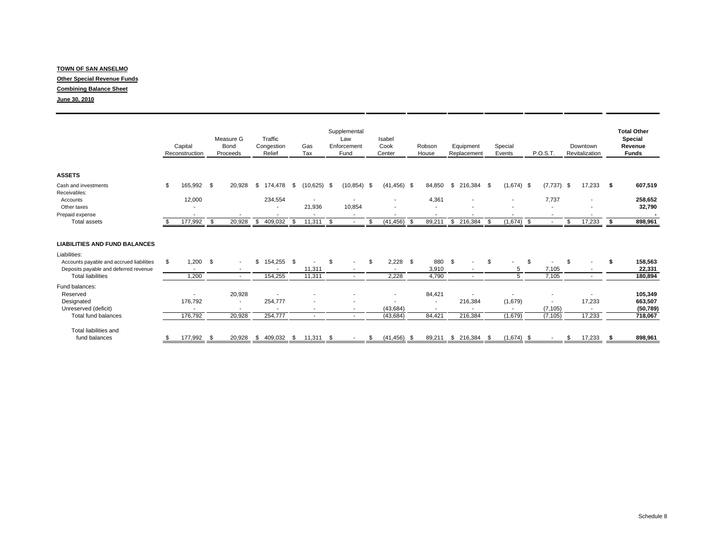#### **Other Special Revenue Funds**

**Combining Balance Sheet**

#### **June 30, 2010**

|                                                                                                                                                                       |      | Capital<br>Reconstruction                                |      | Measure G<br>Bond<br>Proceeds                                            | Traffic<br>Congestion<br>Relief                     |      | Gas<br>Tax                                           | Supplemental<br>Law<br>Enforcement<br>Fund |     | Isabel<br>Cook<br>Center                 | Robson<br>House       | Equipment<br>Replacement                                     |      | Special<br>Events                                   | P.O.S.T                                          |      | Downtown<br>Revitalization                                               |      | <b>Total Other</b><br>Special<br>Revenue<br><b>Funds</b> |
|-----------------------------------------------------------------------------------------------------------------------------------------------------------------------|------|----------------------------------------------------------|------|--------------------------------------------------------------------------|-----------------------------------------------------|------|------------------------------------------------------|--------------------------------------------|-----|------------------------------------------|-----------------------|--------------------------------------------------------------|------|-----------------------------------------------------|--------------------------------------------------|------|--------------------------------------------------------------------------|------|----------------------------------------------------------|
| <b>ASSETS</b>                                                                                                                                                         |      |                                                          |      |                                                                          |                                                     |      |                                                      |                                            |     |                                          |                       |                                                              |      |                                                     |                                                  |      |                                                                          |      |                                                          |
| Cash and investments                                                                                                                                                  | \$.  | 165,992                                                  | - \$ | 20,928                                                                   | \$<br>174,478                                       | \$   | $(10,625)$ \$                                        | $(10, 854)$ \$                             |     | $(41, 456)$ \$                           | 84,850                | \$<br>216,384 \$                                             |      | $(1,674)$ \$                                        | (7, 737)                                         | - \$ | 17,233                                                                   | - \$ | 607,519                                                  |
| Receivables:<br>Accounts<br>Other taxes<br>Prepaid expense                                                                                                            |      | 12,000                                                   |      |                                                                          | 234,554<br>٠                                        |      | $\overline{\phantom{a}}$<br>21,936                   | $\overline{\phantom{a}}$<br>10,854         |     |                                          | 4,361<br>٠            |                                                              |      | $\overline{\phantom{a}}$                            | 7,737                                            |      | $\overline{\phantom{a}}$<br>٠                                            |      | 258,652<br>32,790                                        |
| Total assets                                                                                                                                                          |      | 177,992                                                  | \$   | 20,928                                                                   | \$<br>409,032                                       | \$   | $11,311$ \$                                          |                                            | \$. | (41, 456)                                | \$<br>89,211          | \$216,384                                                    | - \$ | $(1,674)$ \$                                        |                                                  | \$.  | 17,233                                                                   | - \$ | 898,961                                                  |
| <b>LIABILITIES AND FUND BALANCES</b><br>Liabilities:<br>Accounts payable and accrued liabilities<br>Deposits payable and deferred revenue<br><b>Total liabilities</b> | - \$ | 1,200<br>$\overline{\phantom{a}}$<br>1,200               | - \$ | $\sim$<br>$\overline{\phantom{a}}$<br>$\sim$                             | \$<br>154,255<br>154,255                            | - \$ | ٠<br>11,311<br>11,311                                | \$<br>$\sim$<br>$\sim$                     | \$  | $2,228$ \$<br>2,228                      | 880<br>3,910<br>4,790 | - \$<br>$\overline{\phantom{a}}$<br>$\overline{\phantom{a}}$ | \$   | ۰<br>5<br>5                                         | \$<br>7,105<br>7,105                             | \$   | $\sim$                                                                   | s.   | 158,563<br>22,331<br>180,894                             |
| Fund balances:<br>Reserved<br>Designated<br>Unreserved (deficit)<br>Total fund balances                                                                               |      | $\sim$<br>176,792<br>$\overline{\phantom{a}}$<br>176,792 |      | 20,928<br>$\overline{\phantom{a}}$<br>$\overline{\phantom{a}}$<br>20,928 | ٠<br>254,777<br>$\overline{\phantom{a}}$<br>254,777 |      | $\overline{\phantom{a}}$<br>$\overline{\phantom{a}}$ |                                            |     | $\blacksquare$<br>(43, 684)<br>(43, 684) | 84,421<br>84,421      | ٠<br>216,384<br>216,384                                      |      | ٠<br>(1,679)<br>$\overline{\phantom{a}}$<br>(1,679) | $\overline{\phantom{a}}$<br>(7, 105)<br>(7, 105) |      | $\overline{\phantom{a}}$<br>17,233<br>$\overline{\phantom{a}}$<br>17,233 |      | 105,349<br>663,507<br>(50, 789)<br>718,067               |
| Total liabilities and<br>fund balances                                                                                                                                |      | 177,992                                                  | -\$  | 20,928                                                                   | \$<br>409,032 \$                                    |      | $11,311$ \$                                          |                                            |     | $(41, 456)$ \$                           | 89,211                | $$216,384$ \$                                                |      | $(1,674)$ \$                                        | $\sim$                                           | \$   | 17,233                                                                   | - \$ | 898,961                                                  |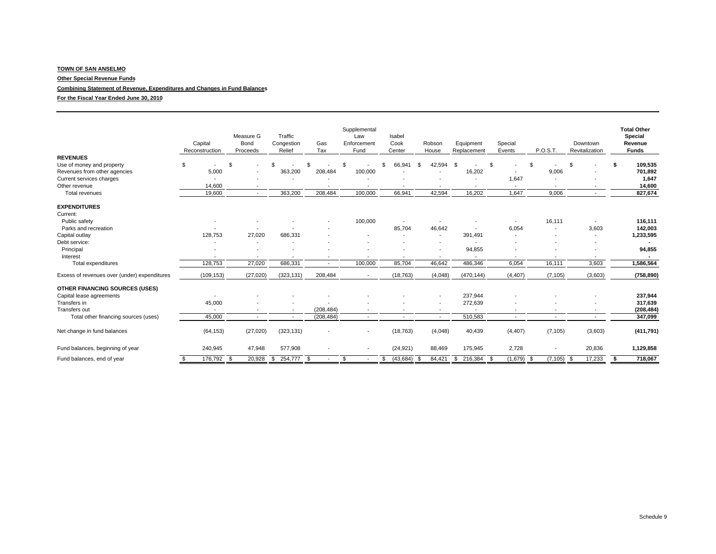#### **Other Special Revenue Funds Combining Statement of Revenue, Expenditures and Changes in Fund Balances**

#### **For the Fiscal Year Ended June 30, 2010**

|                                                                                                                                             | Capital<br>Reconstruction                                   | Measure G<br>Bond<br>Proceeds      | Traffic<br>Congestion<br>Relief | Gas<br>Tax               | Supplemental<br>Law<br>Enforcement<br>Fund | Isabel<br>Cook<br>Center | Robson<br>House        | Equipment<br>Replacement            | Special<br>Events                                                            | P.O.S.T.                 | Downtown<br>Revitalization | <b>Total Other</b><br>Special<br>Revenue<br><b>Funds</b> |
|---------------------------------------------------------------------------------------------------------------------------------------------|-------------------------------------------------------------|------------------------------------|---------------------------------|--------------------------|--------------------------------------------|--------------------------|------------------------|-------------------------------------|------------------------------------------------------------------------------|--------------------------|----------------------------|----------------------------------------------------------|
| <b>REVENUES</b><br>Use of money and property<br>Revenues from other agencies<br>Current services charges<br>Other revenue<br>Total revenues | \$<br>$\overline{\phantom{a}}$<br>5,000<br>14,600<br>19,600 | \$                                 | 363,200<br>363,200              | 208,484<br>208,484       | -9<br>100,000<br>100,000                   | 66.941<br>66,941         | 42,594<br>\$<br>42,594 | \$<br>16,202<br>16,202              | \$<br>$\overline{\phantom{a}}$<br>1,647<br>$\overline{\phantom{a}}$<br>1,647 | S.<br>9,006<br>9,006     | \$.                        | 109,535<br>\$<br>701,892<br>1,647<br>14,600<br>827,674   |
| <b>EXPENDITURES</b>                                                                                                                         |                                                             | $\overline{\phantom{a}}$           |                                 |                          |                                            |                          |                        |                                     |                                                                              |                          | $\overline{a}$             |                                                          |
| Current:<br>Public safety<br>Parks and recreation                                                                                           |                                                             |                                    |                                 |                          | 100,000                                    | 85,704                   | 46,642                 | $\overline{\phantom{a}}$            | $\overline{\phantom{a}}$<br>6,054                                            | 16,111                   | 3,603                      | 116,111<br>142,003                                       |
| Capital outlay<br>Debt service:<br>Principal                                                                                                | 128,753                                                     | 27,020<br>$\overline{\phantom{a}}$ | 686,331                         |                          |                                            |                          |                        | 391,491<br>94,855                   |                                                                              |                          |                            | 1,233,595<br>94,855                                      |
| Interest<br>Total expenditures                                                                                                              | 128,753                                                     | $\overline{\phantom{a}}$<br>27,020 | 686,331                         | $\overline{\phantom{a}}$ | 100,000                                    | 85,704                   | 46,642                 | $\overline{\phantom{a}}$<br>486,346 | 6,054                                                                        | 16,111                   | 3,603                      | 1,586,564                                                |
| Excess of revenues over (under) expenditures                                                                                                | (109, 153)                                                  | (27, 020)                          | (323, 131)                      | 208,484                  | $\overline{\phantom{a}}$                   | (18, 763)                | (4,048)                | (470, 144)                          | (4, 407)                                                                     | (7, 105)                 | (3,603)                    | (758, 890)                                               |
| OTHER FINANCING SOURCES (USES)<br>Capital lease agreements<br>Transfers in                                                                  | 45,000                                                      |                                    |                                 |                          |                                            |                          |                        | 237,944<br>272,639                  |                                                                              |                          |                            | 237,944<br>317,639                                       |
| Transfers out<br>Total other financing sources (uses)                                                                                       | 45,000                                                      | $\overline{\phantom{a}}$           | $\overline{\phantom{0}}$        | (208, 484)<br>(208, 484) | $\overline{\phantom{a}}$                   |                          |                        | $\overline{\phantom{a}}$<br>510,583 | $\overline{\phantom{a}}$                                                     | $\overline{\phantom{a}}$ |                            | (208, 484)<br>347,099                                    |
| Net change in fund balances                                                                                                                 | (64, 153)                                                   | (27, 020)                          | (323, 131)                      | $\overline{\phantom{a}}$ | $\overline{\phantom{a}}$                   | (18, 763)                | (4,048)                | 40,439                              | (4, 407)                                                                     | (7, 105)                 | (3,603)                    | (411, 791)                                               |
| Fund balances, beginning of year                                                                                                            | 240,945                                                     | 47,948                             | 577,908                         |                          | $\overline{\phantom{a}}$                   | (24, 921)                | 88,469                 | 175,945                             | 2,728                                                                        | $\overline{\phantom{a}}$ | 20,836                     | 1,129,858                                                |
| Fund balances, end of year                                                                                                                  | 176,792                                                     | 20,928                             | 254,777                         | \$                       | \$                                         | (43, 684)                | 84,421<br>-S           | \$<br>216,384                       | (1,679)                                                                      | (7, 105)<br>- \$         | 17,233                     | 718,067<br>- \$                                          |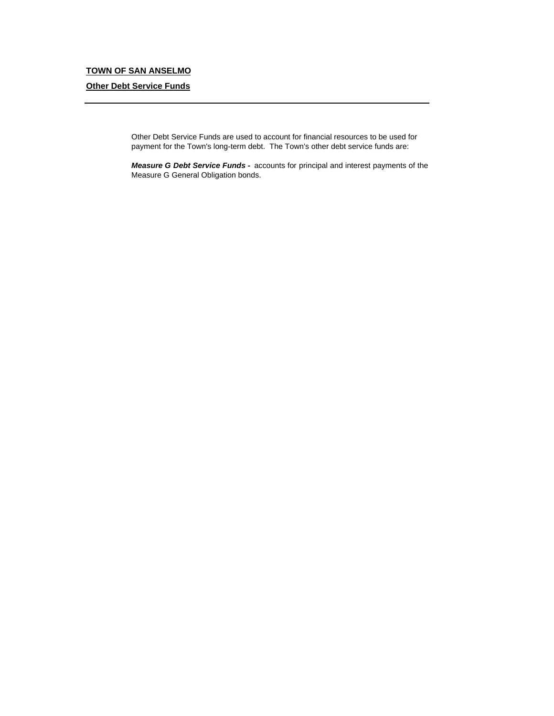### **Other Debt Service Funds**

Other Debt Service Funds are used to account for financial resources to be used for payment for the Town's long-term debt. The Town's other debt service funds are:

*Measure G Debt Service Funds -* accounts for principal and interest payments of the Measure G General Obligation bonds.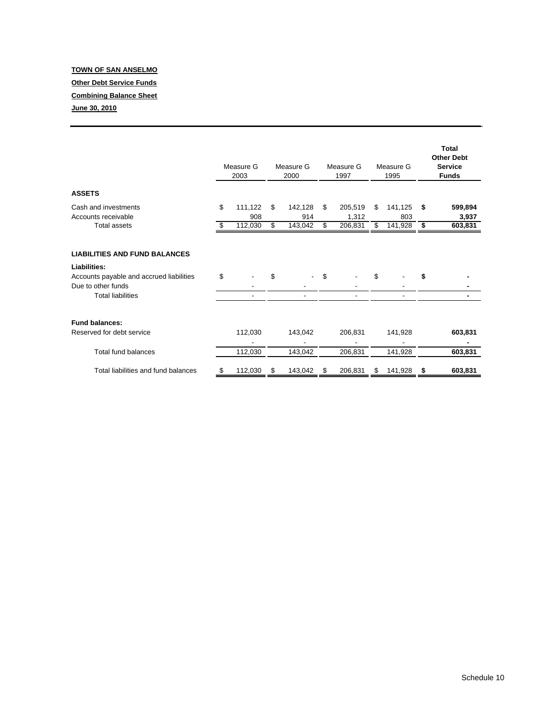# **Other Debt Service Funds**

# **Combining Balance Sheet**

**June 30, 2010**

|                                                                                                                                                    | Measure G<br>2003 |         | Measure G<br>2000 |         | Measure G<br>1997 |         |    | Measure G<br>1995 |    | <b>Total</b><br><b>Other Debt</b><br><b>Service</b><br><b>Funds</b> |  |
|----------------------------------------------------------------------------------------------------------------------------------------------------|-------------------|---------|-------------------|---------|-------------------|---------|----|-------------------|----|---------------------------------------------------------------------|--|
| <b>ASSETS</b>                                                                                                                                      |                   |         |                   |         |                   |         |    |                   |    |                                                                     |  |
| Cash and investments                                                                                                                               | \$                | 111,122 | \$                | 142,128 | \$                | 205,519 | \$ | 141,125           | \$ | 599,894                                                             |  |
| Accounts receivable                                                                                                                                |                   | 908     |                   | 914     |                   | 1,312   |    | 803               |    | 3,937                                                               |  |
| <b>Total assets</b>                                                                                                                                | S                 | 112,030 | \$                | 143,042 | \$                | 206,831 | \$ | 141,928           | \$ | 603,831                                                             |  |
| <b>LIABILITIES AND FUND BALANCES</b><br>Liabilities:<br>Accounts payable and accrued liabilities<br>Due to other funds<br><b>Total liabilities</b> | \$                |         | \$                | ٠       | \$                |         | \$ |                   | S  |                                                                     |  |
| <b>Fund balances:</b>                                                                                                                              |                   |         |                   |         |                   |         |    |                   |    |                                                                     |  |
| Reserved for debt service                                                                                                                          |                   | 112,030 |                   | 143,042 |                   | 206,831 |    | 141,928           |    | 603,831                                                             |  |
| <b>Total fund balances</b>                                                                                                                         |                   | 112,030 |                   | 143,042 |                   | 206,831 |    | 141,928           |    | 603,831                                                             |  |
| Total liabilities and fund balances                                                                                                                | \$                | 112,030 | S                 | 143,042 | S                 | 206,831 | S  | 141,928           | \$ | 603,831                                                             |  |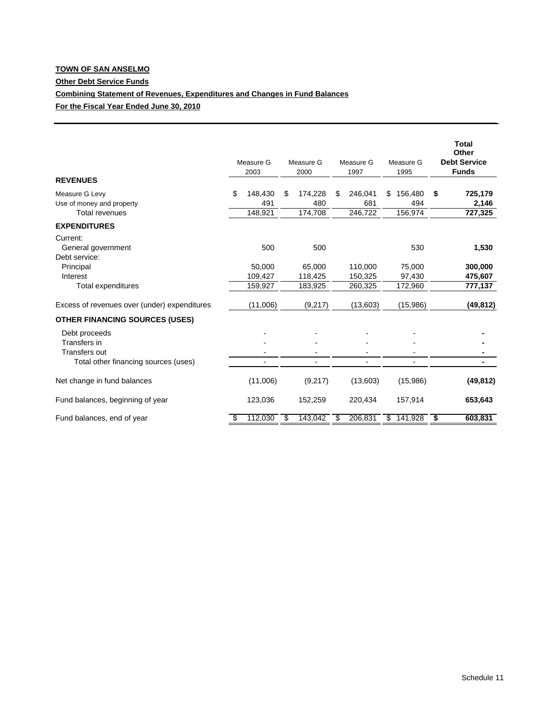#### **Other Debt Service Funds**

### **Combining Statement of Revenues, Expenditures and Changes in Fund Balances**

**For the Fiscal Year Ended June 30, 2010**

| <b>REVENUES</b>                                    |    | Measure G<br>2003 |    | Measure G<br>2000        |    | Measure G<br>1997 |    | Measure G<br>1995 |    | Total<br>Other<br><b>Debt Service</b><br><b>Funds</b> |  |
|----------------------------------------------------|----|-------------------|----|--------------------------|----|-------------------|----|-------------------|----|-------------------------------------------------------|--|
| Measure G Levy                                     | \$ | 148,430           | S  | 174,228                  | \$ | 246,041           | S. | 156,480           | S  | 725,179                                               |  |
| Use of money and property<br><b>Total revenues</b> |    | 491<br>148,921    |    | 480<br>174,708           |    | 681<br>246,722    |    | 494<br>156,974    |    | 2,146<br>727,325                                      |  |
| <b>EXPENDITURES</b>                                |    |                   |    |                          |    |                   |    |                   |    |                                                       |  |
| Current:                                           |    |                   |    |                          |    |                   |    |                   |    |                                                       |  |
| General government<br>Debt service:                |    | 500               |    | 500                      |    |                   |    | 530               |    | 1,530                                                 |  |
| Principal                                          |    | 50.000            |    | 65.000                   |    | 110,000           |    | 75,000            |    | 300,000                                               |  |
| Interest                                           |    | 109,427           |    | 118,425                  |    | 150,325           |    | 97,430            |    | 475,607                                               |  |
| Total expenditures                                 |    | 159,927           |    | 183,925                  |    | 260,325           |    | 172,960           |    | 777,137                                               |  |
| Excess of revenues over (under) expenditures       |    | (11,006)          |    | (9,217)                  |    | (13,603)          |    | (15,986)          |    | (49, 812)                                             |  |
| <b>OTHER FINANCING SOURCES (USES)</b>              |    |                   |    |                          |    |                   |    |                   |    |                                                       |  |
| Debt proceeds                                      |    |                   |    |                          |    |                   |    |                   |    |                                                       |  |
| Transfers in                                       |    |                   |    |                          |    |                   |    |                   |    |                                                       |  |
| <b>Transfers out</b>                               |    |                   |    |                          |    |                   |    |                   |    |                                                       |  |
| Total other financing sources (uses)               |    |                   |    | $\overline{\phantom{0}}$ |    |                   |    |                   |    |                                                       |  |
| Net change in fund balances                        |    | (11,006)          |    | (9,217)                  |    | (13,603)          |    | (15,986)          |    | (49, 812)                                             |  |
| Fund balances, beginning of year                   |    | 123,036           |    | 152,259                  |    | 220,434           |    | 157,914           |    | 653,643                                               |  |
| Fund balances, end of year                         |    | 112,030           | \$ | 143,042                  | \$ | 206,831           |    | \$141,928         | \$ | 603,831                                               |  |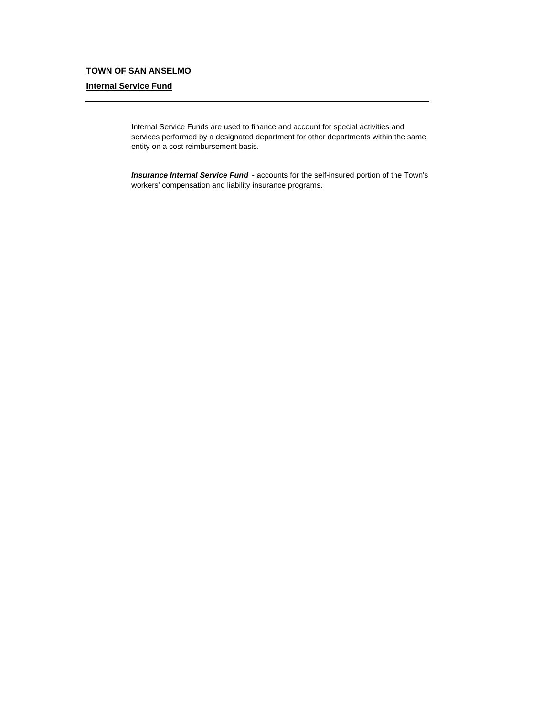### **Internal Service Fund**

Internal Service Funds are used to finance and account for special activities and services performed by a designated department for other departments within the same entity on a cost reimbursement basis.

*Insurance Internal Service Fund* **-** accounts for the self-insured portion of the Town's workers' compensation and liability insurance programs.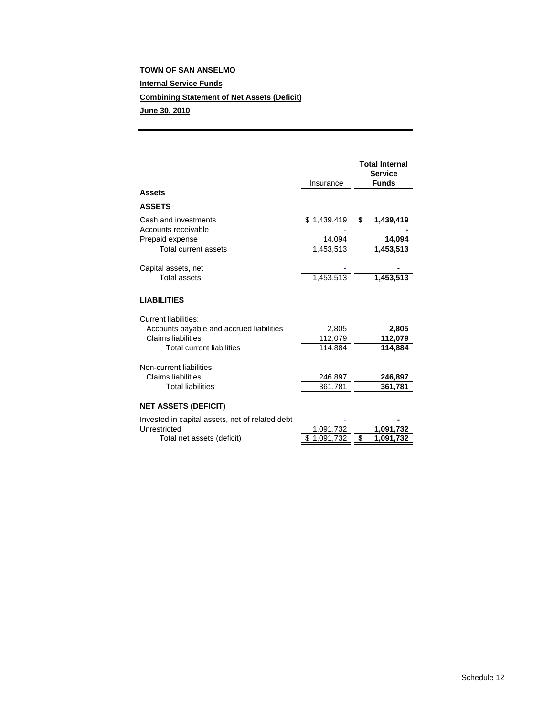# **TOWN OF SAN ANSELMO Internal Service Funds Combining Statement of Net Assets (Deficit) June 30, 2010**

| <b>Assets</b><br><b>ASSETS</b>                  | Insurance   | <b>Total Internal</b><br><b>Service</b><br><b>Funds</b> |
|-------------------------------------------------|-------------|---------------------------------------------------------|
| Cash and investments<br>Accounts receivable     | \$1,439,419 | \$<br>1,439,419                                         |
| Prepaid expense                                 | 14,094      | 14,094                                                  |
| Total current assets                            | 1,453,513   | 1.453.513                                               |
| Capital assets, net                             |             |                                                         |
| <b>Total assets</b>                             | 1,453,513   | 1,453,513                                               |
| <b>LIABILITIES</b>                              |             |                                                         |
| Current liabilities:                            |             |                                                         |
| Accounts payable and accrued liabilities        | 2,805       | 2,805                                                   |
| <b>Claims liabilities</b>                       | 112,079     | 112,079                                                 |
| <b>Total current liabilities</b>                | 114,884     | 114,884                                                 |
| Non-current liabilities:                        |             |                                                         |
| <b>Claims liabilities</b>                       | 246,897     | 246,897                                                 |
| <b>Total liabilities</b>                        | 361,781     | 361,781                                                 |
| <b>NET ASSETS (DEFICIT)</b>                     |             |                                                         |
| Invested in capital assets, net of related debt |             |                                                         |
| Unrestricted                                    | 1,091,732   | 1,091,732                                               |
| Total net assets (deficit)                      | 1,091,732   | 1,091,732<br>S                                          |
|                                                 |             |                                                         |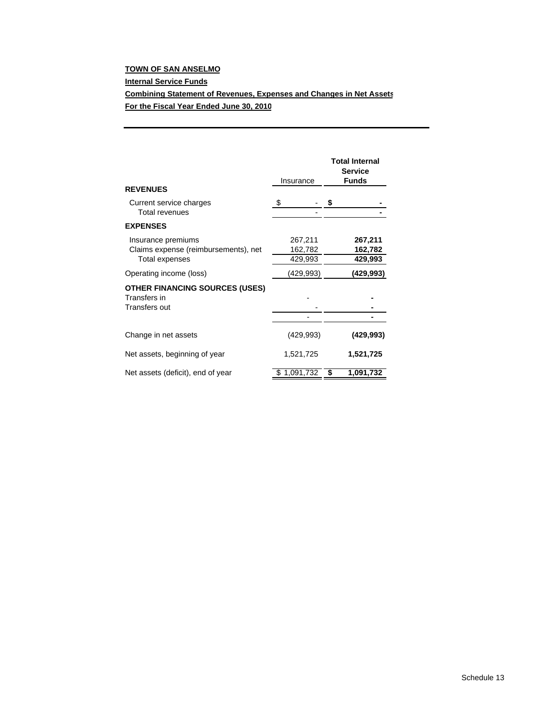**Internal Service Funds**

**Combining Statement of Revenues, Expenses and Changes in Net Assets**

**For the Fiscal Year Ended June 30, 2010**

|                                                  | Insurance  | <b>Total Internal</b><br><b>Service</b><br><b>Funds</b> |
|--------------------------------------------------|------------|---------------------------------------------------------|
| <b>REVENUES</b>                                  |            |                                                         |
| Current service charges<br><b>Total revenues</b> | \$         |                                                         |
| <b>EXPENSES</b>                                  |            |                                                         |
| Insurance premiums                               | 267,211    | 267,211                                                 |
| Claims expense (reimbursements), net             | 162,782    | 162,782                                                 |
| <b>Total expenses</b>                            | 429,993    | 429,993                                                 |
| Operating income (loss)                          | (429,993)  | (429,993)                                               |
| <b>OTHER FINANCING SOURCES (USES)</b>            |            |                                                         |
| Transfers in                                     |            |                                                         |
| <b>Transfers out</b>                             |            |                                                         |
|                                                  |            |                                                         |
| Change in net assets                             | (429, 993) | (429,993)                                               |
| Net assets, beginning of year                    | 1,521,725  | 1,521,725                                               |
| Net assets (deficit), end of year                | 1,091,732  | 1,091,732<br>S                                          |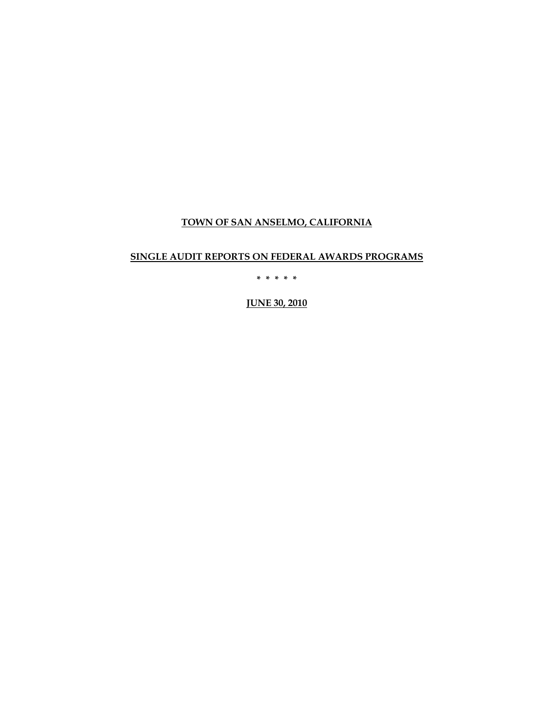# **TOWN OF SAN ANSELMO, CALIFORNIA**

# **SINGLE AUDIT REPORTS ON FEDERAL AWARDS PROGRAMS**

 **\* \* \* \* \*** 

 **JUNE 30, 2010**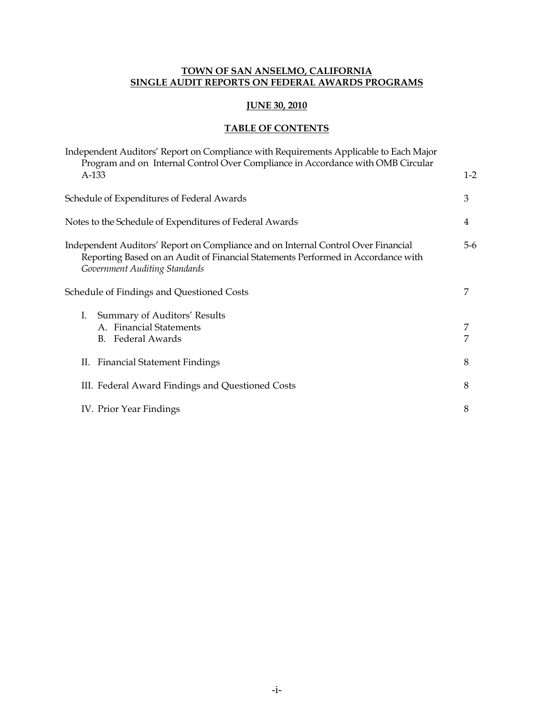# **TOWN OF SAN ANSELMO, CALIFORNIA SINGLE AUDIT REPORTS ON FEDERAL AWARDS PROGRAMS**

# **JUNE 30, 2010**

# **TABLE OF CONTENTS**

| Independent Auditors' Report on Compliance with Requirements Applicable to Each Major<br>Program and on Internal Control Over Compliance in Accordance with OMB Circular                               |        |
|--------------------------------------------------------------------------------------------------------------------------------------------------------------------------------------------------------|--------|
| A-133                                                                                                                                                                                                  | $1-2$  |
| Schedule of Expenditures of Federal Awards                                                                                                                                                             | 3      |
| Notes to the Schedule of Expenditures of Federal Awards                                                                                                                                                | 4      |
| Independent Auditors' Report on Compliance and on Internal Control Over Financial<br>Reporting Based on an Audit of Financial Statements Performed in Accordance with<br>Government Auditing Standards | 5-6    |
| Schedule of Findings and Questioned Costs                                                                                                                                                              | 7      |
| Summary of Auditors' Results<br>Ι.<br>A. Financial Statements<br><b>B.</b> Federal Awards                                                                                                              | 7<br>7 |
| II. Financial Statement Findings                                                                                                                                                                       | 8      |
| III. Federal Award Findings and Questioned Costs                                                                                                                                                       | 8      |
| IV. Prior Year Findings                                                                                                                                                                                | 8      |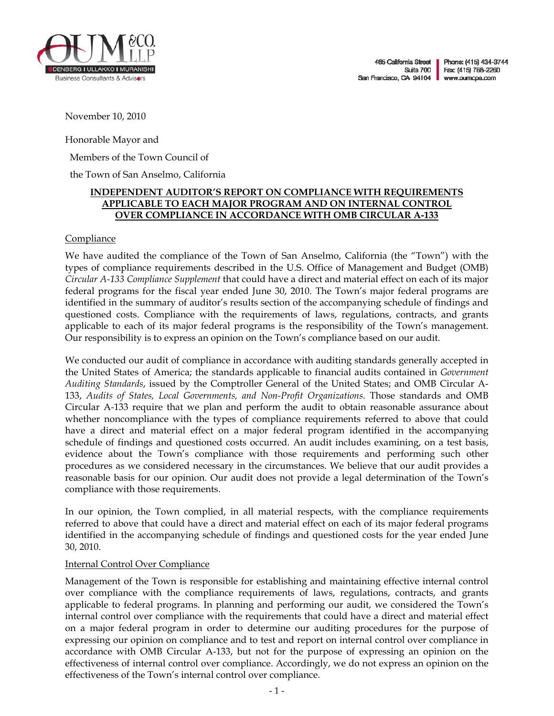

November 10, 2010

Honorable Mayor and

Members of the Town Council of

the Town of San Anselmo, California

# **INDEPENDENT AUDITOR'S REPORT ON COMPLIANCE WITH REQUIREMENTS APPLICABLE TO EACH MAJOR PROGRAM AND ON INTERNAL CONTROL OVER COMPLIANCE IN ACCORDANCE WITH OMB CIRCULAR A-133**

### **Compliance**

We have audited the compliance of the Town of San Anselmo, California (the "Town") with the types of compliance requirements described in the U.S. Office of Management and Budget (OMB) *Circular A-133 Compliance Supplement* that could have a direct and material effect on each of its major federal programs for the fiscal year ended June 30, 2010. The Town's major federal programs are identified in the summary of auditor's results section of the accompanying schedule of findings and questioned costs. Compliance with the requirements of laws, regulations, contracts, and grants applicable to each of its major federal programs is the responsibility of the Town's management. Our responsibility is to express an opinion on the Town's compliance based on our audit.

We conducted our audit of compliance in accordance with auditing standards generally accepted in the United States of America; the standards applicable to financial audits contained in *Government Auditing Standards*, issued by the Comptroller General of the United States; and OMB Circular A-133, *Audits of States, Local Governments, and Non-Profit Organizations*. Those standards and OMB Circular A-133 require that we plan and perform the audit to obtain reasonable assurance about whether noncompliance with the types of compliance requirements referred to above that could have a direct and material effect on a major federal program identified in the accompanying schedule of findings and questioned costs occurred. An audit includes examining, on a test basis, evidence about the Town's compliance with those requirements and performing such other procedures as we considered necessary in the circumstances. We believe that our audit provides a reasonable basis for our opinion. Our audit does not provide a legal determination of the Town's compliance with those requirements.

In our opinion, the Town complied, in all material respects, with the compliance requirements referred to above that could have a direct and material effect on each of its major federal programs identified in the accompanying schedule of findings and questioned costs for the year ended June 30, 2010.

# Internal Control Over Compliance

Management of the Town is responsible for establishing and maintaining effective internal control over compliance with the compliance requirements of laws, regulations, contracts, and grants applicable to federal programs. In planning and performing our audit, we considered the Town's internal control over compliance with the requirements that could have a direct and material effect on a major federal program in order to determine our auditing procedures for the purpose of expressing our opinion on compliance and to test and report on internal control over compliance in accordance with OMB Circular A-133, but not for the purpose of expressing an opinion on the effectiveness of internal control over compliance. Accordingly, we do not express an opinion on the effectiveness of the Town's internal control over compliance.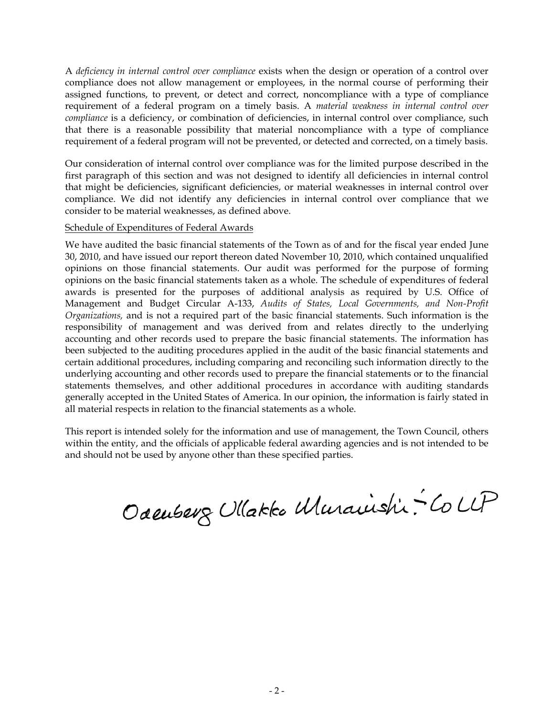A *deficiency in internal control over compliance* exists when the design or operation of a control over compliance does not allow management or employees, in the normal course of performing their assigned functions, to prevent, or detect and correct, noncompliance with a type of compliance requirement of a federal program on a timely basis. A *material weakness in internal control over compliance* is a deficiency, or combination of deficiencies, in internal control over compliance, such that there is a reasonable possibility that material noncompliance with a type of compliance requirement of a federal program will not be prevented, or detected and corrected, on a timely basis.

Our consideration of internal control over compliance was for the limited purpose described in the first paragraph of this section and was not designed to identify all deficiencies in internal control that might be deficiencies, significant deficiencies, or material weaknesses in internal control over compliance. We did not identify any deficiencies in internal control over compliance that we consider to be material weaknesses, as defined above.

# Schedule of Expenditures of Federal Awards

We have audited the basic financial statements of the Town as of and for the fiscal year ended June 30, 2010, and have issued our report thereon dated November 10, 2010, which contained unqualified opinions on those financial statements. Our audit was performed for the purpose of forming opinions on the basic financial statements taken as a whole. The schedule of expenditures of federal awards is presented for the purposes of additional analysis as required by U.S. Office of Management and Budget Circular A-133, *Audits of States, Local Governments, and Non-Profit Organizations,* and is not a required part of the basic financial statements. Such information is the responsibility of management and was derived from and relates directly to the underlying accounting and other records used to prepare the basic financial statements. The information has been subjected to the auditing procedures applied in the audit of the basic financial statements and certain additional procedures, including comparing and reconciling such information directly to the underlying accounting and other records used to prepare the financial statements or to the financial statements themselves, and other additional procedures in accordance with auditing standards generally accepted in the United States of America. In our opinion, the information is fairly stated in all material respects in relation to the financial statements as a whole.

This report is intended solely for the information and use of management, the Town Council, others within the entity, and the officials of applicable federal awarding agencies and is not intended to be and should not be used by anyone other than these specified parties.

Odenberg Ullakko Muravishi - Co LLP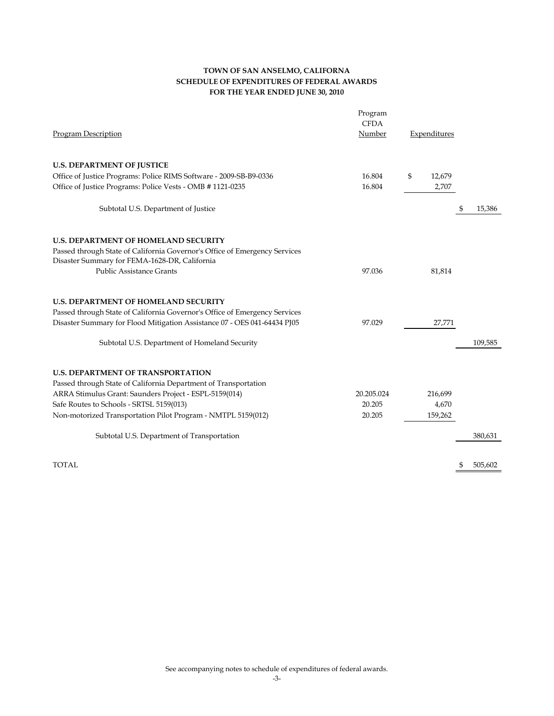### **TOWN OF SAN ANSELMO, CALIFORNA SCHEDULE OF EXPENDITURES OF FEDERAL AWARDS FOR THE YEAR ENDED JUNE 30, 2010**

|                                                                                  | Program<br><b>CFDA</b> |              |    |         |
|----------------------------------------------------------------------------------|------------------------|--------------|----|---------|
| Program Description                                                              | Number                 | Expenditures |    |         |
| <b>U.S. DEPARTMENT OF JUSTICE</b>                                                |                        |              |    |         |
| Office of Justice Programs: Police RIMS Software - 2009-SB-B9-0336               | 16.804                 | \$<br>12,679 |    |         |
| Office of Justice Programs: Police Vests - OMB # 1121-0235                       | 16.804                 | 2,707        |    |         |
| Subtotal U.S. Department of Justice                                              |                        |              | S. | 15,386  |
| U.S. DEPARTMENT OF HOMELAND SECURITY                                             |                        |              |    |         |
| Passed through State of California Governor's Office of Emergency Services       |                        |              |    |         |
| Disaster Summary for FEMA-1628-DR, California<br><b>Public Assistance Grants</b> |                        |              |    |         |
|                                                                                  | 97.036                 | 81,814       |    |         |
| U.S. DEPARTMENT OF HOMELAND SECURITY                                             |                        |              |    |         |
| Passed through State of California Governor's Office of Emergency Services       |                        |              |    |         |
| Disaster Summary for Flood Mitigation Assistance 07 - OES 041-64434 PJ05         | 97.029                 | 27,771       |    |         |
| Subtotal U.S. Department of Homeland Security                                    |                        |              |    | 109.585 |
| <b>U.S. DEPARTMENT OF TRANSPORTATION</b>                                         |                        |              |    |         |
| Passed through State of California Department of Transportation                  |                        |              |    |         |
| ARRA Stimulus Grant: Saunders Project - ESPL-5159(014)                           | 20.205.024             | 216,699      |    |         |
| Safe Routes to Schools - SRTSL 5159(013)                                         | 20.205                 | 4,670        |    |         |
| Non-motorized Transportation Pilot Program - NMTPL 5159(012)                     | 20.205                 | 159,262      |    |         |
| Subtotal U.S. Department of Transportation                                       |                        |              |    | 380,631 |
| <b>TOTAL</b>                                                                     |                        |              |    | 505,602 |
|                                                                                  |                        |              |    |         |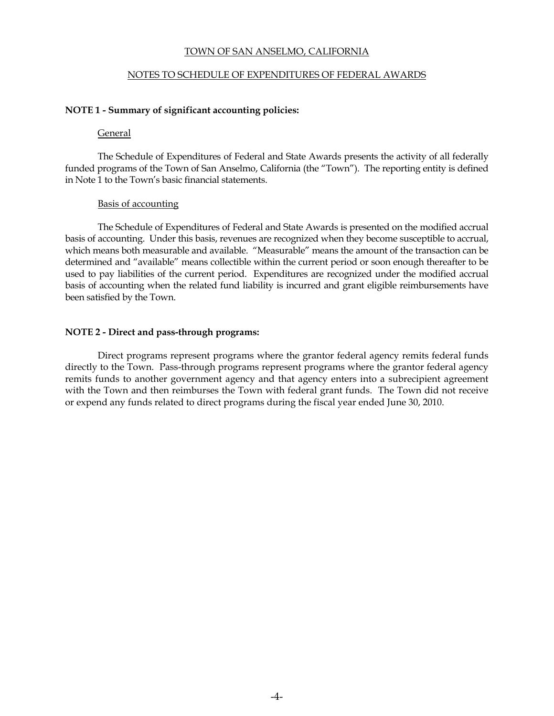## TOWN OF SAN ANSELMO, CALIFORNIA

## NOTES TO SCHEDULE OF EXPENDITURES OF FEDERAL AWARDS

## **NOTE 1 - Summary of significant accounting policies:**

## General

 The Schedule of Expenditures of Federal and State Awards presents the activity of all federally funded programs of the Town of San Anselmo, California (the "Town"). The reporting entity is defined in Note 1 to the Town's basic financial statements.

## Basis of accounting

 The Schedule of Expenditures of Federal and State Awards is presented on the modified accrual basis of accounting. Under this basis, revenues are recognized when they become susceptible to accrual, which means both measurable and available. "Measurable" means the amount of the transaction can be determined and "available" means collectible within the current period or soon enough thereafter to be used to pay liabilities of the current period. Expenditures are recognized under the modified accrual basis of accounting when the related fund liability is incurred and grant eligible reimbursements have been satisfied by the Town.

## **NOTE 2 - Direct and pass-through programs:**

 Direct programs represent programs where the grantor federal agency remits federal funds directly to the Town. Pass-through programs represent programs where the grantor federal agency remits funds to another government agency and that agency enters into a subrecipient agreement with the Town and then reimburses the Town with federal grant funds. The Town did not receive or expend any funds related to direct programs during the fiscal year ended June 30, 2010.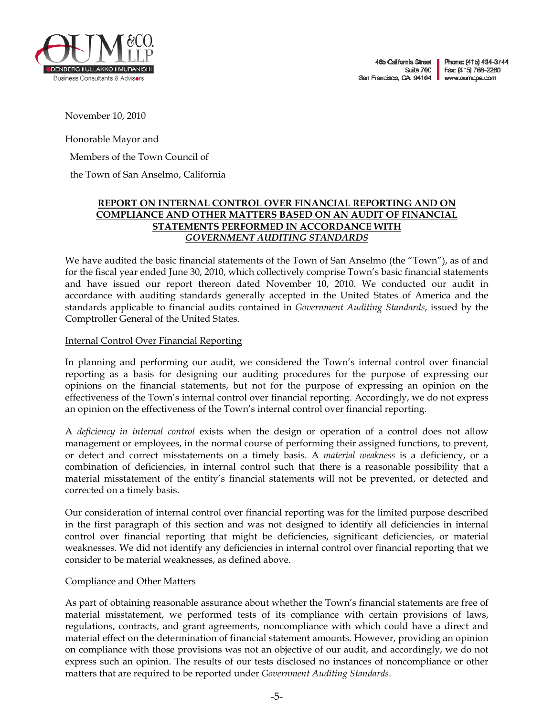

November 10, 2010

Honorable Mayor and

Members of the Town Council of

the Town of San Anselmo, California

## **REPORT ON INTERNAL CONTROL OVER FINANCIAL REPORTING AND ON COMPLIANCE AND OTHER MATTERS BASED ON AN AUDIT OF FINANCIAL STATEMENTS PERFORMED IN ACCORDANCE WITH**  *GOVERNMENT AUDITING STANDARDS*

We have audited the basic financial statements of the Town of San Anselmo (the "Town"), as of and for the fiscal year ended June 30, 2010, which collectively comprise Town's basic financial statements and have issued our report thereon dated November 10, 2010. We conducted our audit in accordance with auditing standards generally accepted in the United States of America and the standards applicable to financial audits contained in *Government Auditing Standards*, issued by the Comptroller General of the United States.

## Internal Control Over Financial Reporting

In planning and performing our audit, we considered the Town's internal control over financial reporting as a basis for designing our auditing procedures for the purpose of expressing our opinions on the financial statements, but not for the purpose of expressing an opinion on the effectiveness of the Town's internal control over financial reporting. Accordingly, we do not express an opinion on the effectiveness of the Town's internal control over financial reporting.

A *deficiency in internal control* exists when the design or operation of a control does not allow management or employees, in the normal course of performing their assigned functions, to prevent, or detect and correct misstatements on a timely basis. A *material weakness* is a deficiency, or a combination of deficiencies, in internal control such that there is a reasonable possibility that a material misstatement of the entity's financial statements will not be prevented, or detected and corrected on a timely basis.

Our consideration of internal control over financial reporting was for the limited purpose described in the first paragraph of this section and was not designed to identify all deficiencies in internal control over financial reporting that might be deficiencies, significant deficiencies, or material weaknesses. We did not identify any deficiencies in internal control over financial reporting that we consider to be material weaknesses, as defined above.

## Compliance and Other Matters

As part of obtaining reasonable assurance about whether the Town's financial statements are free of material misstatement, we performed tests of its compliance with certain provisions of laws, regulations, contracts, and grant agreements, noncompliance with which could have a direct and material effect on the determination of financial statement amounts. However, providing an opinion on compliance with those provisions was not an objective of our audit, and accordingly, we do not express such an opinion. The results of our tests disclosed no instances of noncompliance or other matters that are required to be reported under *Government Auditing Standards*.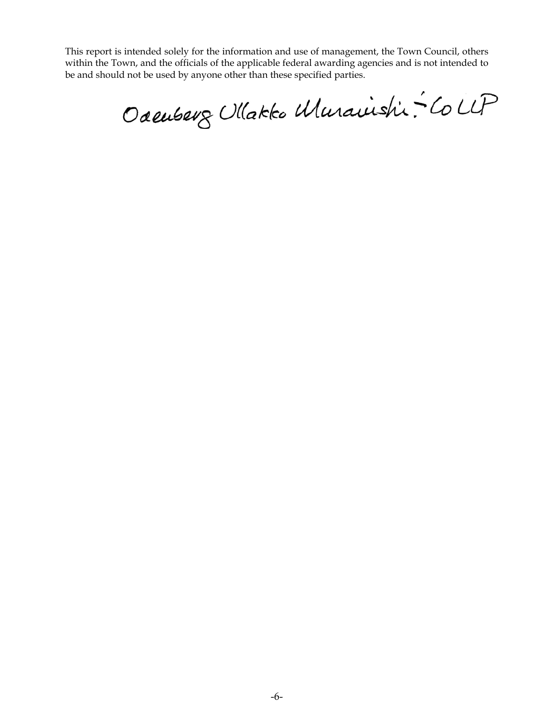This report is intended solely for the information and use of management, the Town Council, others within the Town, and the officials of the applicable federal awarding agencies and is not intended to be and should not be used by anyone other than these specified parties.

Odenberg Ullakko Muravishi - Co LLP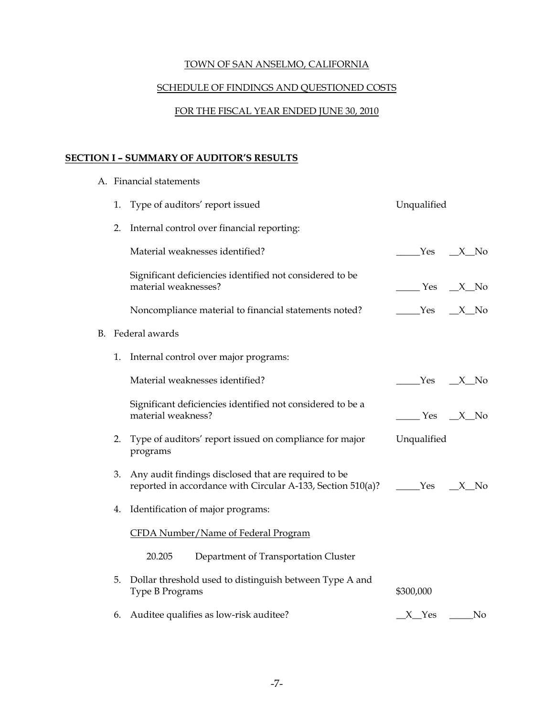## TOWN OF SAN ANSELMO, CALIFORNIA

# SCHEDULE OF FINDINGS AND QUESTIONED COSTS

# FOR THE FISCAL YEAR ENDED JUNE 30, 2010

## **SECTION I – SUMMARY OF AUDITOR'S RESULTS**

|    | A. Financial statements |                                                                                                                     |                                   |  |  |  |  |
|----|-------------------------|---------------------------------------------------------------------------------------------------------------------|-----------------------------------|--|--|--|--|
|    | 1.                      | Type of auditors' report issued                                                                                     | Unqualified                       |  |  |  |  |
|    | 2.                      | Internal control over financial reporting:                                                                          |                                   |  |  |  |  |
|    |                         | Material weaknesses identified?                                                                                     | Yes<br>$X_N$                      |  |  |  |  |
|    |                         | Significant deficiencies identified not considered to be<br>material weaknesses?                                    | Yes<br>$X_N$ No                   |  |  |  |  |
|    |                         | Noncompliance material to financial statements noted?                                                               | $\rule{1em}{0.15mm}$ Yes<br>$X_N$ |  |  |  |  |
| B. | Federal awards          |                                                                                                                     |                                   |  |  |  |  |
|    | 1.                      | Internal control over major programs:                                                                               |                                   |  |  |  |  |
|    |                         | Material weaknesses identified?                                                                                     | Yes<br>$X$ <sub>No</sub>          |  |  |  |  |
|    |                         | Significant deficiencies identified not considered to be a<br>material weakness?                                    | $Yes$ X No                        |  |  |  |  |
|    | 2.                      | Type of auditors' report issued on compliance for major<br>programs                                                 | Unqualified                       |  |  |  |  |
|    | 3.                      | Any audit findings disclosed that are required to be<br>reported in accordance with Circular A-133, Section 510(a)? | Yes<br>$X$ <sub>No</sub>          |  |  |  |  |
|    | 4.                      | Identification of major programs:                                                                                   |                                   |  |  |  |  |
|    |                         | <b>CFDA Number/Name of Federal Program</b>                                                                          |                                   |  |  |  |  |
|    |                         | 20.205<br>Department of Transportation Cluster                                                                      |                                   |  |  |  |  |
|    | 5.                      | Dollar threshold used to distinguish between Type A and<br>Type B Programs                                          | \$300,000                         |  |  |  |  |
|    | 6.                      | Auditee qualifies as low-risk auditee?                                                                              | $X_Y$<br>No                       |  |  |  |  |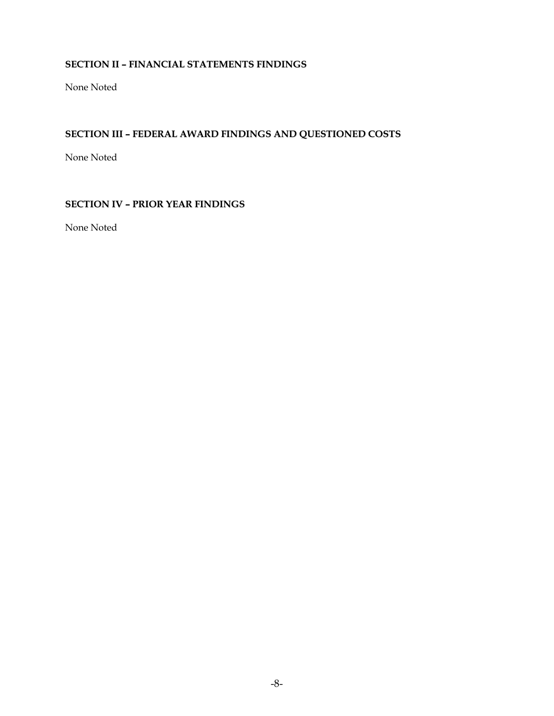# **SECTION II – FINANCIAL STATEMENTS FINDINGS**

None Noted

# **SECTION III – FEDERAL AWARD FINDINGS AND QUESTIONED COSTS**

None Noted

## **SECTION IV – PRIOR YEAR FINDINGS**

None Noted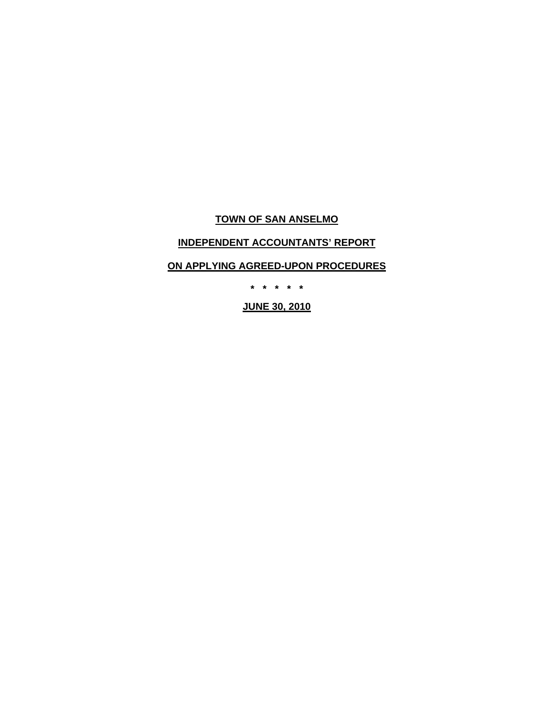## **TOWN OF SAN ANSELMO**

## **INDEPENDENT ACCOUNTANTS' REPORT**

# **ON APPLYING AGREED-UPON PROCEDURES**

 **\* \* \* \* \*** 

 **JUNE 30, 2010**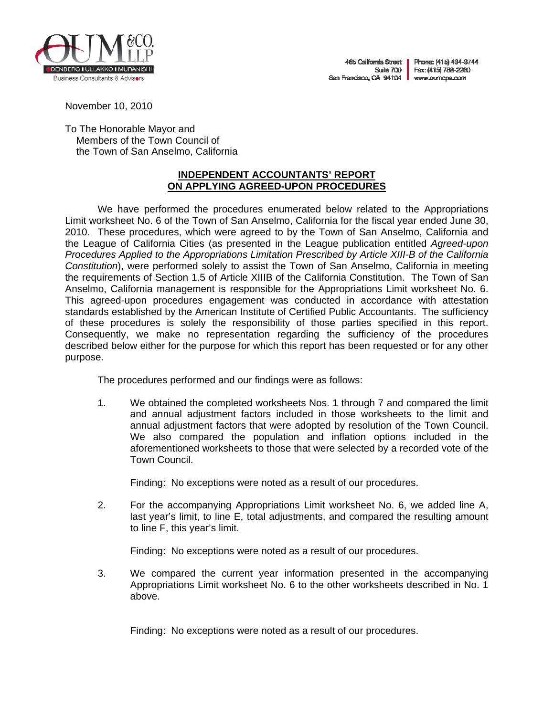

November 10, 2010

To The Honorable Mayor and Members of the Town Council of the Town of San Anselmo, California

## **INDEPENDENT ACCOUNTANTS' REPORT ON APPLYING AGREED-UPON PROCEDURES**

 We have performed the procedures enumerated below related to the Appropriations Limit worksheet No. 6 of the Town of San Anselmo, California for the fiscal year ended June 30, 2010. These procedures, which were agreed to by the Town of San Anselmo, California and the League of California Cities (as presented in the League publication entitled *Agreed-upon Procedures Applied to the Appropriations Limitation Prescribed by Article XIII-B of the California Constitution*), were performed solely to assist the Town of San Anselmo, California in meeting the requirements of Section 1.5 of Article XIIIB of the California Constitution. The Town of San Anselmo, California management is responsible for the Appropriations Limit worksheet No. 6. This agreed-upon procedures engagement was conducted in accordance with attestation standards established by the American Institute of Certified Public Accountants. The sufficiency of these procedures is solely the responsibility of those parties specified in this report. Consequently, we make no representation regarding the sufficiency of the procedures described below either for the purpose for which this report has been requested or for any other purpose.

The procedures performed and our findings were as follows:

1. We obtained the completed worksheets Nos. 1 through 7 and compared the limit and annual adjustment factors included in those worksheets to the limit and annual adjustment factors that were adopted by resolution of the Town Council. We also compared the population and inflation options included in the aforementioned worksheets to those that were selected by a recorded vote of the Town Council.

Finding: No exceptions were noted as a result of our procedures.

2. For the accompanying Appropriations Limit worksheet No. 6, we added line A, last year's limit, to line E, total adjustments, and compared the resulting amount to line F, this year's limit.

Finding: No exceptions were noted as a result of our procedures.

3. We compared the current year information presented in the accompanying Appropriations Limit worksheet No. 6 to the other worksheets described in No. 1 above.

Finding: No exceptions were noted as a result of our procedures.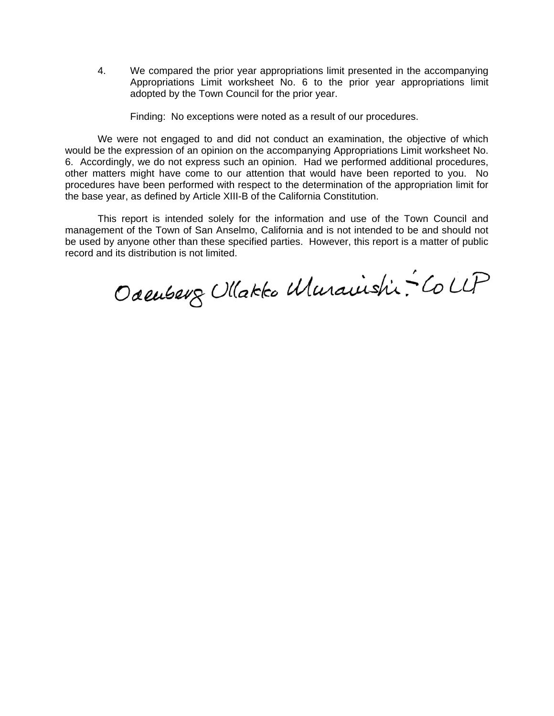4. We compared the prior year appropriations limit presented in the accompanying Appropriations Limit worksheet No. 6 to the prior year appropriations limit adopted by the Town Council for the prior year.

Finding: No exceptions were noted as a result of our procedures.

We were not engaged to and did not conduct an examination, the objective of which would be the expression of an opinion on the accompanying Appropriations Limit worksheet No. 6. Accordingly, we do not express such an opinion. Had we performed additional procedures, other matters might have come to our attention that would have been reported to you. No procedures have been performed with respect to the determination of the appropriation limit for the base year, as defined by Article XIII-B of the California Constitution.

This report is intended solely for the information and use of the Town Council and management of the Town of San Anselmo, California and is not intended to be and should not be used by anyone other than these specified parties. However, this report is a matter of public record and its distribution is not limited.

Odenberg Ullakko Muravishi - Co LLP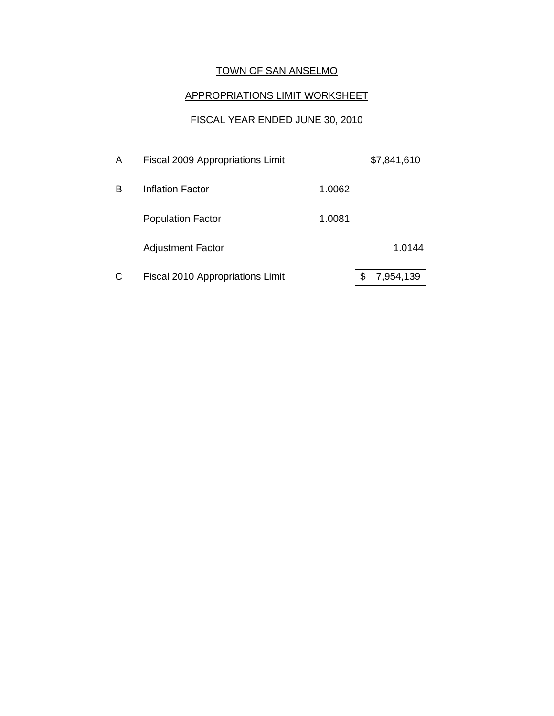# TOWN OF SAN ANSELMO

## APPROPRIATIONS LIMIT WORKSHEET

# FISCAL YEAR ENDED JUNE 30, 2010

| С | Fiscal 2010 Appropriations Limit |        | \$. | 7,954,139   |
|---|----------------------------------|--------|-----|-------------|
|   | <b>Adjustment Factor</b>         |        |     | 1.0144      |
|   | <b>Population Factor</b>         | 1.0081 |     |             |
| в | Inflation Factor                 | 1.0062 |     |             |
| A | Fiscal 2009 Appropriations Limit |        |     | \$7,841,610 |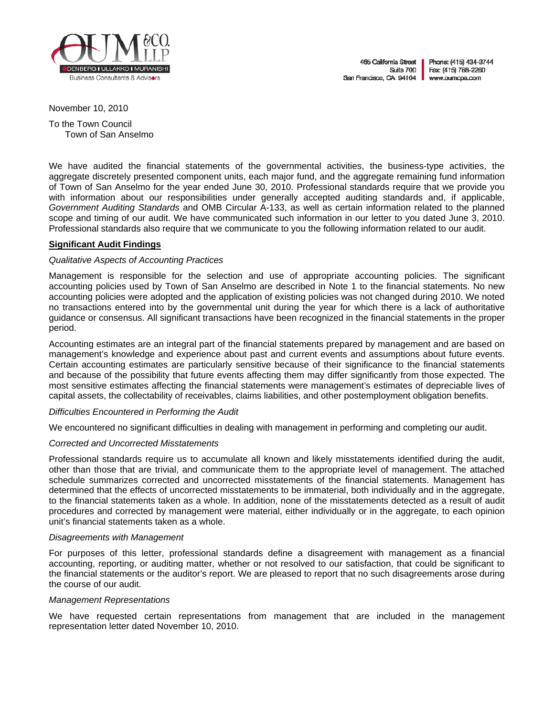

Phone: (415) 434-3744 Fax: (415) 788-2260 www.oumcpa.com

November 10, 2010

To the Town Council Town of San Anselmo

We have audited the financial statements of the governmental activities, the business-type activities, the aggregate discretely presented component units, each major fund, and the aggregate remaining fund information of Town of San Anselmo for the year ended June 30, 2010. Professional standards require that we provide you with information about our responsibilities under generally accepted auditing standards and, if applicable, *Government Auditing Standards* and OMB Circular A-133, as well as certain information related to the planned scope and timing of our audit. We have communicated such information in our letter to you dated June 3, 2010. Professional standards also require that we communicate to you the following information related to our audit.

## **Significant Audit Findings**

## *Qualitative Aspects of Accounting Practices*

Management is responsible for the selection and use of appropriate accounting policies. The significant accounting policies used by Town of San Anselmo are described in Note 1 to the financial statements. No new accounting policies were adopted and the application of existing policies was not changed during 2010. We noted no transactions entered into by the governmental unit during the year for which there is a lack of authoritative guidance or consensus. All significant transactions have been recognized in the financial statements in the proper period.

Accounting estimates are an integral part of the financial statements prepared by management and are based on management's knowledge and experience about past and current events and assumptions about future events. Certain accounting estimates are particularly sensitive because of their significance to the financial statements and because of the possibility that future events affecting them may differ significantly from those expected. The most sensitive estimates affecting the financial statements were management's estimates of depreciable lives of capital assets, the collectability of receivables, claims liabilities, and other postemployment obligation benefits.

## *Difficulties Encountered in Performing the Audit*

We encountered no significant difficulties in dealing with management in performing and completing our audit.

## *Corrected and Uncorrected Misstatements*

Professional standards require us to accumulate all known and likely misstatements identified during the audit, other than those that are trivial, and communicate them to the appropriate level of management. The attached schedule summarizes corrected and uncorrected misstatements of the financial statements. Management has determined that the effects of uncorrected misstatements to be immaterial, both individually and in the aggregate, to the financial statements taken as a whole. In addition, none of the misstatements detected as a result of audit procedures and corrected by management were material, either individually or in the aggregate, to each opinion unit's financial statements taken as a whole.

## *Disagreements with Management*

For purposes of this letter, professional standards define a disagreement with management as a financial accounting, reporting, or auditing matter, whether or not resolved to our satisfaction, that could be significant to the financial statements or the auditor's report. We are pleased to report that no such disagreements arose during the course of our audit.

## *Management Representations*

We have requested certain representations from management that are included in the management representation letter dated November 10, 2010.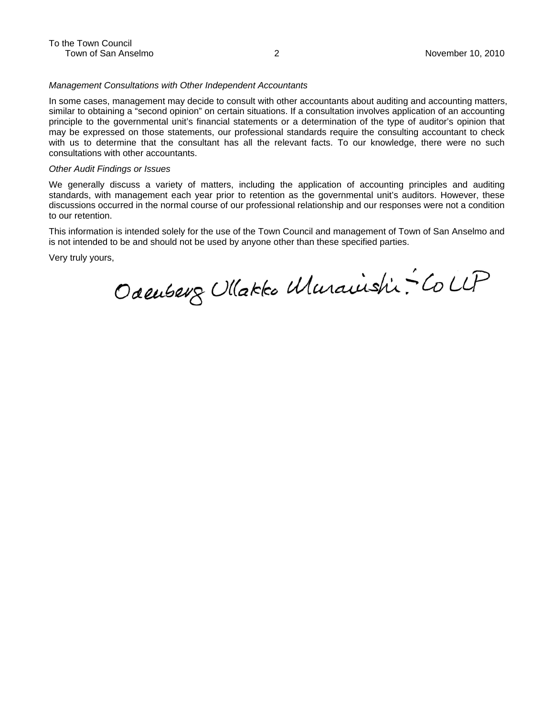#### *Management Consultations with Other Independent Accountants*

In some cases, management may decide to consult with other accountants about auditing and accounting matters, similar to obtaining a "second opinion" on certain situations. If a consultation involves application of an accounting principle to the governmental unit's financial statements or a determination of the type of auditor's opinion that may be expressed on those statements, our professional standards require the consulting accountant to check with us to determine that the consultant has all the relevant facts. To our knowledge, there were no such consultations with other accountants.

### *Other Audit Findings or Issues*

We generally discuss a variety of matters, including the application of accounting principles and auditing standards, with management each year prior to retention as the governmental unit's auditors. However, these discussions occurred in the normal course of our professional relationship and our responses were not a condition to our retention.

This information is intended solely for the use of the Town Council and management of Town of San Anselmo and is not intended to be and should not be used by anyone other than these specified parties.

Very truly yours,

Odenberg Ullakko Muravishi - Co LLP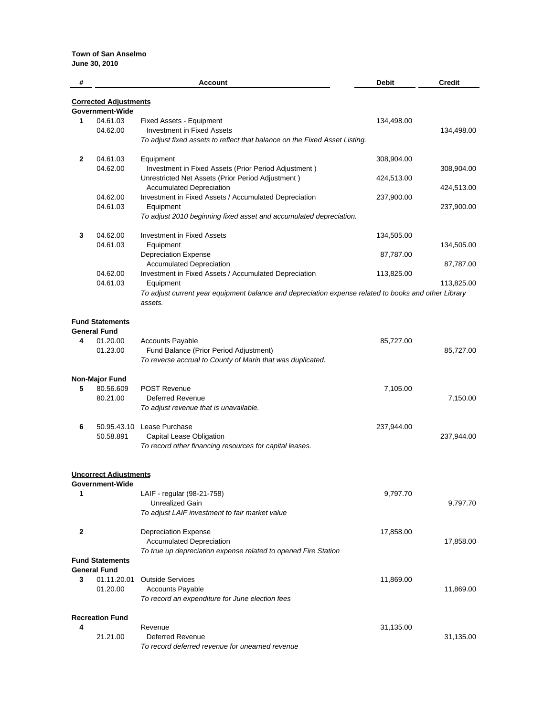**Town of San Anselmo June 30, 2010**

| #                            |                              | Account                                                                                              | <b>Debit</b> | Credit     |  |  |  |  |  |
|------------------------------|------------------------------|------------------------------------------------------------------------------------------------------|--------------|------------|--|--|--|--|--|
| <b>Corrected Adjustments</b> |                              |                                                                                                      |              |            |  |  |  |  |  |
|                              | Government-Wide              |                                                                                                      |              |            |  |  |  |  |  |
| 1                            | 04.61.03                     | Fixed Assets - Equipment                                                                             | 134,498.00   |            |  |  |  |  |  |
|                              | 04.62.00                     | <b>Investment in Fixed Assets</b>                                                                    |              | 134,498.00 |  |  |  |  |  |
|                              |                              | To adjust fixed assets to reflect that balance on the Fixed Asset Listing.                           |              |            |  |  |  |  |  |
| 2                            | 04.61.03                     | Equipment                                                                                            | 308,904.00   |            |  |  |  |  |  |
|                              | 04.62.00                     | Investment in Fixed Assets (Prior Period Adjustment)                                                 |              | 308,904.00 |  |  |  |  |  |
|                              |                              | Unrestricted Net Assets (Prior Period Adjustment)                                                    | 424,513.00   |            |  |  |  |  |  |
|                              |                              | <b>Accumulated Depreciation</b>                                                                      |              | 424,513.00 |  |  |  |  |  |
|                              | 04.62.00<br>04.61.03         | Investment in Fixed Assets / Accumulated Depreciation                                                | 237,900.00   |            |  |  |  |  |  |
|                              |                              | Equipment<br>To adjust 2010 beginning fixed asset and accumulated depreciation.                      |              | 237,900.00 |  |  |  |  |  |
|                              |                              |                                                                                                      |              |            |  |  |  |  |  |
| 3                            | 04.62.00                     | <b>Investment in Fixed Assets</b>                                                                    | 134,505.00   |            |  |  |  |  |  |
|                              | 04.61.03                     | Equipment                                                                                            |              | 134,505.00 |  |  |  |  |  |
|                              |                              | <b>Depreciation Expense</b>                                                                          | 87,787.00    |            |  |  |  |  |  |
|                              | 04.62.00                     | <b>Accumulated Depreciation</b><br>Investment in Fixed Assets / Accumulated Depreciation             | 113,825.00   | 87,787.00  |  |  |  |  |  |
|                              | 04.61.03                     | Equipment                                                                                            |              | 113,825.00 |  |  |  |  |  |
|                              |                              | To adjust current year equipment balance and depreciation expense related to books and other Library |              |            |  |  |  |  |  |
|                              |                              | assets.                                                                                              |              |            |  |  |  |  |  |
|                              | <b>Fund Statements</b>       |                                                                                                      |              |            |  |  |  |  |  |
|                              | <b>General Fund</b>          |                                                                                                      |              |            |  |  |  |  |  |
| 4                            | 01.20.00                     | <b>Accounts Payable</b>                                                                              | 85,727.00    |            |  |  |  |  |  |
|                              | 01.23.00                     | Fund Balance (Prior Period Adjustment)                                                               |              | 85,727.00  |  |  |  |  |  |
|                              |                              | To reverse accrual to County of Marin that was duplicated.                                           |              |            |  |  |  |  |  |
|                              | <b>Non-Major Fund</b>        |                                                                                                      |              |            |  |  |  |  |  |
| 5                            | 80.56.609                    | <b>POST Revenue</b>                                                                                  | 7,105.00     |            |  |  |  |  |  |
|                              | 80.21.00                     | <b>Deferred Revenue</b>                                                                              |              | 7,150.00   |  |  |  |  |  |
|                              |                              | To adjust revenue that is unavailable.                                                               |              |            |  |  |  |  |  |
| 6                            |                              | 50.95.43.10 Lease Purchase                                                                           | 237,944.00   |            |  |  |  |  |  |
|                              | 50.58.891                    | Capital Lease Obligation                                                                             |              | 237,944.00 |  |  |  |  |  |
|                              |                              | To record other financing resources for capital leases.                                              |              |            |  |  |  |  |  |
|                              |                              |                                                                                                      |              |            |  |  |  |  |  |
|                              | <b>Uncorrect Adjustments</b> |                                                                                                      |              |            |  |  |  |  |  |
|                              | Government-Wide              |                                                                                                      |              |            |  |  |  |  |  |
| 1                            |                              | LAIF - regular (98-21-758)                                                                           | 9,797.70     |            |  |  |  |  |  |
|                              |                              | <b>Unrealized Gain</b>                                                                               |              | 9,797.70   |  |  |  |  |  |
|                              |                              | To adjust LAIF investment to fair market value                                                       |              |            |  |  |  |  |  |
| $\mathbf{2}$                 |                              | <b>Depreciation Expense</b>                                                                          | 17,858.00    |            |  |  |  |  |  |
|                              |                              | <b>Accumulated Depreciation</b>                                                                      |              | 17,858.00  |  |  |  |  |  |
|                              |                              | To true up depreciation expense related to opened Fire Station                                       |              |            |  |  |  |  |  |
|                              | <b>Fund Statements</b>       |                                                                                                      |              |            |  |  |  |  |  |
| 3                            | <b>General Fund</b>          | 01.11.20.01 Outside Services                                                                         |              |            |  |  |  |  |  |
|                              | 01.20.00                     | <b>Accounts Payable</b>                                                                              | 11,869.00    | 11,869.00  |  |  |  |  |  |
|                              |                              | To record an expenditure for June election fees                                                      |              |            |  |  |  |  |  |
|                              |                              |                                                                                                      |              |            |  |  |  |  |  |
|                              | <b>Recreation Fund</b>       |                                                                                                      |              |            |  |  |  |  |  |
| 4                            | 21.21.00                     | Revenue<br><b>Deferred Revenue</b>                                                                   | 31,135.00    |            |  |  |  |  |  |
|                              |                              | To record deferred revenue for unearned revenue                                                      |              | 31,135.00  |  |  |  |  |  |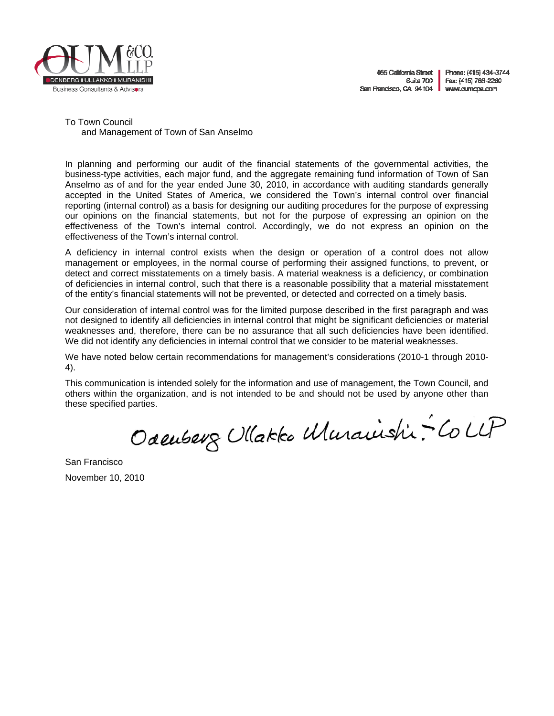

To Town Council and Management of Town of San Anselmo

In planning and performing our audit of the financial statements of the governmental activities, the business-type activities, each major fund, and the aggregate remaining fund information of Town of San Anselmo as of and for the year ended June 30, 2010, in accordance with auditing standards generally accepted in the United States of America, we considered the Town's internal control over financial reporting (internal control) as a basis for designing our auditing procedures for the purpose of expressing our opinions on the financial statements, but not for the purpose of expressing an opinion on the effectiveness of the Town's internal control. Accordingly, we do not express an opinion on the effectiveness of the Town's internal control.

A deficiency in internal control exists when the design or operation of a control does not allow management or employees, in the normal course of performing their assigned functions, to prevent, or detect and correct misstatements on a timely basis. A material weakness is a deficiency, or combination of deficiencies in internal control, such that there is a reasonable possibility that a material misstatement of the entity's financial statements will not be prevented, or detected and corrected on a timely basis.

Our consideration of internal control was for the limited purpose described in the first paragraph and was not designed to identify all deficiencies in internal control that might be significant deficiencies or material weaknesses and, therefore, there can be no assurance that all such deficiencies have been identified. We did not identify any deficiencies in internal control that we consider to be material weaknesses.

We have noted below certain recommendations for management's considerations (2010-1 through 2010- 4).

This communication is intended solely for the information and use of management, the Town Council, and others within the organization, and is not intended to be and should not be used by anyone other than these specified parties.

Odenberg Ullakko Muravishi - Co LLP

San Francisco November 10, 2010